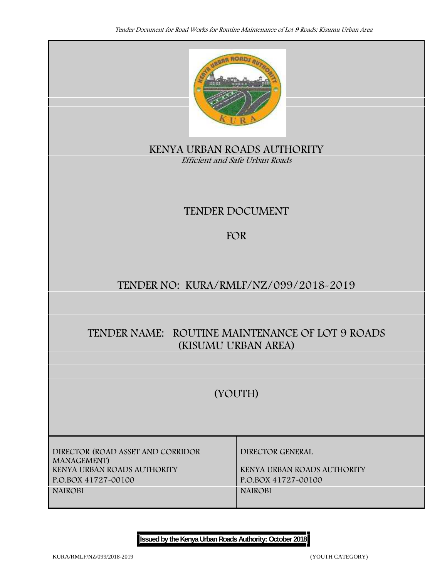

**KENYA URBAN ROADS AUTHORITY** *Efficient and Safe Urban Roads*

# **TENDER DOCUMENT**

# **FOR**

# **TENDER NO: KURA/RMLF/NZ/099/2018-2019**

# **TENDER NAME: ROUTINE MAINTENANCE OF LOT 9 ROADS (KISUMU URBAN AREA)**

# **(YOUTH)**

**DIRECTOR (ROAD ASSET AND CORRIDOR MANAGEMENT) KENYA URBAN ROADS AUTHORITY KENYA URBAN ROADS AUTHORITY P.O.BOX 41727-00100 P.O.BOX 41727-00100 NAIROBI NAIROBI**

**DIRECTOR GENERAL**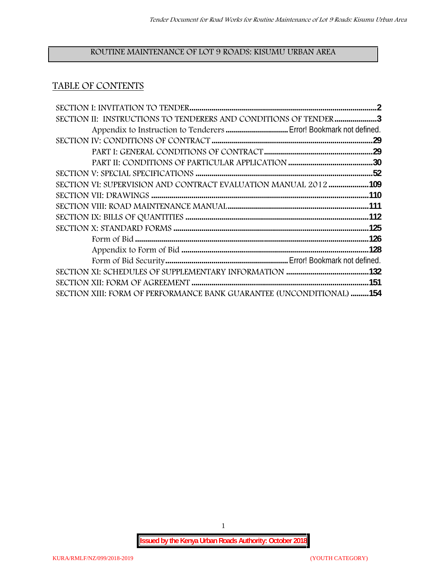## **ROUTINE MAINTENANCE OF LOT 9 ROADS: KISUMU URBAN AREA**

# **TABLE OF CONTENTS**

| SECTION II: INSTRUCTIONS TO TENDERERS AND CONDITIONS OF TENDER 3     |  |
|----------------------------------------------------------------------|--|
|                                                                      |  |
|                                                                      |  |
|                                                                      |  |
|                                                                      |  |
|                                                                      |  |
| SECTION VI: SUPERVISION AND CONTRACT EVALUATION MANUAL 2012109       |  |
|                                                                      |  |
|                                                                      |  |
|                                                                      |  |
|                                                                      |  |
|                                                                      |  |
|                                                                      |  |
|                                                                      |  |
|                                                                      |  |
|                                                                      |  |
| SECTION XIII: FORM OF PERFORMANCE BANK GUARANTEE (UNCONDITIONAL) 154 |  |

1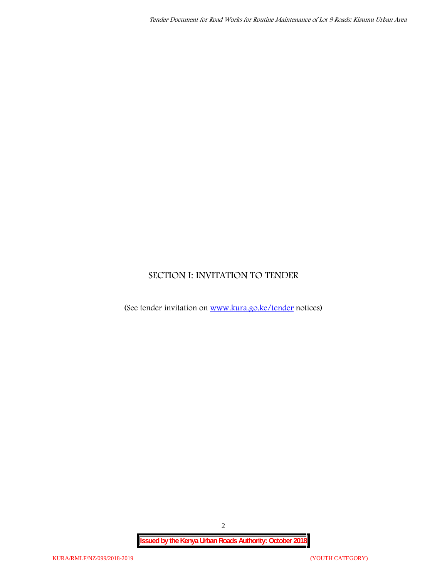# **SECTION I: INVITATION TO TENDER**

(See tender invitation on www.kura.go.ke/tender notices)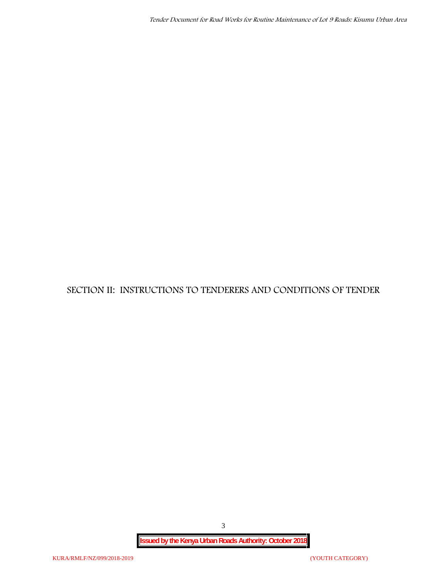**SECTION II: INSTRUCTIONS TO TENDERERS AND CONDITIONS OF TENDER**

3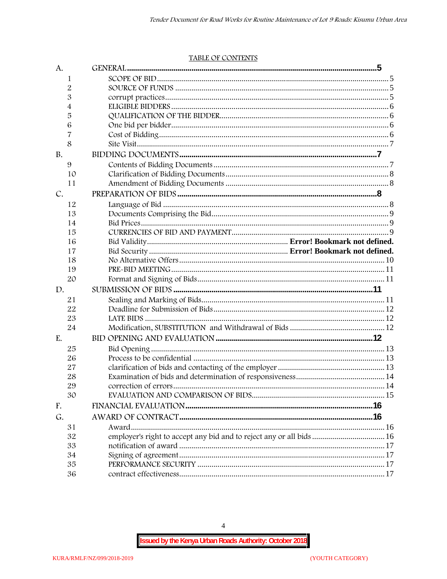#### TABLE OF CONTENTS

| A.        |                                                                      |  |
|-----------|----------------------------------------------------------------------|--|
| 1         |                                                                      |  |
| 2         |                                                                      |  |
| 3         |                                                                      |  |
| 4         |                                                                      |  |
| 5         |                                                                      |  |
| 6         |                                                                      |  |
| 7         |                                                                      |  |
| 8         |                                                                      |  |
| <b>B.</b> |                                                                      |  |
| 9         |                                                                      |  |
| 10        |                                                                      |  |
| 11        |                                                                      |  |
| C.        |                                                                      |  |
| 12        |                                                                      |  |
| 13        |                                                                      |  |
| 14        |                                                                      |  |
| 15        |                                                                      |  |
| 16        |                                                                      |  |
| 17        |                                                                      |  |
| 18        |                                                                      |  |
| 19        |                                                                      |  |
| 20        |                                                                      |  |
| D.        |                                                                      |  |
| 21        |                                                                      |  |
| 22        |                                                                      |  |
| 23        |                                                                      |  |
| 24        |                                                                      |  |
| E.        |                                                                      |  |
| 25        |                                                                      |  |
| 26        |                                                                      |  |
| 27        |                                                                      |  |
| 28        |                                                                      |  |
| 29        |                                                                      |  |
| 30        |                                                                      |  |
| F.        |                                                                      |  |
| G.        |                                                                      |  |
| 31        |                                                                      |  |
| 32        | employer's right to accept any bid and to reject any or all bids  16 |  |
| 33        |                                                                      |  |
| 34        |                                                                      |  |
| 35        |                                                                      |  |
| 36        |                                                                      |  |

 $\overline{4}$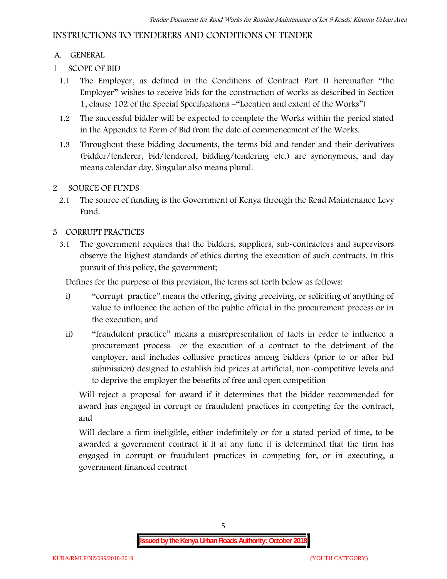# **INSTRUCTIONS TO TENDERERS AND CONDITIONS OF TENDER**

## **A. GENERAL**

- **1 SCOPE OF BID**
	- 1.1 The Employer, as defined in the Conditions of Contract Part II hereinafter "the Employer" wishes to receive bids for the construction of works as described in Section 1, clause 102 of the Special Specifications –"Location and extent of the Works")
	- 1.2 The successful bidder will be expected to complete the Works within the period stated in the Appendix to Form of Bid from the date of commencement of the Works.
	- 1.3 Throughout these bidding documents, the terms bid and tender and their derivatives (bidder/tenderer, bid/tendered, bidding/tendering etc.) are synonymous, and day means calendar day. Singular also means plural.

## **2 SOURCE OF FUNDS**

2.1 The source of funding is the Government of Kenya through the Road Maintenance Levy Fund.

## **3 CORRUPT PRACTICES**

3.1 The government requires that the bidders, suppliers, sub-contractors and supervisors observe the highest standards of ethics during the execution of such contracts. In this pursuit of this policy, the government;

Defines for the purpose of this provision, the terms set forth below as follows:

- i) "corrupt practice" means the offering, giving ,receiving, or soliciting of anything of value to influence the action of the public official in the procurement process or in the execution, and
- ii) "fraudulent practice" means a misrepresentation of facts in order to influence a procurement process or the execution of a contract to the detriment of the employer, and includes collusive practices among bidders (prior to or after bid submission) designed to establish bid prices at artificial, non-competitive levels and to deprive the employer the benefits of free and open competition

Will reject a proposal for award if it determines that the bidder recommended for award has engaged in corrupt or fraudulent practices in competing for the contract, and

Will declare a firm ineligible, either indefinitely or for a stated period of time, to be awarded a government contract if it at any time it is determined that the firm has engaged in corrupt or fraudulent practices in competing for, or in executing, a government financed contract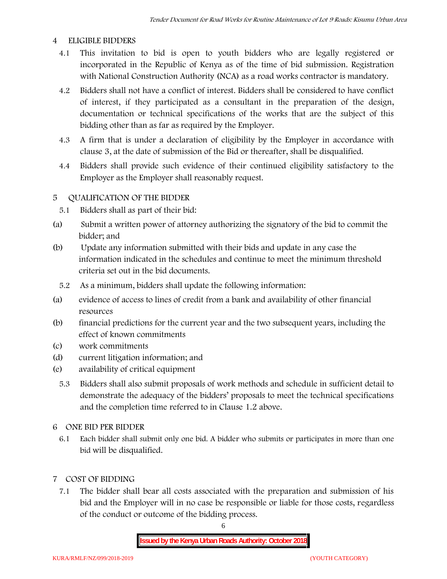#### **4 ELIGIBLE BIDDERS**

- 4.1 This invitation to bid is open to youth bidders who are legally registered or incorporated in the Republic of Kenya as of the time of bid submission. Registration with National Construction Authority (NCA) as a road works contractor is mandatory.
- 4.2 Bidders shall not have a conflict of interest. Bidders shall be considered to have conflict of interest, if they participated as a consultant in the preparation of the design, documentation or technical specifications of the works that are the subject of this bidding other than as far as required by the Employer.
- 4.3 A firm that is under a declaration of eligibility by the Employer in accordance with clause 3, at the date of submission of the Bid or thereafter, shall be disqualified.
- 4.4 Bidders shall provide such evidence of their continued eligibility satisfactory to the Employer as the Employer shall reasonably request.

#### **5 QUALIFICATION OF THE BIDDER**

- 5.1 Bidders shall as part of their bid:
- (a) Submit a written power of attorney authorizing the signatory of the bid to commit the bidder; and
- (b) Update any information submitted with their bids and update in any case the information indicated in the schedules and continue to meet the minimum threshold criteria set out in the bid documents.
	- 5.2 As a minimum, bidders shall update the following information:
- (a) evidence of access to lines of credit from a bank and availability of other financial resources
- (b) financial predictions for the current year and the two subsequent years, including the effect of known commitments
- (c) work commitments
- (d) current litigation information; and
- (e) availability of critical equipment
	- 5.3 Bidders shall also submit proposals of work methods and schedule in sufficient detail to demonstrate the adequacy of the bidders' proposals to meet the technical specifications and the completion time referred to in Clause 1.2 above.
- **6 ONE BID PER BIDDER**
	- 6.1 Each bidder shall submit only one bid. A bidder who submits or participates in more than one bid will be disqualified.
- **7 COST OF BIDDING**
	- 7.1 The bidder shall bear all costs associated with the preparation and submission of his bid and the Employer will in no case be responsible or liable for those costs, regardless of the conduct or outcome of the bidding process.

6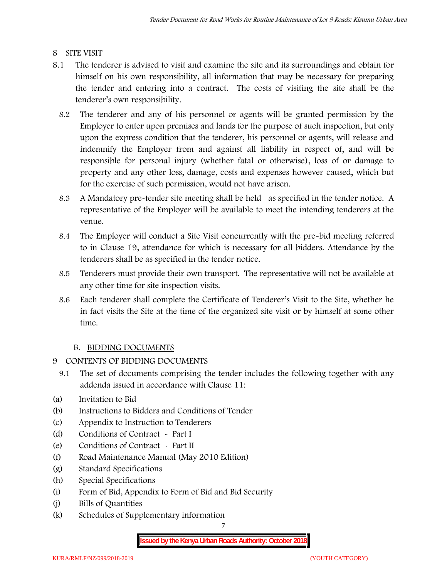## **8 SITE VISIT**

- 8.1 The tenderer is advised to visit and examine the site and its surroundings and obtain for himself on his own responsibility, all information that may be necessary for preparing the tender and entering into a contract. The costs of visiting the site shall be the tenderer's own responsibility.
	- 8.2 The tenderer and any of his personnel or agents will be granted permission by the Employer to enter upon premises and lands for the purpose of such inspection, but only upon the express condition that the tenderer, his personnel or agents, will release and indemnify the Employer from and against all liability in respect of, and will be responsible for personal injury (whether fatal or otherwise), loss of or damage to property and any other loss, damage, costs and expenses however caused, which but for the exercise of such permission, would not have arisen.
	- 8.3 A Mandatory pre-tender site meeting shall be held as specified in the tender notice. A representative of the Employer will be available to meet the intending tenderers at the venue.
	- 8.4 The Employer will conduct a Site Visit concurrently with the pre-bid meeting referred to in Clause 19, attendance for which is necessary for all bidders. Attendance by the tenderers shall be as specified in the tender notice.
	- 8.5 Tenderers must provide their own transport. The representative will not be available at any other time for site inspection visits.
	- 8.6 Each tenderer shall complete the Certificate of Tenderer's Visit to the Site, whether he in fact visits the Site at the time of the organized site visit or by himself at some other time.

# **B. BIDDING DOCUMENTS**

- **9 CONTENTS OF BIDDING DOCUMENTS**
	- 9.1 The set of documents comprising the tender includes the following together with any addenda issued in accordance with Clause 11:
- (a) Invitation to Bid
- (b) Instructions to Bidders and Conditions of Tender
- (c) Appendix to Instruction to Tenderers
- (d) Conditions of Contract Part I
- (e) Conditions of Contract Part II
- (f) Road Maintenance Manual (May 2010 Edition)
- (g) Standard Specifications
- (h) Special Specifications
- (i) Form of Bid, Appendix to Form of Bid and Bid Security
- (j) Bills of Quantities
- (k) Schedules of Supplementary information

7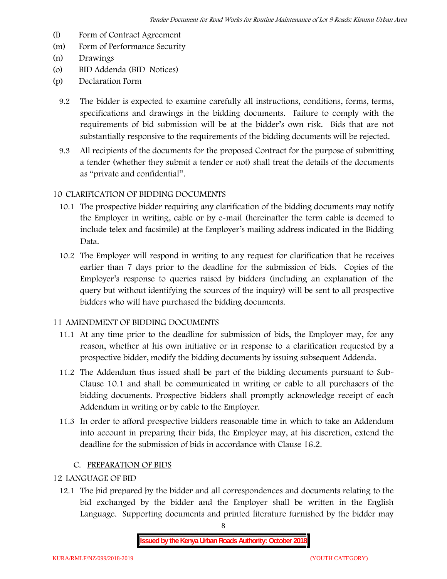- (l) Form of Contract Agreement
- (m) Form of Performance Security
- (n) Drawings
- (o) BID Addenda (BID Notices)
- (p) Declaration Form
	- 9.2 The bidder is expected to examine carefully all instructions, conditions, forms, terms, specifications and drawings in the bidding documents. Failure to comply with the requirements of bid submission will be at the bidder's own risk. Bids that are not substantially responsive to the requirements of the bidding documents will be rejected.
	- 9.3 All recipients of the documents for the proposed Contract for the purpose of submitting a tender (whether they submit a tender or not) shall treat the details of the documents as "private and confidential".

## **10 CLARIFICATION OF BIDDING DOCUMENTS**

- 10.1 The prospective bidder requiring any clarification of the bidding documents may notify the Employer in writing, cable or by e-mail (hereinafter the term cable is deemed to include telex and facsimile) at the Employer's mailing address indicated in the Bidding Data.
- 10.2 The Employer will respond in writing to any request for clarification that he receives earlier than 7 days prior to the deadline for the submission of bids. Copies of the Employer's response to queries raised by bidders (including an explanation of the query but without identifying the sources of the inquiry) will be sent to all prospective bidders who will have purchased the bidding documents.

#### **11 AMENDMENT OF BIDDING DOCUMENTS**

- 11.1 At any time prior to the deadline for submission of bids, the Employer may, for any reason, whether at his own initiative or in response to a clarification requested by a prospective bidder, modify the bidding documents by issuing subsequent Addenda.
- 11.2 The Addendum thus issued shall be part of the bidding documents pursuant to Sub- Clause 10.1 and shall be communicated in writing or cable to all purchasers of the bidding documents. Prospective bidders shall promptly acknowledge receipt of each Addendum in writing or by cable to the Employer.
- 11.3 In order to afford prospective bidders reasonable time in which to take an Addendum into account in preparing their bids, the Employer may, at his discretion, extend the deadline for the submission of bids in accordance with Clause 16.2.

#### **C. PREPARATION OF BIDS**

# **12 LANGUAGE OF BID**

12.1 The bid prepared by the bidder and all correspondences and documents relating to the bid exchanged by the bidder and the Employer shall be written in the English Language. Supporting documents and printed literature furnished by the bidder may

8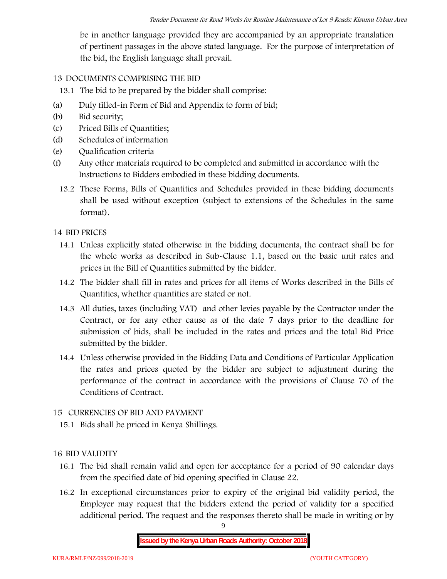be in another language provided they are accompanied by an appropriate translation of pertinent passages in the above stated language. For the purpose of interpretation of the bid, the English language shall prevail.

## **13 DOCUMENTS COMPRISING THE BID**

13.1 The bid to be prepared by the bidder shall comprise:

- (a) Duly filled-in Form of Bid and Appendix to form of bid;
- (b) Bid security;
- (c) Priced Bills of Quantities;
- (d) Schedules of information
- (e) Qualification criteria
- (f) Any other materials required to be completed and submitted in accordance with the Instructions to Bidders embodied in these bidding documents.
	- 13.2 These Forms, Bills of Quantities and Schedules provided in these bidding documents shall be used without exception (subject to extensions of the Schedules in the same format).

#### **14 BID PRICES**

- 14.1 Unless explicitly stated otherwise in the bidding documents, the contract shall be for the whole works as described in Sub-Clause 1.1, based on the basic unit rates and prices in the Bill of Quantities submitted by the bidder.
- 14.2 The bidder shall fill in rates and prices for all items of Works described in the Bills of Quantities, whether quantities are stated or not.
- 14.3 All duties, taxes (including VAT) and other levies payable by the Contractor under the Contract, or for any other cause as of the date 7 days prior to the deadline for submission of bids, shall be included in the rates and prices and the total Bid Price submitted by the bidder.
- 14.4 Unless otherwise provided in the Bidding Data and Conditions of Particular Application the rates and prices quoted by the bidder are subject to adjustment during the performance of the contract in accordance with the provisions of Clause 70 of the Conditions of Contract.

#### **15 CURRENCIES OF BID AND PAYMENT**

15.1 Bids shall be priced in Kenya Shillings.

#### **16 BID VALIDITY**

- 16.1 The bid shall remain valid and open for acceptance for a period of 90 calendar days from the specified date of bid opening specified in Clause 22.
- 16.2 In exceptional circumstances prior to expiry of the original bid validity period, the Employer may request that the bidders extend the period of validity for a specified additional period. The request and the responses thereto shall be made in writing or by

9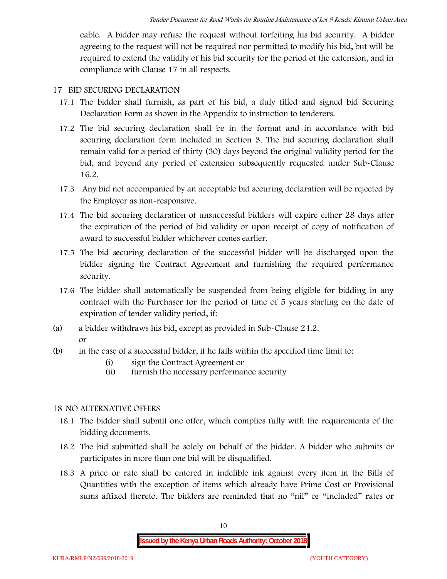cable. A bidder may refuse the request without forfeiting his bid security. A bidder agreeing to the request will not be required nor permitted to modify his bid, but will be required to extend the validity of his bid security for the period of the extension, and in compliance with Clause 17 in all respects.

#### **17 BID SECURING DECLARATION**

- 17.1 The bidder shall furnish, as part of his bid, a duly filled and signed bid Securing Declaration Form as shown in the Appendix to instruction to tenderers.
- 17.2 The bid securing declaration shall be in the format and in accordance with bid securing declaration form included in Section 3. The bid securing declaration shall remain valid for a period of thirty (30) days beyond the original validity period for the bid, and beyond any period of extension subsequently requested under Sub-Clause 16.2.
- 17.3 Any bid not accompanied by an acceptable bid securing declaration will be rejected by the Employer as non-responsive.
- 17.4 The bid securing declaration of unsuccessful bidders will expire either 28 days after the expiration of the period of bid validity or upon receipt of copy of notification of award to successful bidder whichever comes earlier.
- 17.5 The bid securing declaration of the successful bidder will be discharged upon the bidder signing the Contract Agreement and furnishing the required performance security.
- 17.6 The bidder shall automatically be suspended from being eligible for bidding in any contract with the Purchaser for the period of time of 5 years starting on the date of expiration of tender validity period, if:
- (a) a bidder withdraws his bid, except as provided in Sub-Clause 24.2. or
- (b) in the case of a successful bidder, if he fails within the specified time limit to:
	- (i) sign the Contract Agreement or
	- (ii) furnish the necessary performance security

#### **18 NO ALTERNATIVE OFFERS**

- 18.1 The bidder shall submit one offer, which complies fully with the requirements of the bidding documents.
- 18.2 The bid submitted shall be solely on behalf of the bidder. A bidder who submits or participates in more than one bid will be disqualified.
- 18.3 A price or rate shall be entered in indelible ink against every item in the Bills of Quantities with the exception of items which already have Prime Cost or Provisional sums affixed thereto. The bidders are reminded that no "nil" or "included" rates or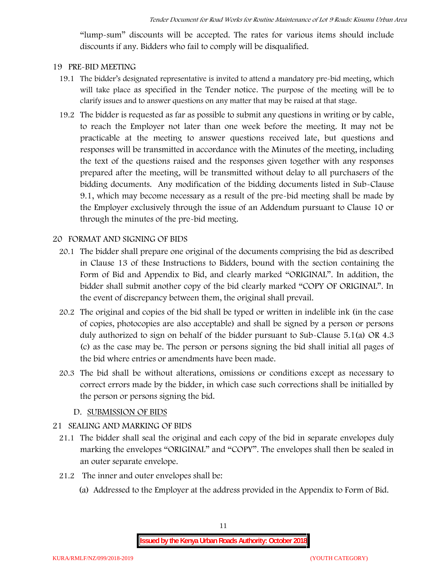"lump-sum" discounts will be accepted. The rates for various items should include discounts if any. Bidders who fail to comply will be disqualified.

#### **19 PRE-BID MEETING**

- 19.1 The bidder's designated representative is invited to attend a mandatory pre-bid meeting, which will take place as specified in the Tender notice. The purpose of the meeting will be to clarify issues and to answer questions on any matter that may be raised at that stage.
- 19.2 The bidder is requested as far as possible to submit any questions in writing or by cable, to reach the Employer not later than one week before the meeting. It may not be practicable at the meeting to answer questions received late, but questions and responses will be transmitted in accordance with the Minutes of the meeting, including the text of the questions raised and the responses given together with any responses prepared after the meeting, will be transmitted without delay to all purchasers of the bidding documents. Any modification of the bidding documents listed in Sub-Clause 9.1, which may become necessary as a result of the pre-bid meeting shall be made by the Employer exclusively through the issue of an Addendum pursuant to Clause 10 or through the minutes of the pre-bid meeting.

#### **20 FORMAT AND SIGNING OF BIDS**

- 20.1 The bidder shall prepare one original of the documents comprising the bid as described in Clause 13 of these Instructions to Bidders, bound with the section containing the Form of Bid and Appendix to Bid, and clearly marked "ORIGINAL". In addition, the bidder shall submit another copy of the bid clearly marked "COPY OF ORIGINAL". In the event of discrepancy between them, the original shall prevail.
- 20.2 The original and copies of the bid shall be typed or written in indelible ink (in the case of copies, photocopies are also acceptable) and shall be signed by a person or persons duly authorized to sign on behalf of the bidder pursuant to Sub-Clause 5.1(a) OR 4.3 (c) as the case may be. The person or persons signing the bid shall initial all pages of the bid where entries or amendments have been made.
- 20.3 The bid shall be without alterations, omissions or conditions except as necessary to correct errors made by the bidder, in which case such corrections shall be initialled by the person or persons signing the bid.

#### **D. SUBMISSION OF BIDS**

#### **21 SEALING AND MARKING OF BIDS**

- 21.1 The bidder shall seal the original and each copy of the bid in separate envelopes duly marking the envelopes "ORIGINAL" and "COPY". The envelopes shall then be sealed in an outer separate envelope.
- 21.2 The inner and outer envelopes shall be:
	- (a) Addressed to the Employer at the address provided in the Appendix to Form of Bid.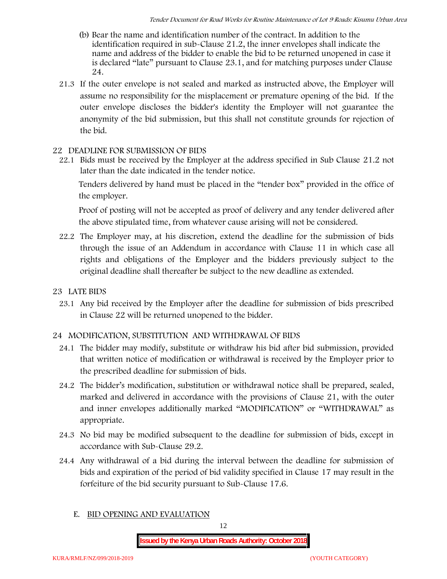- (b) Bear the name and identification number of the contract. In addition to the identification required in sub-Clause 21.2, the inner envelopes shall indicate the name and address of the bidder to enable the bid to be returned unopened in case it is declared "late" pursuant to Clause 23.1, and for matching purposes under Clause 24.
- 21.3 If the outer envelope is not sealed and marked as instructed above, the Employer will assume no responsibility for the misplacement or premature opening of the bid. If the outer envelope discloses the bidder's identity the Employer will not guarantee the anonymity of the bid submission, but this shall not constitute grounds for rejection of the bid.

#### **22 DEADLINE FOR SUBMISSION OF BIDS**

22.1 Bids must be received by the Employer at the address specified in Sub Clause 21.2 not later than **the date indicated in the tender notice.**

Tenders delivered by hand must be placed in the "tender box" provided in the office of the employer.

Proof of posting will not be accepted as proof of delivery and any tender delivered after the above stipulated time, from whatever cause arising will not be considered.

- 22.2 The Employer may, at his discretion, extend the deadline for the submission of bids through the issue of an Addendum in accordance with Clause 11 in which case all rights and obligations of the Employer and the bidders previously subject to the original deadline shall thereafter be subject to the new deadline as extended.
- **23 LATE BIDS**
	- 23.1 Any bid received by the Employer after the deadline for submission of bids prescribed in Clause 22 will be returned unopened to the bidder.

#### **24 MODIFICATION, SUBSTITUTION AND WITHDRAWAL OF BIDS**

- 24.1 The bidder may modify, substitute or withdraw his bid after bid submission, provided that written notice of modification or withdrawal is received by the Employer prior to the prescribed deadline for submission of bids.
- 24.2 The bidder's modification, substitution or withdrawal notice shall be prepared, sealed, marked and delivered in accordance with the provisions of Clause 21, with the outer and inner envelopes additionally marked "MODIFICATION" or "WITHDRAWAL" as appropriate.
- 24.3 No bid may be modified subsequent to the deadline for submission of bids, except in accordance with Sub-Clause 29.2.
- 24.4 Any withdrawal of a bid during the interval between the deadline for submission of bids and expiration of the period of bid validity specified in Clause 17 may result in the forfeiture of the bid security pursuant to Sub-Clause 17.6.
	- **E. BID OPENING AND EVALUATION**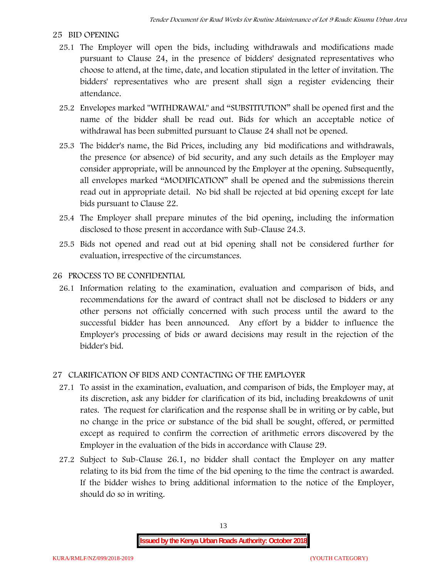#### **25 BID OPENING**

- 25.1 The Employer will open the bids, including withdrawals and modifications made pursuant to Clause 24, in the presence of bidders' designated representatives who choose to attend, at the time, date, and location stipulated in the letter of invitation. The bidders' representatives who are present shall sign a register evidencing their attendance.
- 25.2 Envelopes marked "WITHDRAWAL" and "SUBSTITUTION" shall be opened first and the name of the bidder shall be read out. Bids for which an acceptable notice of withdrawal has been submitted pursuant to Clause 24 shall not be opened.
- 25.3 The bidder's name, the Bid Prices, including any bid modifications and withdrawals, the presence (or absence) of bid security, and any such details as the Employer may consider appropriate, will be announced by the Employer at the opening. Subsequently, all envelopes marked "MODIFICATION" shall be opened and the submissions therein read out in appropriate detail. No bid shall be rejected at bid opening except for late bids pursuant to Clause 22.
- 25.4 The Employer shall prepare minutes of the bid opening, including the information disclosed to those present in accordance with Sub-Clause 24.3.
- 25.5 Bids not opened and read out at bid opening shall not be considered further for evaluation, irrespective of the circumstances.

#### **26 PROCESS TO BE CONFIDENTIAL**

26.1 Information relating to the examination, evaluation and comparison of bids, and recommendations for the award of contract shall not be disclosed to bidders or any other persons not officially concerned with such process until the award to the successful bidder has been announced. Any effort by a bidder to influence the Employer's processing of bids or award decisions may result in the rejection of the bidder's bid.

#### **27 CLARIFICATION OF BIDS AND CONTACTING OF THE EMPLOYER**

- 27.1 To assist in the examination, evaluation, and comparison of bids, the Employer may, at its discretion, ask any bidder for clarification of its bid, including breakdowns of unit rates. The request for clarification and the response shall be in writing or by cable, but no change in the price or substance of the bid shall be sought, offered, or permitted except as required to confirm the correction of arithmetic errors discovered by the Employer in the evaluation of the bids in accordance with Clause 29.
- 27.2 Subject to Sub-Clause 26.1, no bidder shall contact the Employer on any matter relating to its bid from the time of the bid opening to the time the contract is awarded. If the bidder wishes to bring additional information to the notice of the Employer, should do so in writing.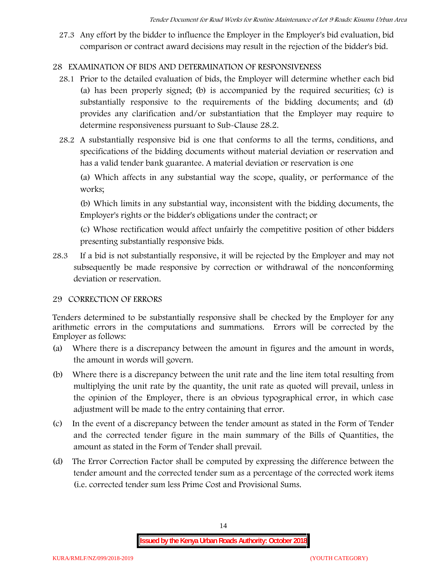27.3 Any effort by the bidder to influence the Employer in the Employer's bid evaluation, bid comparison or contract award decisions may result in the rejection of the bidder's bid.

# **28 EXAMINATION OF BIDS AND DETERMINATION OF RESPONSIVENESS**

- 28.1 Prior to the detailed evaluation of bids, the Employer will determine whether each bid (a) has been properly signed; (b) is accompanied by the required securities; (c) is substantially responsive to the requirements of the bidding documents; and (d) provides any clarification and/or substantiation that the Employer may require to determine responsiveness pursuant to Sub-Clause 28.2.
- 28.2 A substantially responsive bid is one that conforms to all the terms, conditions, and specifications of the bidding documents without material deviation or reservation and has a valid tender bank guarantee. A material deviation or reservation is one

(a) Which affects in any substantial way the scope, quality, or performance of the works;

(b) Which limits in any substantial way, inconsistent with the bidding documents, the Employer's rights or the bidder's obligations under the contract; or

(c) Whose rectification would affect unfairly the competitive position of other bidders presenting substantially responsive bids.

28.3 If a bid is not substantially responsive, it will be rejected by the Employer and may not subsequently be made responsive by correction or withdrawal of the nonconforming deviation or reservation.

#### **29 CORRECTION OF ERRORS**

Tenders determined to be substantially responsive shall be checked by the Employer for any arithmetic errors in the computations and summations. Errors will be corrected by the Employer as follows:

- (a) Where there is a discrepancy between the amount in figures and the amount in words, the amount in words will govern.
- (b) Where there is a discrepancy between the unit rate and the line item total resulting from multiplying the unit rate by the quantity, the unit rate as quoted will prevail, unless in the opinion of the Employer, there is an obvious typographical error, in which case adjustment will be made to the entry containing that error.
- (c) In the event of a discrepancy between the tender amount as stated in the Form of Tender and the corrected tender figure in the main summary of the Bills of Quantities, the amount as stated in the Form of Tender shall prevail.
- (d) The Error Correction Factor shall be computed by expressing the difference between the tender amount and the corrected tender sum as a percentage of the corrected work items (i.e. corrected tender sum less Prime Cost and Provisional Sums.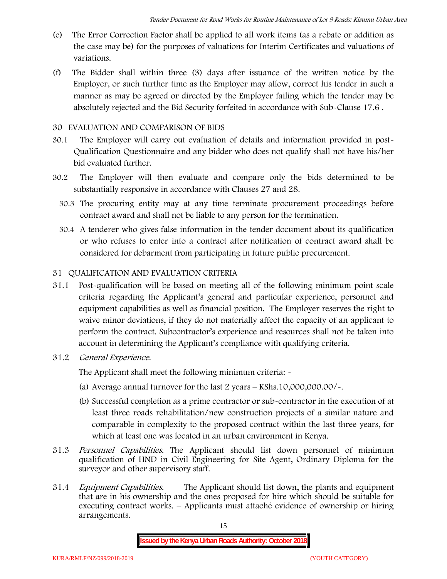- (e) The Error Correction Factor shall be applied to all work items (as a rebate or addition as the case may be) for the purposes of valuations for Interim Certificates and valuations of variations.
- (f) The Bidder shall within three (3) days after issuance of the written notice by the Employer, or such further time as the Employer may allow, correct his tender in such a manner as may be agreed or directed by the Employer failing which the tender may be absolutely rejected and the Bid Security forfeited in accordance with Sub-Clause 17.6 .

#### **30 EVALUATION AND COMPARISON OF BIDS**

- 30.1 The Employer will carry out evaluation of details and information provided in post- Qualification Questionnaire and any bidder who does not qualify shall not have his/her bid evaluated further.
- 30.2 The Employer will then evaluate and compare only the bids determined to be substantially responsive in accordance with Clauses 27 and 28.
	- 30.3 The procuring entity may at any time terminate procurement proceedings before contract award and shall not be liable to any person for the termination.
	- 30.4 A tenderer who gives false information in the tender document about its qualification or who refuses to enter into a contract after notification of contract award shall be considered for debarment from participating in future public procurement.

#### **31 QUALIFICATION AND EVALUATION CRITERIA**

- 31.1 Post-qualification will be based on meeting all of the following minimum point scale criteria regarding the Applicant's general and particular experience, personnel and equipment capabilities as well as financial position. The Employer reserves the right to waive minor deviations, if they do not materially affect the capacity of an applicant to perform the contract. Subcontractor's experience and resources shall not be taken into account in determining the Applicant's compliance with qualifying criteria.
- **31.2** *General Experience***.**

The Applicant shall meet the following minimum criteria: -

- (a) Average annual turnover for the last 2 years **KShs.10,000,000.00/-.**
- (b) Successful completion as a prime contractor or sub-contractor in the execution of at least three roads rehabilitation/new construction projects of a similar nature and comparable in complexity to the proposed contract within the last three years, for which at least one was located in an urban environment in Kenya.
- 31.3 *Personnel Capabilities***.** The Applicant should list down personnel of minimum qualification of HND in Civil Engineering for Site Agent, Ordinary Diploma for the surveyor and other supervisory staff.
- 31.4 *Equipment Capabilities.* The Applicant should list down, the plants and equipment that are in his ownership and the ones proposed for hire which should be suitable for executing contract works. – Applicants must attaché evidence of ownership or hiring arrangements.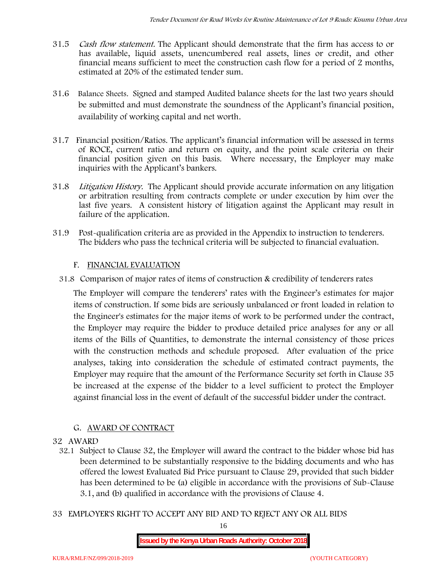- 31.5 *Cash flow statement.* The Applicant should demonstrate that the firm has access to or has available, liquid assets, unencumbered real assets, lines or credit, and other financial means sufficient to meet the construction cash flow for a period of 2 months, estimated at 20% of the estimated tender sum.
- 31.6 **Balance Sheets***.* Signed and stamped Audited balance sheets for the last two years should be submitted and must demonstrate the soundness of the Applicant's financial position, availability of working capital and net worth.
- 31.7 **Financial position/Ratios.** The applicant's financial information will be assessed in terms of ROCE, current ratio and return on equity, and the point scale criteria on their financial position given on this basis. Where necessary, the Employer may make inquiries with the Applicant's bankers.
- 31.8 *Litigation History.* The Applicant should provide accurate information on any litigation or arbitration resulting from contracts complete or under execution by him over the last five years. A consistent history of litigation against the Applicant may result in failure of the application.
- 31.9 Post-qualification criteria are as provided in the Appendix to instruction to tenderers. The bidders who pass the technical criteria will be subjected to financial evaluation.

#### **F. FINANCIAL EVALUATION**

31.8 Comparison of major rates of items of construction & credibility of tenderers rates

The Employer will compare the tenderers' rates with the Engineer's estimates for major items of construction. If some bids are seriously unbalanced or front loaded in relation to the Engineer's estimates for the major items of work to be performed under the contract, the Employer may require the bidder to produce detailed price analyses for any or all items of the Bills of Quantities, to demonstrate the internal consistency of those prices with the construction methods and schedule proposed. After evaluation of the price analyses, taking into consideration the schedule of estimated contract payments, the Employer may require that the amount of the Performance Security set forth in Clause 35 be increased at the expense of the bidder to a level sufficient to protect the Employer against financial loss in the event of default of the successful bidder under the contract.

#### **G. AWARD OF CONTRACT**

#### **32 AWARD**

- 32.1 Subject to Clause 32, the Employer will award the contract to the bidder whose bid has been determined to be substantially responsive to the bidding documents and who has offered the lowest Evaluated Bid Price pursuant to Clause 29, provided that such bidder has been determined to be (a) eligible in accordance with the provisions of Sub-Clause 3.1, and (b) qualified in accordance with the provisions of Clause 4.
- **33 EMPLOYER'S RIGHT TO ACCEPT ANY BID AND TO REJECT ANY OR ALL BIDS**

16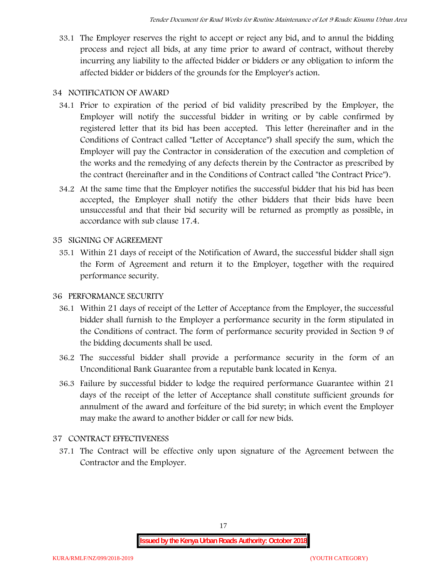33.1 The Employer reserves the right to accept or reject any bid, and to annul the bidding process and reject all bids, at any time prior to award of contract, without thereby incurring any liability to the affected bidder or bidders or any obligation to inform the affected bidder or bidders of the grounds for the Employer's action.

## **34 NOTIFICATION OF AWARD**

- 34.1 Prior to expiration of the period of bid validity prescribed by the Employer, the Employer will notify the successful bidder in writing or by cable confirmed by registered letter that its bid has been accepted. This letter (hereinafter and in the Conditions of Contract called "Letter of Acceptance") shall specify the sum, which the Employer will pay the Contractor in consideration of the execution and completion of the works and the remedying of any defects therein by the Contractor as prescribed by the contract (hereinafter and in the Conditions of Contract called "the Contract Price").
- 34.2 At the same time that the Employer notifies the successful bidder that his bid has been accepted, the Employer shall notify the other bidders that their bids have been unsuccessful and that their bid security will be returned as promptly as possible, in accordance with sub clause 17.4.

## **35 SIGNING OF AGREEMENT**

35.1 Within 21 days of receipt of the Notification of Award, the successful bidder shall sign the Form of Agreement and return it to the Employer, together with the required performance security.

#### **36 PERFORMANCE SECURITY**

- 36.1 Within 21 days of receipt of the Letter of Acceptance from the Employer, the successful bidder shall furnish to the Employer a performance security in the form stipulated in the Conditions of contract. The form of performance security provided in Section 9 of the bidding documents shall be used.
- 36.2 The successful bidder shall provide a performance security in the form of an Unconditional Bank Guarantee from a reputable bank located in Kenya.
- 36.3 Failure by successful bidder to lodge the required performance Guarantee within 21 days of the receipt of the letter of Acceptance shall constitute sufficient grounds for annulment of the award and forfeiture of the bid surety; in which event the Employer may make the award to another bidder or call for new bids.

# **37 CONTRACT EFFECTIVENESS**

37.1 The Contract will be effective only upon signature of the Agreement between the Contractor and the Employer.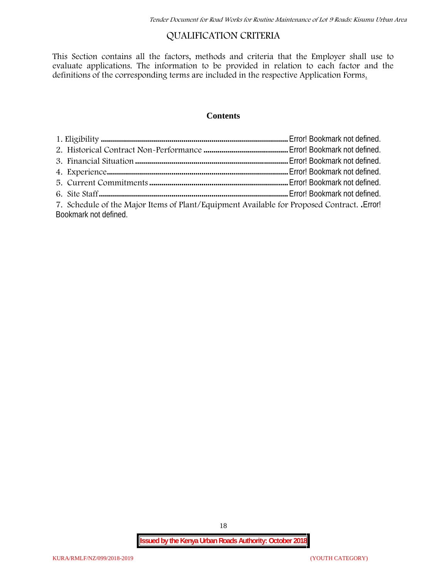# **QUALIFICATION CRITERIA**

This Section contains all the factors, methods and criteria that the Employer shall use to evaluate applications. The information to be provided in relation to each factor and the definitions of the corresponding terms are included in the respective Application Forms.

### **Contents**

| 7. Schedule of the Major Items of Plant/Equipment Available for Proposed Contract. Error! |  |
|-------------------------------------------------------------------------------------------|--|
| Bookmark not defined.                                                                     |  |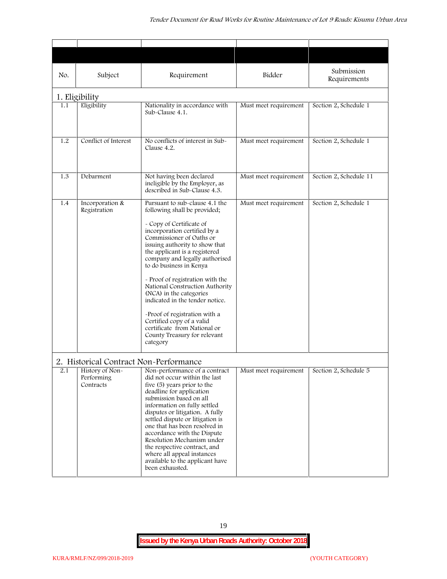| No. | Subject                                                                              | Requirement                                                                                                                                                                                                                                                                                                                                                                                                                                                                                                                                                           | Bidder                | Submission<br>Requirements |
|-----|--------------------------------------------------------------------------------------|-----------------------------------------------------------------------------------------------------------------------------------------------------------------------------------------------------------------------------------------------------------------------------------------------------------------------------------------------------------------------------------------------------------------------------------------------------------------------------------------------------------------------------------------------------------------------|-----------------------|----------------------------|
|     | 1. Eligibility                                                                       |                                                                                                                                                                                                                                                                                                                                                                                                                                                                                                                                                                       |                       |                            |
| 1.1 | Eligibility                                                                          | Nationality in accordance with<br>Sub-Clause 4.1.                                                                                                                                                                                                                                                                                                                                                                                                                                                                                                                     | Must meet requirement | Section 2, Schedule 1      |
| 1.2 | Conflict of Interest                                                                 | No conflicts of interest in Sub-<br>Clause 4.2.                                                                                                                                                                                                                                                                                                                                                                                                                                                                                                                       | Must meet requirement | Section 2, Schedule 1      |
| 1.3 | Debarment                                                                            | Not having been declared<br>ineligible by the Employer, as<br>described in Sub-Clause 4.3.                                                                                                                                                                                                                                                                                                                                                                                                                                                                            | Must meet requirement | Section 2, Schedule 11     |
| 1.4 | Incorporation &<br>Registration                                                      | Pursuant to sub-clause 4.1 the<br>following shall be provided;<br>- Copy of Certificate of<br>incorporation certified by a<br>Commissioner of Oaths or<br>issuing authority to show that<br>the applicant is a registered<br>company and legally authorised<br>to do business in Kenya<br>- Proof of registration with the<br>National Construction Authority<br>(NCA) in the categories<br>indicated in the tender notice.<br>-Proof of registration with a<br>Certified copy of a valid<br>certificate from National or<br>County Treasury for relevant<br>category | Must meet requirement | Section 2, Schedule 1      |
| 2.1 | 2. Historical Contract Non-Performance<br>History of Non-<br>Performing<br>Contracts | Non-performance of a contract<br>did not occur within the last<br>five (5) years prior to the<br>deadline for application<br>submission based on all<br>information on fully settled<br>disputes or litigation. A fully<br>settled dispute or litigation is<br>one that has been resolved in<br>accordance with the Dispute<br>Resolution Mechanism under<br>the respective contract, and<br>where all appeal instances<br>available to the applicant have<br>been exhausted.                                                                                         | Must meet requirement | Section 2, Schedule 5      |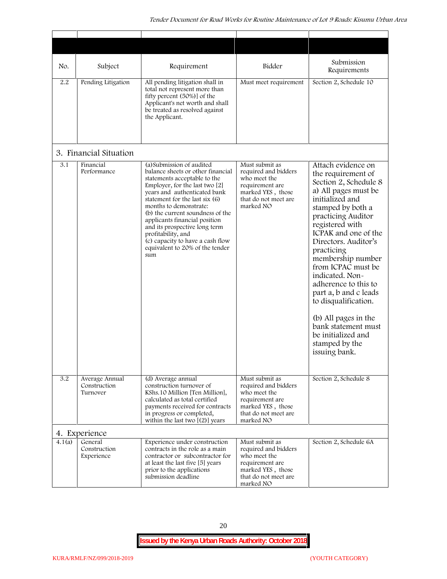| No.    | Subject                                    | Requirement                                                                                                                                                                                                                                                                                                                                                                                                                            | Bidder                                                                                                                              | Submission<br>Requirements                                                                                                                                                                                                                                                                                                                                                                                                                                                              |
|--------|--------------------------------------------|----------------------------------------------------------------------------------------------------------------------------------------------------------------------------------------------------------------------------------------------------------------------------------------------------------------------------------------------------------------------------------------------------------------------------------------|-------------------------------------------------------------------------------------------------------------------------------------|-----------------------------------------------------------------------------------------------------------------------------------------------------------------------------------------------------------------------------------------------------------------------------------------------------------------------------------------------------------------------------------------------------------------------------------------------------------------------------------------|
| 2.2    | Pending Litigation                         | All pending litigation shall in<br>total not represent more than<br>fifty percent (50%)] of the<br>Applicant's net worth and shall<br>be treated as resolved against<br>the Applicant.                                                                                                                                                                                                                                                 | Must meet requirement                                                                                                               | Section 2, Schedule 10                                                                                                                                                                                                                                                                                                                                                                                                                                                                  |
|        | 3. Financial Situation                     |                                                                                                                                                                                                                                                                                                                                                                                                                                        |                                                                                                                                     |                                                                                                                                                                                                                                                                                                                                                                                                                                                                                         |
| 3.1    | Financial<br>Performance                   | (a) Submission of audited<br>balance sheets or other financial<br>statements acceptable to the<br>Employer, for the last two [2]<br>years and authenticated bank<br>statement for the last six (6)<br>months to demonstrate:<br>(b) the current soundness of the<br>applicants financial position<br>and its prospective long term<br>profitability, and<br>(c) capacity to have a cash flow<br>equivalent to 20% of the tender<br>sum | Must submit as<br>required and bidders<br>who meet the<br>requirement are<br>marked YES, those<br>that do not meet are<br>marked NO | Attach evidence on<br>the requirement of<br>Section 2, Schedule 8<br>a) All pages must be<br>initialized and<br>stamped by both a<br>practicing Auditor<br>registered with<br>ICPAK and one of the<br>Directors. Auditor's<br>practicing<br>membership number<br>from ICPAC must be<br>indicated. Non-<br>adherence to this to<br>part a, b and c leads<br>to disqualification.<br>(b) All pages in the<br>bank statement must<br>be initialized and<br>stamped by the<br>issuing bank. |
| 3.2    | Average Annual<br>Construction<br>Turnover | (d) Average annual<br>construction turnover of<br>KShs.10 Million [Ten Million],<br>calculated as total certified<br>payments received for contracts<br>in progress or completed,<br>within the last two $[(2)]$ years                                                                                                                                                                                                                 | Must submit as<br>required and bidders<br>who meet the<br>requirement are<br>marked YES, those<br>that do not meet are<br>marked NO | Section 2, Schedule 8                                                                                                                                                                                                                                                                                                                                                                                                                                                                   |
|        | 4. Experience                              |                                                                                                                                                                                                                                                                                                                                                                                                                                        |                                                                                                                                     |                                                                                                                                                                                                                                                                                                                                                                                                                                                                                         |
| 4.1(a) | General<br>Construction<br>Experience      | Experience under construction<br>contracts in the role as a main<br>contractor or subcontractor for<br>at least the last five [5] years<br>prior to the applications<br>submission deadline                                                                                                                                                                                                                                            | Must submit as<br>required and bidders<br>who meet the<br>requirement are<br>marked YES, those<br>that do not meet are<br>marked NO | Section 2, Schedule 6A                                                                                                                                                                                                                                                                                                                                                                                                                                                                  |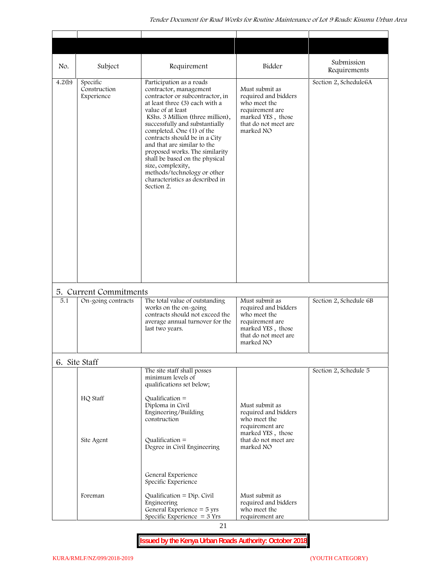| No.    | Subject                                      | Requirement                                                                                                                                                                                                                                                                                                                                                                                                                                                                              | Bidder                                                                                                                              | Submission<br>Requirements |
|--------|----------------------------------------------|------------------------------------------------------------------------------------------------------------------------------------------------------------------------------------------------------------------------------------------------------------------------------------------------------------------------------------------------------------------------------------------------------------------------------------------------------------------------------------------|-------------------------------------------------------------------------------------------------------------------------------------|----------------------------|
| 4.2(b) | Specific<br>Construction<br>Experience       | Participation as a roads<br>contractor, management<br>contractor or subcontractor, in<br>at least three (3) each with a<br>value of at least<br>KShs. 3 Million (three million),<br>successfully and substantially<br>completed. One (1) of the<br>contracts should be in a City<br>and that are similar to the<br>proposed works. The similarity<br>shall be based on the physical<br>size, complexity,<br>methods/technology or other<br>characteristics as described in<br>Section 2. | Must submit as<br>required and bidders<br>who meet the<br>requirement are<br>marked YES, those<br>that do not meet are<br>marked NO | Section 2, Schedule6A      |
| 5.1    | 5. Current Commitments<br>On-going contracts | The total value of outstanding<br>works on the on-going<br>contracts should not exceed the<br>average annual turnover for the<br>last two years.                                                                                                                                                                                                                                                                                                                                         | Must submit as<br>required and bidders<br>who meet the<br>requirement are<br>marked YES, those<br>that do not meet are<br>marked NO | Section 2, Schedule 6B     |
|        | 6. Site Staff                                |                                                                                                                                                                                                                                                                                                                                                                                                                                                                                          |                                                                                                                                     |                            |
|        | HQ Staff                                     | The site staff shall posses<br>minimum levels of<br>qualifications set below;<br>Qualification $=$<br>Diploma in Civil                                                                                                                                                                                                                                                                                                                                                                   | Must submit as                                                                                                                      | Section 2, Schedule 5      |
|        | Site Agent                                   | Engineering/Building<br>construction<br>$Qualification =$                                                                                                                                                                                                                                                                                                                                                                                                                                | required and bidders<br>who meet the<br>requirement are<br>marked YES, those<br>that do not meet are                                |                            |
|        | Foreman                                      | Degree in Civil Engineering<br>General Experience<br>Specific Experience<br>Qualification = $Dip$ . Civil<br>Engineering<br>General Experience $=$ 5 yrs                                                                                                                                                                                                                                                                                                                                 | marked NO<br>Must submit as<br>required and bidders                                                                                 |                            |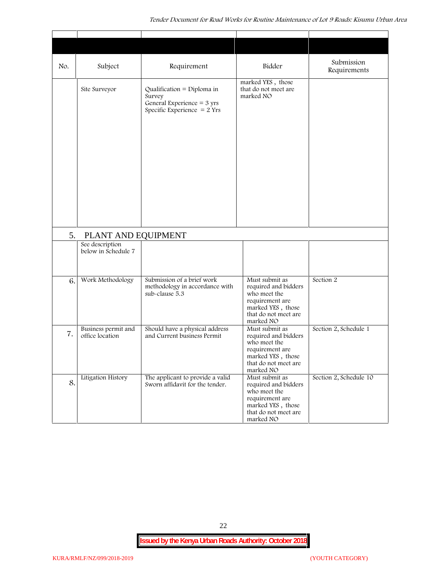| No. | Subject                                | Requirement                                                                                                   | Bidder                                                                                                                              | Submission<br>Requirements |
|-----|----------------------------------------|---------------------------------------------------------------------------------------------------------------|-------------------------------------------------------------------------------------------------------------------------------------|----------------------------|
|     | Site Surveyor                          | Qualification = Diploma in<br>Survey<br>General Experience = $3 \text{ yrs}$<br>Specific Experience $= 2$ Yrs | marked YES, those<br>that do not meet are<br>marked NO                                                                              |                            |
| 5.  | PLANT AND EQUIPMENT                    |                                                                                                               |                                                                                                                                     |                            |
|     | See description<br>below in Schedule 7 |                                                                                                               |                                                                                                                                     |                            |
| 6.  | Work Methodology                       | Submission of a brief work<br>methodology in accordance with<br>sub-clause 5.3                                | Must submit as<br>required and bidders<br>who meet the<br>requirement are<br>marked YES, those<br>that do not meet are<br>marked NO | Section 2                  |
| 7.  | Business permit and<br>office location | Should have a physical address<br>and Current business Permit                                                 | Must submit as<br>required and bidders<br>who meet the<br>requirement are<br>marked YES, those<br>that do not meet are<br>marked NO | Section 2, Schedule 1      |
| 8.  | Litigation History                     | The applicant to provide a valid<br>Sworn affidavit for the tender.                                           | Must submit as<br>required and bidders<br>who meet the<br>requirement are<br>marked YES, those<br>that do not meet are<br>marked NO | Section 2, Schedule 10     |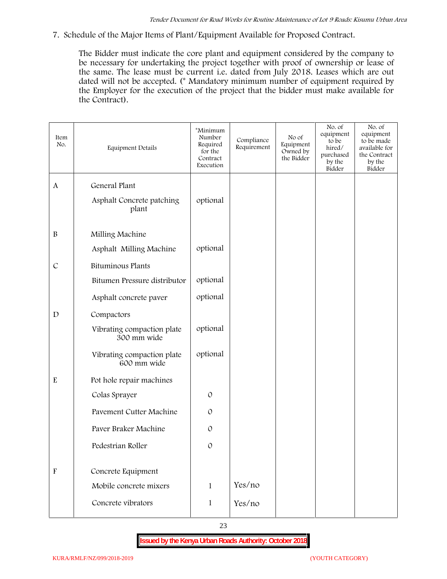**7. Schedule of the Major Items of Plant/Equipment Available for Proposed Contract.**

The Bidder must indicate the core plant and equipment considered by the company to be necessary for undertaking the project together with proof of ownership or lease of the same. The lease must be current i.e. dated from July 2018. Leases which are out dated will not be accepted. (\* Mandatory minimum number of equipment required by the Employer for the execution of the project that the bidder must make available for the Contract).

| Item<br>No.               | Equipment Details                         | *Minimum<br>Number<br>Required<br>for the<br>Contract<br>Execution | Compliance<br>Requirement | No of<br>Equipment<br>Owned by<br>the Bidder | No. of<br>equipment<br>to be<br>hired/<br>purchased<br>by the<br>Bidder | No. of<br>equipment<br>to be made<br>available for<br>the Contract<br>by the<br>Bidder |
|---------------------------|-------------------------------------------|--------------------------------------------------------------------|---------------------------|----------------------------------------------|-------------------------------------------------------------------------|----------------------------------------------------------------------------------------|
| A                         | General Plant                             |                                                                    |                           |                                              |                                                                         |                                                                                        |
|                           | Asphalt Concrete patching<br>plant        | optional                                                           |                           |                                              |                                                                         |                                                                                        |
| $\, {\bf B}$              | Milling Machine                           |                                                                    |                           |                                              |                                                                         |                                                                                        |
|                           | Asphalt Milling Machine                   | optional                                                           |                           |                                              |                                                                         |                                                                                        |
| $\mathcal{C}$             | <b>Bituminous Plants</b>                  |                                                                    |                           |                                              |                                                                         |                                                                                        |
|                           | Bitumen Pressure distributor              | optional                                                           |                           |                                              |                                                                         |                                                                                        |
|                           | Asphalt concrete paver                    | optional                                                           |                           |                                              |                                                                         |                                                                                        |
| $\mathbf D$               | Compactors                                |                                                                    |                           |                                              |                                                                         |                                                                                        |
|                           | Vibrating compaction plate<br>300 mm wide | optional                                                           |                           |                                              |                                                                         |                                                                                        |
|                           | Vibrating compaction plate<br>600 mm wide | optional                                                           |                           |                                              |                                                                         |                                                                                        |
| $\mathbf E$               | Pot hole repair machines                  |                                                                    |                           |                                              |                                                                         |                                                                                        |
|                           | Colas Sprayer                             | $\mathcal{O}$                                                      |                           |                                              |                                                                         |                                                                                        |
|                           | Pavement Cutter Machine                   | $\mathcal{O}$                                                      |                           |                                              |                                                                         |                                                                                        |
|                           | Paver Braker Machine                      | $\mathcal{O}$                                                      |                           |                                              |                                                                         |                                                                                        |
|                           | Pedestrian Roller                         | $\mathcal{O}$                                                      |                           |                                              |                                                                         |                                                                                        |
|                           |                                           |                                                                    |                           |                                              |                                                                         |                                                                                        |
| $\boldsymbol{\mathrm{F}}$ | Concrete Equipment                        |                                                                    |                           |                                              |                                                                         |                                                                                        |
|                           | Mobile concrete mixers                    | $\mathbf{1}$                                                       | Yes/no                    |                                              |                                                                         |                                                                                        |
|                           | Concrete vibrators                        | $\mathbf{1}$                                                       | Yes/no                    |                                              |                                                                         |                                                                                        |
|                           |                                           |                                                                    |                           |                                              |                                                                         |                                                                                        |

23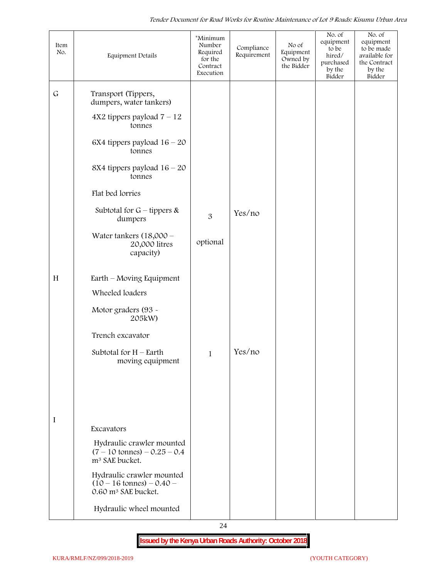| Item<br>No.  | Equipment Details                                                                                 | *Minimum<br>Number<br>Required<br>for the<br>Contract<br>Execution | Compliance<br>Requirement | No of<br>Equipment<br>Owned by<br>the Bidder | No. of<br>equipment<br>to be<br>hired/<br>purchased<br>by the<br>Bidder | No. of<br>equipment<br>to be made<br>available for<br>the Contract<br>by the<br>Bidder |
|--------------|---------------------------------------------------------------------------------------------------|--------------------------------------------------------------------|---------------------------|----------------------------------------------|-------------------------------------------------------------------------|----------------------------------------------------------------------------------------|
| $\mathsf{G}$ | Transport (Tippers,<br>dumpers, water tankers)                                                    |                                                                    |                           |                                              |                                                                         |                                                                                        |
|              | $4X2$ tippers payload $7 - 12$<br>tonnes                                                          |                                                                    |                           |                                              |                                                                         |                                                                                        |
|              | $6X4$ tippers payload $16 - 20$<br>tonnes                                                         |                                                                    |                           |                                              |                                                                         |                                                                                        |
|              | 8X4 tippers payload $16 - 20$<br>tonnes                                                           |                                                                    |                           |                                              |                                                                         |                                                                                        |
|              | Flat bed lorries                                                                                  |                                                                    |                           |                                              |                                                                         |                                                                                        |
|              | Subtotal for $G$ – tippers &<br>dumpers                                                           | 3                                                                  | Yes/no                    |                                              |                                                                         |                                                                                        |
|              | Water tankers $(18,000 -$<br>20,000 litres<br>capacity)                                           | optional                                                           |                           |                                              |                                                                         |                                                                                        |
| $\,$ H       | Earth – Moving Equipment                                                                          |                                                                    |                           |                                              |                                                                         |                                                                                        |
|              | Wheeled loaders                                                                                   |                                                                    |                           |                                              |                                                                         |                                                                                        |
|              | Motor graders (93 -<br>205kW)                                                                     |                                                                    |                           |                                              |                                                                         |                                                                                        |
|              | Trench excavator                                                                                  |                                                                    |                           |                                              |                                                                         |                                                                                        |
|              | Subtotal for $H$ – Earth<br>moving equipment                                                      | $\mathbf{1}$                                                       | Yes/no                    |                                              |                                                                         |                                                                                        |
|              |                                                                                                   |                                                                    |                           |                                              |                                                                         |                                                                                        |
|              |                                                                                                   |                                                                    |                           |                                              |                                                                         |                                                                                        |
| I            | Excavators                                                                                        |                                                                    |                           |                                              |                                                                         |                                                                                        |
|              | Hydraulic crawler mounted<br>$(7 - 10 \text{ tonnes}) - 0.25 - 0.4$<br>m <sup>3</sup> SAE bucket. |                                                                    |                           |                                              |                                                                         |                                                                                        |
|              | Hydraulic crawler mounted<br>$(10 - 16 \text{ tonnes}) - 0.40$<br>0.60 m <sup>3</sup> SAE bucket. |                                                                    |                           |                                              |                                                                         |                                                                                        |
|              | Hydraulic wheel mounted                                                                           |                                                                    |                           |                                              |                                                                         |                                                                                        |

24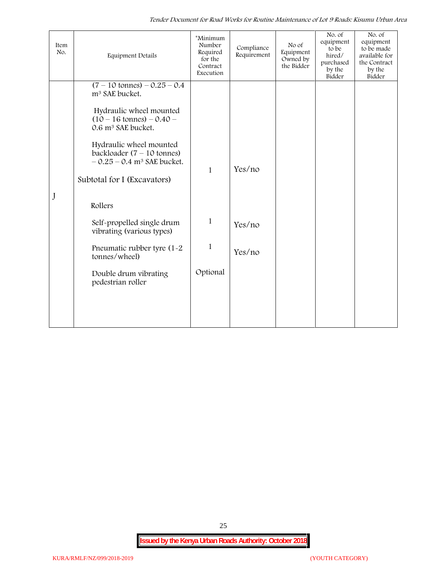*Tender Document for Road Works for Routine Maintenance of Lot 9 Roads: Kisumu Urban Area*

| Item<br>No. | <b>Equipment Details</b>                                                                                                                                                                                                                                                                                                                                                                                                                                                           | *Minimum<br>Number<br>Required<br>for the<br>Contract<br>Execution | Compliance<br>Requirement  | No of<br>Equipment<br>Owned by<br>the Bidder | No. of<br>equipment<br>to be<br>hired/<br>purchased<br>by the<br>Bidder | No. of<br>equipment<br>to be made<br>available for<br>the Contract<br>by the<br>Bidder |
|-------------|------------------------------------------------------------------------------------------------------------------------------------------------------------------------------------------------------------------------------------------------------------------------------------------------------------------------------------------------------------------------------------------------------------------------------------------------------------------------------------|--------------------------------------------------------------------|----------------------------|----------------------------------------------|-------------------------------------------------------------------------|----------------------------------------------------------------------------------------|
| J           | $(7 - 10 \text{ tonnes}) - 0.25 - 0.4$<br>m <sup>3</sup> SAE bucket.<br>Hydraulic wheel mounted<br>$(10 - 16 \text{ tonnes}) - 0.40 -$<br>0.6 m <sup>3</sup> SAE bucket.<br>Hydraulic wheel mounted<br>backloader $(7 - 10$ tonnes)<br>$-0.25 - 0.4$ m <sup>3</sup> SAE bucket.<br>Subtotal for I (Excavators)<br>Rollers<br>Self-propelled single drum<br>vibrating (various types)<br>Pneumatic rubber tyre (1-2)<br>tonnes/wheel)<br>Double drum vibrating<br>pedestrian roller | $\mathbf{1}$<br>1<br>1<br>Optional                                 | Yes/no<br>Yes/no<br>Yes/no |                                              |                                                                         |                                                                                        |
|             |                                                                                                                                                                                                                                                                                                                                                                                                                                                                                    |                                                                    |                            |                                              |                                                                         |                                                                                        |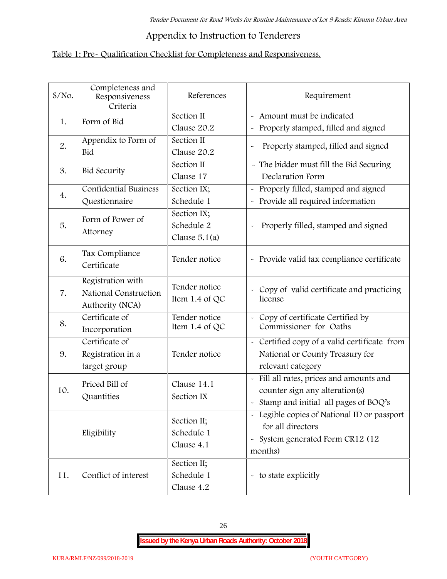# **Appendix to Instruction to Tenderers**

# **Table 1: Pre- Qualification Checklist for Completeness and Responsiveness.**

| $S/NO$ . | Completeness and<br>Responsiveness<br>Criteria                | References                                   | Requirement                                                                                                                               |
|----------|---------------------------------------------------------------|----------------------------------------------|-------------------------------------------------------------------------------------------------------------------------------------------|
| 1.       | Form of Bid                                                   | Section II<br>Clause 20.2                    | Amount must be indicated<br>Properly stamped, filled and signed<br>$\tilde{\phantom{a}}$                                                  |
| 2.       | Appendix to Form of<br>Bid                                    | Section II<br>Clause 20.2                    | Properly stamped, filled and signed<br>$\sim$                                                                                             |
| 3.       | <b>Bid Security</b>                                           | Section II<br>Clause 17                      | - The bidder must fill the Bid Securing<br>Declaration Form                                                                               |
| 4.       | Confidential Business<br>Questionnaire                        | Section IX;<br>Schedule 1                    | Properly filled, stamped and signed<br>$\tilde{\phantom{a}}$<br>Provide all required information                                          |
| 5.       | Form of Power of<br>Attorney                                  | Section IX;<br>Schedule 2<br>Clause $5.1(a)$ | Properly filled, stamped and signed                                                                                                       |
| 6.       | Tax Compliance<br>Certificate                                 | Tender notice                                | - Provide valid tax compliance certificate                                                                                                |
| 7.       | Registration with<br>National Construction<br>Authority (NCA) | Tender notice<br>Item $1.4$ of QC            | - Copy of valid certificate and practicing<br>license                                                                                     |
| 8.       | Certificate of<br>Incorporation                               | Tender notice<br>Item 1.4 of QC              | - Copy of certificate Certified by<br>Commissioner for Oaths                                                                              |
| 9.       | Certificate of<br>Registration in a<br>target group           | Tender notice                                | - Certified copy of a valid certificate from<br>National or County Treasury for<br>relevant category                                      |
| 10.      | Priced Bill of<br>Quantities                                  | Clause 14.1<br>Section IX                    | Fill all rates, prices and amounts and<br>$\tilde{\phantom{a}}$<br>counter sign any alteration(s)<br>Stamp and initial all pages of BOQ's |
|          | Eligibility                                                   | Section II;<br>Schedule 1<br>Clause 4.1      | Legible copies of National ID or passport<br>for all directors<br>System generated Form CR12 (12<br>$\widetilde{\phantom{m}}$<br>months)  |
| 11.      | Conflict of interest                                          | Section II;<br>Schedule 1<br>Clause 4.2      | - to state explicitly                                                                                                                     |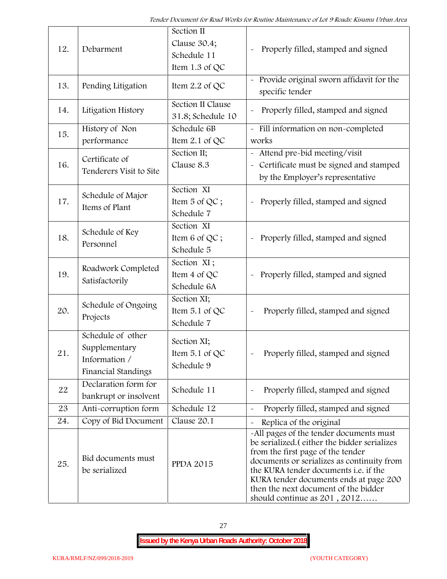| 12. | Debarment                                                                  | Section II<br>Clause 30.4;<br>Schedule 11<br>Item 1.3 of QC | Properly filled, stamped and signed                                                                                                                                                                                                                                                                                                            |
|-----|----------------------------------------------------------------------------|-------------------------------------------------------------|------------------------------------------------------------------------------------------------------------------------------------------------------------------------------------------------------------------------------------------------------------------------------------------------------------------------------------------------|
| 13. | Pending Litigation                                                         | Item 2.2 of QC                                              | Provide original sworn affidavit for the<br>specific tender                                                                                                                                                                                                                                                                                    |
| 14. | Litigation History                                                         | Section II Clause<br>31.8; Schedule 10                      | Properly filled, stamped and signed                                                                                                                                                                                                                                                                                                            |
| 15. | History of Non<br>performance                                              | Schedule 6B<br>Item $2.1$ of QC                             | - Fill information on non-completed<br>works                                                                                                                                                                                                                                                                                                   |
| 16. | Certificate of<br>Tenderers Visit to Site                                  | Section II;<br>Clause 8.3                                   | - Attend pre-bid meeting/visit<br>- Certificate must be signed and stamped<br>by the Employer's representative                                                                                                                                                                                                                                 |
| 17. | Schedule of Major<br>Items of Plant                                        | Section XI<br>Item 5 of QC;<br>Schedule 7                   | Properly filled, stamped and signed                                                                                                                                                                                                                                                                                                            |
| 18. | Schedule of Key<br>Personnel                                               | Section XI<br>Item 6 of QC;<br>Schedule 5                   | Properly filled, stamped and signed                                                                                                                                                                                                                                                                                                            |
| 19. | Roadwork Completed<br>Satisfactorily                                       | Section XI;<br>Item 4 of QC<br>Schedule 6A                  | Properly filled, stamped and signed<br>$\tilde{\phantom{a}}$                                                                                                                                                                                                                                                                                   |
| 20. | Schedule of Ongoing<br>Projects                                            | Section XI;<br>Item 5.1 of QC<br>Schedule 7                 | Properly filled, stamped and signed                                                                                                                                                                                                                                                                                                            |
| 21  | Schedule of other<br>Supplementary<br>Information /<br>Financial Standings | Section XI;<br>Item $5.1$ of QC<br>Schedule 9               | Properly filled, stamped and signed                                                                                                                                                                                                                                                                                                            |
| 22  | Declaration form for<br>bankrupt or insolvent                              | Schedule 11                                                 | Properly filled, stamped and signed                                                                                                                                                                                                                                                                                                            |
| 23  | Anti-corruption form                                                       | Schedule 12                                                 | Properly filled, stamped and signed                                                                                                                                                                                                                                                                                                            |
| 24. | Copy of Bid Document                                                       | Clause 20.1                                                 | Replica of the original                                                                                                                                                                                                                                                                                                                        |
| 25. | Bid documents must<br>be serialized                                        | <b>PPDA 2015</b>                                            | -All pages of the tender documents must<br>be serialized. (either the bidder serializes<br>from the first page of the tender<br>documents or serializes as continuity from<br>the KURA tender documents <i>i.e.</i> if the<br>KURA tender documents ends at page 200<br>then the next document of the bidder<br>should continue as $201, 2012$ |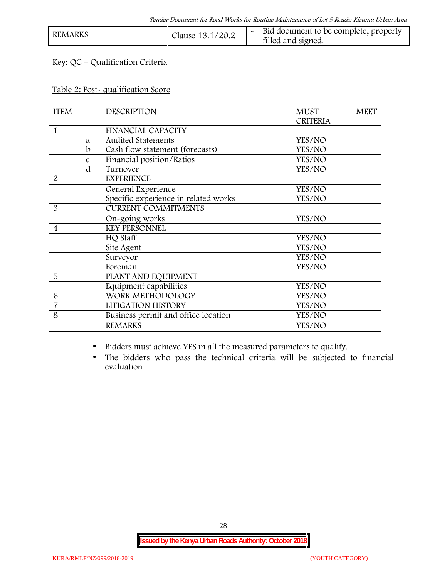| <b>REMARKS</b><br>Clause 13.1/20.2 |  | Bid document to be complete, properly<br>filled and signed. |  |
|------------------------------------|--|-------------------------------------------------------------|--|
|------------------------------------|--|-------------------------------------------------------------|--|

# **Key:** QC – Qualification Criteria

#### **Table 2: Post- qualification Score**

| <b>ITEM</b>              |               | <b>DESCRIPTION</b>                   | <b>MUST</b><br><b>MEET</b> |
|--------------------------|---------------|--------------------------------------|----------------------------|
|                          |               |                                      | <b>CRITERIA</b>            |
| 1                        |               | <b>FINANCIAL CAPACITY</b>            |                            |
|                          | a             | Audited Statements                   | YES/NO                     |
|                          | b             | Cash flow statement (forecasts)      | YES/NO                     |
|                          | $\mathcal{C}$ | Financial position/Ratios            | YES/NO                     |
|                          | d             | Turnover                             | YES/NO                     |
| $\overline{2}$           |               | <b>EXPERIENCE</b>                    |                            |
|                          |               | General Experience                   | YES/NO                     |
|                          |               | Specific experience in related works | YES/NO                     |
| 3                        |               | <b>CURRENT COMMITMENTS</b>           |                            |
|                          |               | On-going works                       | YES/NO                     |
| $\overline{\mathcal{A}}$ |               | <b>KEY PERSONNEL</b>                 |                            |
|                          |               | HQ Staff                             | YES/NO                     |
|                          |               | Site Agent                           | YES/NO                     |
|                          |               | Surveyor                             | YES/NO                     |
|                          |               | Foreman                              | YES/NO                     |
| 5                        |               | PLANT AND EQUIPMENT                  |                            |
|                          |               | Equipment capabilities               | YES/NO                     |
| 6                        |               | WORK METHODOLOGY                     | YES/NO                     |
| $\overline{7}$           |               | LITIGATION HISTORY                   | YES/NO                     |
| 8                        |               | Business permit and office location  | YES/NO                     |
|                          |               | <b>REMARKS</b>                       | YES/NO                     |
|                          |               |                                      |                            |

Bidders must achieve YES in all the measured parameters to qualify.

 The bidders who pass the technical criteria will be subjected to financial evaluation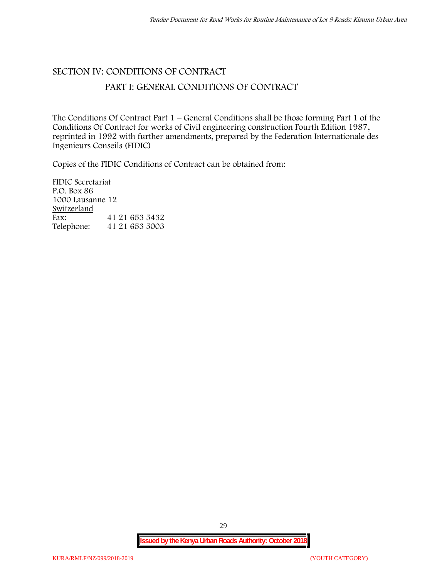## **SECTION IV: CONDITIONS OF CONTRACT**

### **PART I: GENERAL CONDITIONS OF CONTRACT**

The Conditions Of Contract Part 1 – General Conditions shall be those forming Part 1 of the Conditions Of Contract for works of Civil engineering construction Fourth Edition 1987, reprinted in 1992 with further amendments, prepared by the Federation Internationale des Ingenieurs Conseils (FIDIC)

Copies of the FIDIC Conditions of Contract can be obtained from:

FIDIC Secretariat P.O. Box 86 1000 Lausanne 12 **Switzerland** Fax: 41 21 653 5432 Telephone: 41 21 653 5003

29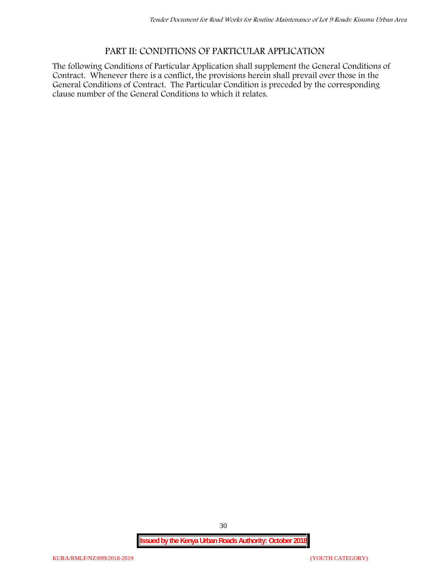# **PART II: CONDITIONS OF PARTICULAR APPLICATION**

The following Conditions of Particular Application shall supplement the General Conditions of Contract. Whenever there is a conflict, the provisions herein shall prevail over those in the General Conditions of Contract. The Particular Condition is preceded by the corresponding clause number of the General Conditions to which it relates.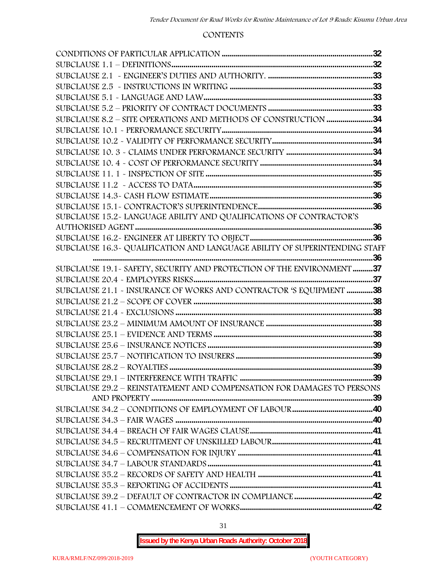#### **CONTENTS**

| SUBCLAUSE 15.2-LANGUAGE ABILITY AND QUALIFICATIONS OF CONTRACTOR'S         |  |
|----------------------------------------------------------------------------|--|
|                                                                            |  |
|                                                                            |  |
| SUBCLAUSE 16.3~ QUALIFICATION AND LANGUAGE ABILITY OF SUPERINTENDING STAFF |  |
|                                                                            |  |
| SUBCLAUSE 19.1 - SAFETY, SECURITY AND PROTECTION OF THE ENVIRONMENT 37     |  |
|                                                                            |  |
| SUBCLAUSE 21.1 - INSURANCE OF WORKS AND CONTRACTOR 'S EQUIPMENT 38         |  |
|                                                                            |  |
|                                                                            |  |
|                                                                            |  |
|                                                                            |  |
|                                                                            |  |
|                                                                            |  |
|                                                                            |  |
| SUBCLAUSE 29.2 - REINSTATEMENT AND COMPENSATION FOR DAMAGES TO PERSONS     |  |
|                                                                            |  |
|                                                                            |  |
|                                                                            |  |
|                                                                            |  |
|                                                                            |  |
|                                                                            |  |
|                                                                            |  |
|                                                                            |  |
|                                                                            |  |
|                                                                            |  |
|                                                                            |  |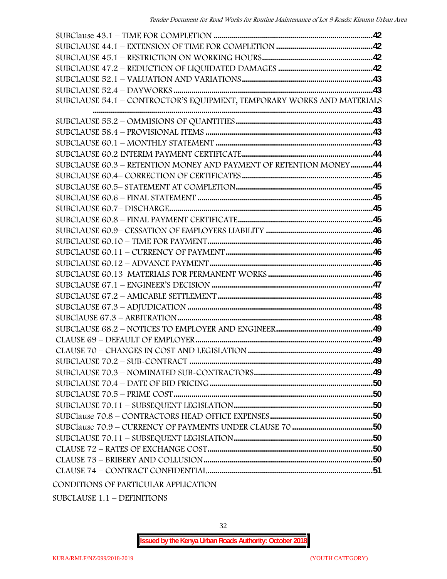| SUBCLAUSE 54.1 - CONTROCTOR'S EQUIPMENT, TEMPORARY WORKS AND MATERIALS |  |
|------------------------------------------------------------------------|--|
|                                                                        |  |
|                                                                        |  |
|                                                                        |  |
|                                                                        |  |
|                                                                        |  |
| SUBCLAUSE 60.3 - RETENTION MONEY AND PAYMENT OF RETENTION MONEY44      |  |
|                                                                        |  |
|                                                                        |  |
|                                                                        |  |
|                                                                        |  |
|                                                                        |  |
|                                                                        |  |
|                                                                        |  |
|                                                                        |  |
|                                                                        |  |
|                                                                        |  |
|                                                                        |  |
|                                                                        |  |
|                                                                        |  |
|                                                                        |  |
|                                                                        |  |
|                                                                        |  |
|                                                                        |  |
|                                                                        |  |
|                                                                        |  |
|                                                                        |  |
|                                                                        |  |
|                                                                        |  |
|                                                                        |  |
|                                                                        |  |
|                                                                        |  |
|                                                                        |  |
|                                                                        |  |
|                                                                        |  |

SUBCLAUSE 1.1 – DEFINITIONS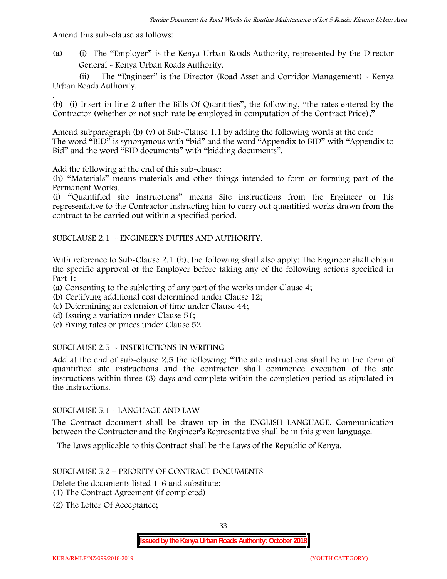Amend this sub-clause as follows:

(a) (i) The "Employer" is the Kenya Urban Roads Authority, represented by the Director General - Kenya Urban Roads Authority.

(ii) The "Engineer" is the Director (Road Asset and Corridor Management) - Kenya Urban Roads Authority.

.(b) (i) Insert in line 2 after the Bills Of Quantities", the following, "the rates entered by the Contractor (whether or not such rate be employed in computation of the Contract Price),"

Amend subparagraph (b) (v) of Sub-Clause 1.1 by adding the following words at the end: The word "BID" is synonymous with "bid" and the word "Appendix to BID" with "Appendix to Bid" and the word "BID documents" with "bidding documents".

Add the following at the end of this sub-clause:

(h) "Materials" means materials and other things intended to form or forming part of the Permanent Works.

(i) "Quantified site instructions" means Site instructions from the Engineer or his representative to the Contractor instructing him to carry out quantified works drawn from the contract to be carried out within a specified period.

SUBCLAUSE 2.1 - ENGINEER'S DUTIES AND AUTHORITY.

With reference to Sub-Clause 2.1 (b), the following shall also apply: The Engineer shall obtain the specific approval of the Employer before taking any of the following actions specified in Part 1:

(a) Consenting to the subletting of any part of the works under Clause 4;

- (b) Certifying additional cost determined under Clause 12;
- (c) Determining an extension of time under Clause 44;
- (d) Issuing a variation under Clause 51;
- (e) Fixing rates or prices under Clause 52

#### SUBCLAUSE 2.5 - INSTRUCTIONS IN WRITING

Add at the end of sub-clause 2.5 the following: "The site instructions shall be in the form of quantiffied site instructions and the contractor shall commence execution of the site instructions within three (3) days and complete within the completion period as stipulated in the instructions.

#### SUBCLAUSE 5.1 - LANGUAGE AND LAW

The Contract document shall be drawn up in the ENGLISH LANGUAGE. Communication between the Contractor and the Engineer's Representative shall be in this given language.

The Laws applicable to this Contract shall be the Laws of the Republic of Kenya.

#### SUBCLAUSE 5.2 – PRIORITY OF CONTRACT DOCUMENTS

Delete the documents listed 1-6 and substitute:

- (1) The Contract Agreement (if completed)
- (2) The Letter Of Acceptance;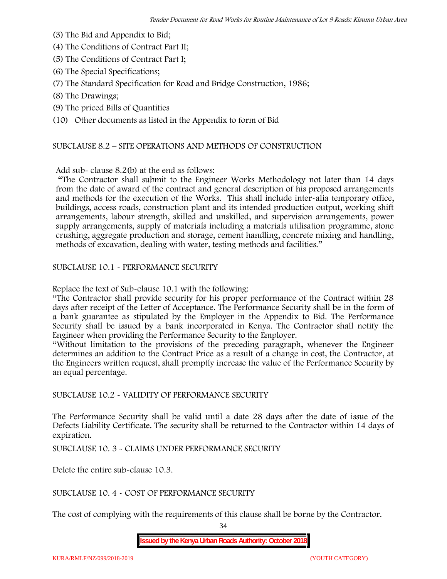- (3) The Bid and Appendix to Bid;
- (4) The Conditions of Contract Part II;
- (5) The Conditions of Contract Part I;
- (6) The Special Specifications;
- (7) The Standard Specification for Road and Bridge Construction, 1986;
- (8) The Drawings;
- (9) The priced Bills of Quantities

(10) Other documents as listed in the Appendix to form of Bid

#### SUBCLAUSE 8.2 – SITE OPERATIONS AND METHODS OF CONSTRUCTION

Add sub- clause 8.2(b) at the end as follows:

"The Contractor shall submit to the Engineer Works Methodology not later than 14 days from the date of award of the contract and general description of his proposed arrangements and methods for the execution of the Works. This shall include inter-alia temporary office, buildings, access roads, construction plant and its intended production output, working shift arrangements, labour strength, skilled and unskilled, and supervision arrangements, power supply arrangements, supply of materials including a materials utilisation programme, stone crushing, aggregate production and storage, cement handling, concrete mixing and handling, methods of excavation, dealing with water, testing methods and facilities."

SUBCLAUSE 10.1 - PERFORMANCE SECURITY

Replace the text of Sub-clause 10.1 with the following:

"The Contractor shall provide security for his proper performance of the Contract within 28 days after receipt of the Letter of Acceptance. The Performance Security shall be in the form of a bank guarantee as stipulated by the Employer in the Appendix to Bid. The Performance Security shall be issued by a bank incorporated in Kenya. The Contractor shall notify the Engineer when providing the Performance Security to the Employer.

"Without limitation to the provisions of the preceding paragraph, whenever the Engineer determines an addition to the Contract Price as a result of a change in cost, the Contractor, at the Engineers written request, shall promptly increase the value of the Performance Security by an equal percentage.

SUBCLAUSE 10.2 - VALIDITY OF PERFORMANCE SECURITY

The Performance Security shall be valid until a date 28 days after the date of issue of the Defects Liability Certificate. The security shall be returned to the Contractor within 14 days of expiration.

SUBCLAUSE 10. 3 - CLAIMS UNDER PERFORMANCE SECURITY

Delete the entire sub-clause 10.3.

SUBCLAUSE 10. 4 - COST OF PERFORMANCE SECURITY

The cost of complying with the requirements of this clause shall be borne by the Contractor.

34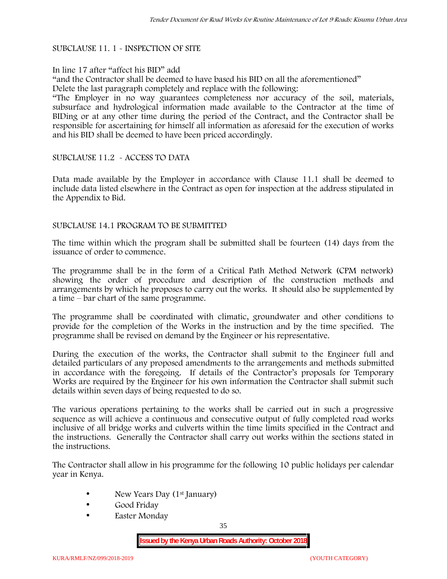#### SUBCLAUSE 11. 1 - INSPECTION OF SITE

#### In line 17 after "affect his BID" add

"and the Contractor shall be deemed to have based his BID on all the aforementioned" Delete the last paragraph completely and replace with the following:

"The Employer in no way guarantees completeness nor accuracy of the soil, materials, subsurface and hydrological information made available to the Contractor at the time of BIDing or at any other time during the period of the Contract, and the Contractor shall be responsible for ascertaining for himself all information as aforesaid for the execution of works and his BID shall be deemed to have been priced accordingly.

#### SUBCLAUSE 11.2 - ACCESS TO DATA

Data made available by the Employer in accordance with Clause 11.1 shall be deemed to include data listed elsewhere in the Contract as open for inspection at the address stipulated in the Appendix to Bid.

#### SUBCLAUSE 14.1 PROGRAM TO BE SUBMITTED

The time within which the program shall be submitted shall be fourteen (14) days from the issuance of order to commence**.**

The programme shall be in the form of a Critical Path Method Network (CPM network) showing the order of procedure and description of the construction methods and arrangements by which he proposes to carry out the works. It should also be supplemented by a time – bar chart of the same programme.

The programme shall be coordinated with climatic, groundwater and other conditions to provide for the completion of the Works in the instruction and by the time specified. The programme shall be revised on demand by the Engineer or his representative.

During the execution of the works, the Contractor shall submit to the Engineer full and detailed particulars of any proposed amendments to the arrangements and methods submitted in accordance with the foregoing. If details of the Contractor's proposals for Temporary Works are required by the Engineer for his own information the Contractor shall submit such details within seven days of being requested to do so.

The various operations pertaining to the works shall be carried out in such a progressive sequence as will achieve a continuous and consecutive output of fully completed road works inclusive of all bridge works and culverts within the time limits specified in the Contract and the instructions. Generally the Contractor shall carry out works within the sections stated in the instructions.

The Contractor shall allow in his programme for the following 10 public holidays per calendar year in Kenya.

- New Years Day (1<sup>st</sup> January)
- Good Friday
- Easter Monday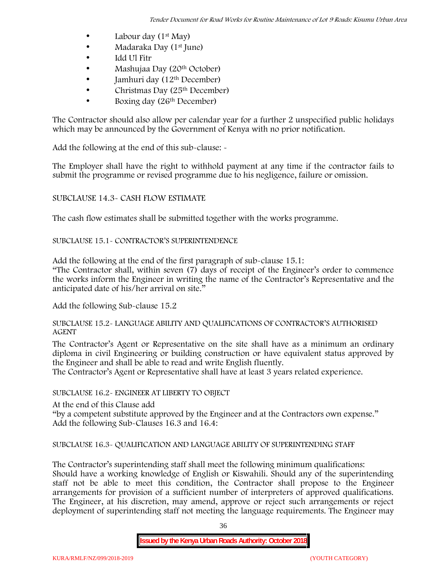- Labour day  $(1<sup>st</sup>$  May)
- Madaraka Day (1<sup>st</sup> June)
- Idd Ul Fitr
- Mashujaa Day (20<sup>th</sup> October)
- $\bullet$  Jamhuri day (12<sup>th</sup> December)
- $\bullet$  Christmas Day (25<sup>th</sup> December)
- Boxing day (26th December)

The Contractor should also allow per calendar year for a further 2 unspecified public holidays which may be announced by the Government of Kenya with no prior notification.

Add the following at the end of this sub-clause: -

The Employer shall have the right to withhold payment at any time if the contractor fails to submit the programme or revised programme due to his negligence, failure or omission.

# SUBCLAUSE 14.3- CASH FLOW ESTIMATE

The cash flow estimates shall be submitted together with the works programme.

# SUBCLAUSE 15.1- CONTRACTOR'S SUPERINTENDENCE

Add the following at the end of the first paragraph of sub-clause 15.1:

"The Contractor shall, within seven (7) days of receipt of the Engineer's order to commence the works inform the Engineer in writing the name of the Contractor's Representative and the anticipated date of his/her arrival on site."

Add the following Sub-clause 15.2

### SUBCLAUSE 15.2- LANGUAGE ABILITY AND QUALIFICATIONS OF CONTRACTOR'S AUTHORISED AGENT

The Contractor's Agent or Representative on the site shall have as a minimum an ordinary diploma in civil Engineering or building construction or have equivalent status approved by the Engineer and shall be able to read and write English fluently.

The Contractor's Agent or Representative shall have at least 3 years related experience.

# SUBCLAUSE 16.2- ENGINEER AT LIBERTY TO OBJECT

At the end of this Clause add

"by a competent substitute approved by the Engineer and at the Contractors own expense." Add the following Sub-Clauses 16.3 and 16.4:

# SUBCLAUSE 16.3- QUALIFICATION AND LANGUAGE ABILITY OF SUPERINTENDING STAFF

The Contractor's superintending staff shall meet the following minimum qualifications: Should have a working knowledge of English or Kiswahili. Should any of the superintending staff not be able to meet this condition, the Contractor shall propose to the Engineer arrangements for provision of a sufficient number of interpreters of approved qualifications. The Engineer, at his discretion, may amend, approve or reject such arrangements or reject deployment of superintending staff not meeting the language requirements. The Engineer may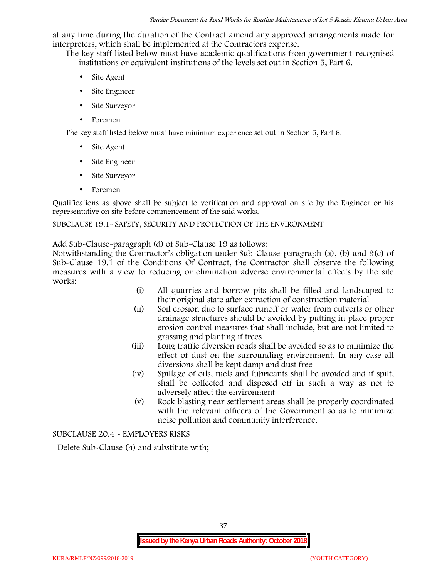at any time during the duration of the Contract amend any approved arrangements made for interpreters, which shall be implemented at the Contractors expense.

The key staff listed below must have academic qualifications from government-recognised institutions or equivalent institutions of the levels set out in Section 5, Part 6.

- Site Agent
- Site Engineer
- Site Surveyor
- Foremen

The key staff listed below must have minimum experience set out in Section 5, Part 6:

- Site Agent
- Site Engineer
- Site Surveyor
- Foremen

Qualifications as above shall be subject to verification and approval on site by the Engineer or his representative on site before commencement of the said works.

# SUBCLAUSE 19.1- SAFETY, SECURITY AND PROTECTION OF THE ENVIRONMENT

Add Sub-Clause-paragraph (d) of Sub-Clause 19 as follows:

Notwithstanding the Contractor's obligation under Sub-Clause-paragraph (a), (b) and 9(c) of Sub-Clause 19.1 of the Conditions Of Contract, the Contractor shall observe the following measures with a view to reducing or elimination adverse environmental effects by the site works:

- (i) All quarries and borrow pits shall be filled and landscaped to their original state after extraction of construction material
- (ii) Soil erosion due to surface runoff or water from culverts or other drainage structures should be avoided by putting in place proper erosion control measures that shall include, but are not limited to grassing and planting if trees
- (iii) Long traffic diversion roads shall be avoided so as to minimize the effect of dust on the surrounding environment. In any case all diversions shall be kept damp and dust free
- (iv) Spillage of oils, fuels and lubricants shall be avoided and if spilt, shall be collected and disposed off in such a way as not to adversely affect the environment
- (v) Rock blasting near settlement areas shall be properly coordinated with the relevant officers of the Government so as to minimize noise pollution and community interference.

SUBCLAUSE 20.4 - EMPLOYERS RISKS

Delete Sub-Clause (h) and substitute with;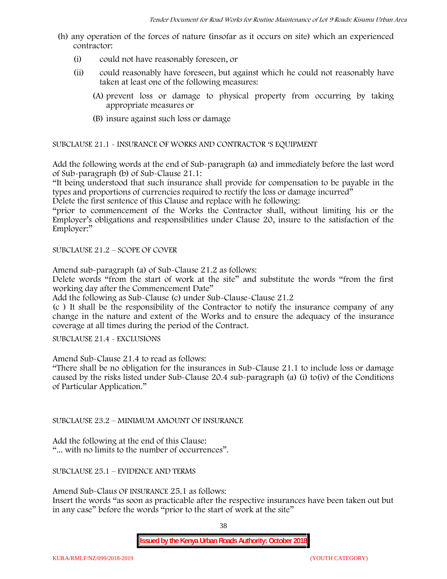- (h) any operation of the forces of nature (insofar as it occurs on site) which an experienced contractor:
	- (i) could not have reasonably foreseen, or
	- (ii) could reasonably have foreseen, but against which he could not reasonably have taken at least one of the following measures:
		- (A) prevent loss or damage to physical property from occurring by taking appropriate measures or
		- (B) insure against such loss or damage

SUBCLAUSE 21.1 - INSURANCE OF WORKS AND CONTRACTOR 'S EQUIPMENT

Add the following words at the end of Sub-paragraph (a) and immediately before the last word of Sub-paragraph (b) of Sub-Clause 21.1:

"It being understood that such insurance shall provide for compensation to be payable in the types and proportions of currencies required to rectify the loss or damage incurred"

Delete the first sentence of this Clause and replace with he following:

"prior to commencement of the Works the Contractor shall, without limiting his or the Employer's obligations and responsibilities under Clause 20, insure to the satisfaction of the Employer:"

SUBCLAUSE 21.2 – SCOPE OF COVER

Amend sub-paragraph (a) of Sub-Clause 21.2 as follows:

Delete words "from the start of work at the site" and substitute the words "from the first working day after the Commencement Date"

Add the following as Sub-Clause (c) under Sub-Clause-Clause 21.2

(c ) It shall be the responsibility of the Contractor to notify the insurance company of any change in the nature and extent of the Works and to ensure the adequacy of the insurance coverage at all times during the period of the Contract.

SUBCLAUSE 21.4 - EXCLUSIONS

Amend Sub-Clause 21.4 to read as follows:

"There shall be no obligation for the insurances in Sub-Clause 21.1 to include loss or damage caused by the risks listed under Sub-Clause 20.4 sub-paragraph (a) (i) to(iv) of the Conditions of Particular Application."

SUBCLAUSE 23.2 – MINIMUM AMOUNT OF INSURANCE

Add the following at the end of this Clause: "... with no limits to the number of occurrences".

SUBCLAUSE 25.1 – EVIDENCE AND TERMS

Amend Sub-Claus OF INSURANCE 25.1 as follows:

Insert the words "as soon as practicable after the respective insurances have been taken out but in any case" before the words "prior to the start of work at the site"

38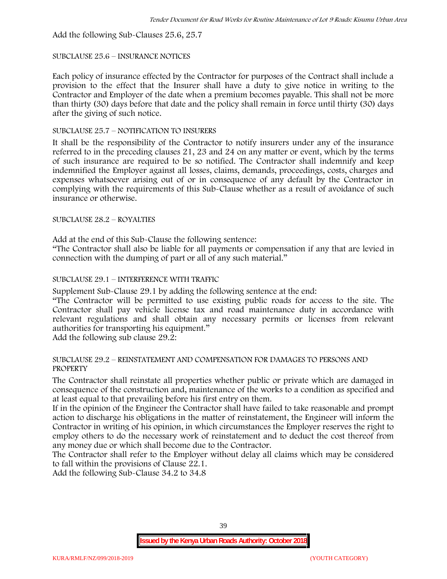Add the following Sub-Clauses 25.6, 25.7

### SUBCLAUSE 25.6 – INSURANCE NOTICES

Each policy of insurance effected by the Contractor for purposes of the Contract shall include a provision to the effect that the Insurer shall have a duty to give notice in writing to the Contractor and Employer of the date when a premium becomes payable. This shall not be more than thirty (30) days before that date and the policy shall remain in force until thirty (30) days after the giving of such notice.

### SUBCLAUSE 25.7 – NOTIFICATION TO INSURERS

It shall be the responsibility of the Contractor to notify insurers under any of the insurance referred to in the preceding clauses 21, 23 and 24 on any matter or event, which by the terms of such insurance are required to be so notified. The Contractor shall indemnify and keep indemnified the Employer against all losses, claims, demands, proceedings, costs, charges and expenses whatsoever arising out of or in consequence of any default by the Contractor in complying with the requirements of this Sub-Clause whether as a result of avoidance of such insurance or otherwise.

# SUBCLAUSE 28.2 – ROYALTIES

Add at the end of this Sub-Clause the following sentence:

"The Contractor shall also be liable for all payments or compensation if any that are levied in connection with the dumping of part or all of any such material."

# SUBCLAUSE 29.1 – INTERFERENCE WITH TRAFFIC

Supplement Sub-Clause 29.1 by adding the following sentence at the end:

"The Contractor will be permitted to use existing public roads for access to the site. The Contractor shall pay vehicle license tax and road maintenance duty in accordance with relevant regulations and shall obtain any necessary permits or licenses from relevant authorities for transporting his equipment."

Add the following sub clause 29.2:

#### SUBCLAUSE 29.2 – REINSTATEMENT AND COMPENSATION FOR DAMAGES TO PERSONS AND PROPERTY

The Contractor shall reinstate all properties whether public or private which are damaged in consequence of the construction and, maintenance of the works to a condition as specified and at least equal to that prevailing before his first entry on them.

If in the opinion of the Engineer the Contractor shall have failed to take reasonable and prompt action to discharge his obligations in the matter of reinstatement, the Engineer will inform the Contractor in writing of his opinion, in which circumstances the Employer reserves the right to employ others to do the necessary work of reinstatement and to deduct the cost thereof from any money due or which shall become due to the Contractor.

The Contractor shall refer to the Employer without delay all claims which may be considered to fall within the provisions of Clause 22.1.

Add the following Sub-Clause 34.2 to 34.8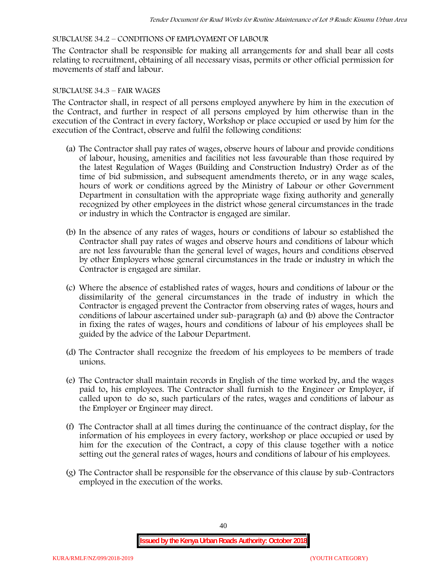### SUBCLAUSE 34.2 – CONDITIONS OF EMPLOYMENT OF LABOUR

The Contractor shall be responsible for making all arrangements for and shall bear all costs relating to recruitment, obtaining of all necessary visas, permits or other official permission for movements of staff and labour.

### SUBCLAUSE 34.3 – FAIR WAGES

The Contractor shall, in respect of all persons employed anywhere by him in the execution of the Contract, and further in respect of all persons employed by him otherwise than in the execution of the Contract in every factory, Workshop or place occupied or used by him for the execution of the Contract, observe and fulfil the following conditions:

- (a) The Contractor shall pay rates of wages, observe hours of labour and provide conditions of labour, housing, amenities and facilities not less favourable than those required by the latest Regulation of Wages (Building and Construction Industry) Order as of the time of bid submission, and subsequent amendments thereto, or in any wage scales, hours of work or conditions agreed by the Ministry of Labour or other Government Department in consultation with the appropriate wage fixing authority and generally recognized by other employees in the district whose general circumstances in the trade or industry in which the Contractor is engaged are similar.
- (b) In the absence of any rates of wages, hours or conditions of labour so established the Contractor shall pay rates of wages and observe hours and conditions of labour which are not less favourable than the general level of wages, hours and conditions observed by other Employers whose general circumstances in the trade or industry in which the Contractor is engaged are similar.
- (c) Where the absence of established rates of wages, hours and conditions of labour or the dissimilarity of the general circumstances in the trade of industry in which the Contractor is engaged prevent the Contractor from observing rates of wages, hours and conditions of labour ascertained under sub-paragraph (a) and (b) above the Contractor in fixing the rates of wages, hours and conditions of labour of his employees shall be guided by the advice of the Labour Department.
- (d) The Contractor shall recognize the freedom of his employees to be members of trade unions.
- (e) The Contractor shall maintain records in English of the time worked by, and the wages paid to, his employees. The Contractor shall furnish to the Engineer or Employer, if called upon to do so, such particulars of the rates, wages and conditions of labour as the Employer or Engineer may direct.
- (f) The Contractor shall at all times during the continuance of the contract display, for the information of his employees in every factory, workshop or place occupied or used by him for the execution of the Contract, a copy of this clause together with a notice setting out the general rates of wages, hours and conditions of labour of his employees.
- (g) The Contractor shall be responsible for the observance of this clause by sub-Contractors employed in the execution of the works.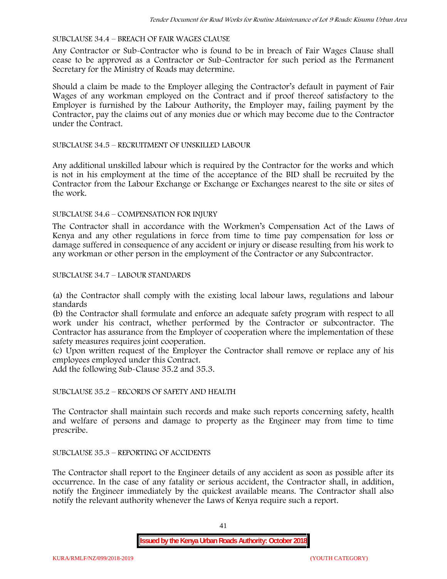### SUBCLAUSE 34.4 – BREACH OF FAIR WAGES CLAUSE

Any Contractor or Sub-Contractor who is found to be in breach of Fair Wages Clause shall cease to be approved as a Contractor or Sub-Contractor for such period as the Permanent Secretary for the Ministry of Roads may determine.

Should a claim be made to the Employer alleging the Contractor's default in payment of Fair Wages of any workman employed on the Contract and if proof thereof satisfactory to the Employer is furnished by the Labour Authority, the Employer may, failing payment by the Contractor, pay the claims out of any monies due or which may become due to the Contractor under the Contract.

### SUBCLAUSE 34.5 – RECRUITMENT OF UNSKILLED LABOUR

Any additional unskilled labour which is required by the Contractor for the works and which is not in his employment at the time of the acceptance of the BID shall be recruited by the Contractor from the Labour Exchange or Exchange or Exchanges nearest to the site or sites of the work.

### SUBCLAUSE 34.6 – COMPENSATION FOR INJURY

The Contractor shall in accordance with the Workmen's Compensation Act of the Laws of Kenya and any other regulations in force from time to time pay compensation for loss or damage suffered in consequence of any accident or injury or disease resulting from his work to any workman or other person in the employment of the Contractor or any Subcontractor.

### SUBCLAUSE 34.7 – LABOUR STANDARDS

(a) the Contractor shall comply with the existing local labour laws, regulations and labour standards

(b) the Contractor shall formulate and enforce an adequate safety program with respect to all work under his contract, whether performed by the Contractor or subcontractor. The Contractor has assurance from the Employer of cooperation where the implementation of these safety measures requires joint cooperation.

(c) Upon written request of the Employer the Contractor shall remove or replace any of his employees employed under this Contract.

Add the following Sub-Clause 35.2 and 35.3.

# SUBCLAUSE 35.2 – RECORDS OF SAFETY AND HEALTH

The Contractor shall maintain such records and make such reports concerning safety, health and welfare of persons and damage to property as the Engineer may from time to time prescribe.

#### SUBCLAUSE 35.3 – REPORTING OF ACCIDENTS

The Contractor shall report to the Engineer details of any accident as soon as possible after its occurrence. In the case of any fatality or serious accident, the Contractor shall, in addition, notify the Engineer immediately by the quickest available means. The Contractor shall also notify the relevant authority whenever the Laws of Kenya require such a report.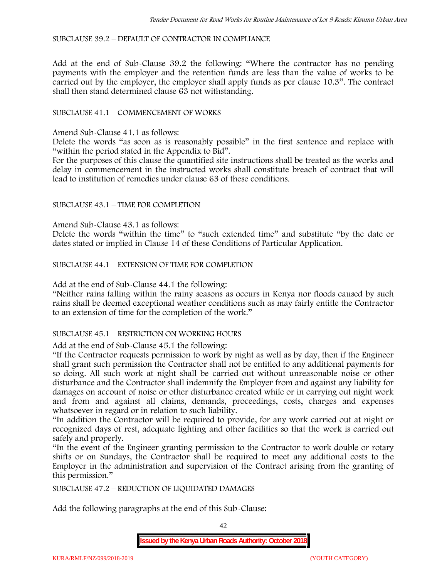SUBCLAUSE 39.2 – DEFAULT OF CONTRACTOR IN COMPLIANCE

Add at the end of Sub-Clause 39.2 the following: "Where the contractor has no pending payments with the employer and the retention funds are less than the value of works to be carried out by the employer, the employer shall apply funds as per clause 10.3". The contract shall then stand determined clause 63 not withstanding.

# SUBCLAUSE 41.1 – COMMENCEMENT OF WORKS

Amend Sub-Clause 41.1 as follows:

Delete the words "as soon as is reasonably possible" in the first sentence and replace with "within the period stated in the Appendix to Bid".

For the purposes of this clause the quantified site instructions shall be treated as the works and delay in commencement in the instructed works shall constitute breach of contract that will lead to institution of remedies under clause 63 of these conditions.

### SUBCLAUSE 43.1 – TIME FOR COMPLETION

Amend Sub-Clause 43.1 as follows:

Delete the words "within the time" to "such extended time" and substitute "by the date or dates stated or implied in Clause 14 of these Conditions of Particular Application.

SUBCLAUSE 44.1 – EXTENSION OF TIME FOR COMPLETION

Add at the end of Sub-Clause 44.1 the following:

"Neither rains falling within the rainy seasons as occurs in Kenya nor floods caused by such rains shall be deemed exceptional weather conditions such as may fairly entitle the Contractor to an extension of time for the completion of the work."

#### SUBCLAUSE 45.1 – RESTRICTION ON WORKING HOURS

Add at the end of Sub-Clause 45.1 the following:

"If the Contractor requests permission to work by night as well as by day, then if the Engineer shall grant such permission the Contractor shall not be entitled to any additional payments for so doing. All such work at night shall be carried out without unreasonable noise or other disturbance and the Contractor shall indemnify the Employer from and against any liability for damages on account of noise or other disturbance created while or in carrying out night work and from and against all claims, demands, proceedings, costs, charges and expenses whatsoever in regard or in relation to such liability.

"In addition the Contractor will be required to provide, for any work carried out at night or recognized days of rest, adequate lighting and other facilities so that the work is carried out safely and properly.

"In the event of the Engineer granting permission to the Contractor to work double or rotary shifts or on Sundays, the Contractor shall be required to meet any additional costs to the Employer in the administration and supervision of the Contract arising from the granting of this permission."

SUBCLAUSE 47.2 – REDUCTION OF LIQUIDATED DAMAGES

Add the following paragraphs at the end of this Sub-Clause:

42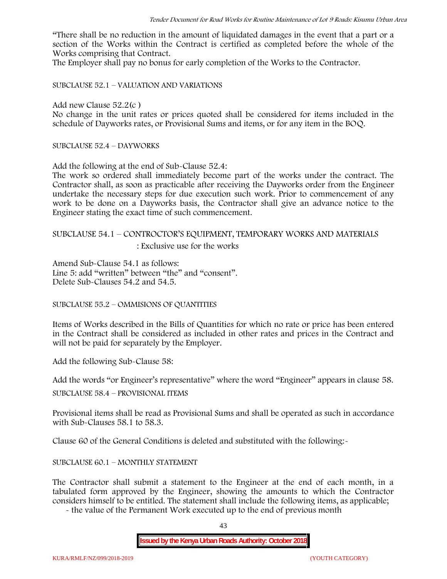"There shall be no reduction in the amount of liquidated damages in the event that a part or a section of the Works within the Contract is certified as completed before the whole of the Works comprising that Contract.

The Employer shall pay no bonus for early completion of the Works to the Contractor.

SUBCLAUSE 52.1 – VALUATION AND VARIATIONS

Add new Clause 52.2(c )

No change in the unit rates or prices quoted shall be considered for items included in the schedule of Dayworks rates, or Provisional Sums and items, or for any item in the BOQ.

SUBCLAUSE 52.4 – DAYWORKS

Add the following at the end of Sub-Clause 52.4:

The work so ordered shall immediately become part of the works under the contract. The Contractor shall, as soon as practicable after receiving the Dayworks order from the Engineer undertake the necessary steps for due execution such work. Prior to commencement of any work to be done on a Dayworks basis, the Contractor shall give an advance notice to the Engineer stating the exact time of such commencement.

# SUBCLAUSE 54.1 – CONTROCTOR'S EQUIPMENT, TEMPORARY WORKS AND MATERIALS

: Exclusive use for the works

Amend Sub-Clause 54.1 as follows: Line 5: add "written" between "the" and "consent". Delete Sub-Clauses 54.2 and 54.5.

SUBCLAUSE 55.2 – OMMISIONS OF QUANTITIES

Items of Works described in the Bills of Quantities for which no rate or price has been entered in the Contract shall be considered as included in other rates and prices in the Contract and will not be paid for separately by the Employer.

Add the following Sub-Clause 58:

Add the words "or Engineer's representative" where the word "Engineer" appears in clause 58.

SUBCLAUSE 58.4 – PROVISIONAL ITEMS

Provisional items shall be read as Provisional Sums and shall be operated as such in accordance with Sub-Clauses 58.1 to 58.3.

Clause 60 of the General Conditions is deleted and substituted with the following:-

# SUBCLAUSE 60.1 – MONTHLY STATEMENT

The Contractor shall submit a statement to the Engineer at the end of each month, in a tabulated form approved by the Engineer, showing the amounts to which the Contractor considers himself to be entitled. The statement shall include the following items, as applicable;

- the value of the Permanent Work executed up to the end of previous month

43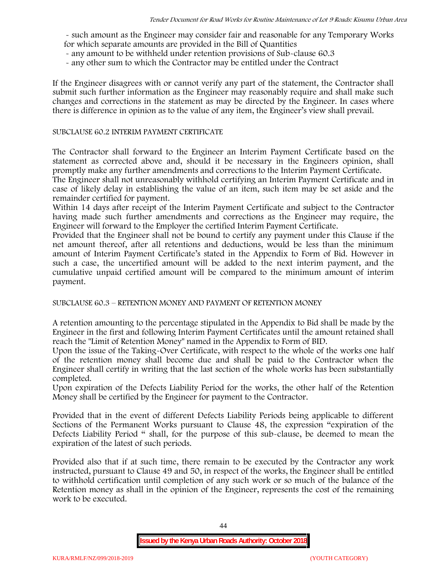- such amount as the Engineer may consider fair and reasonable for any Temporary Works for which separate amounts are provided in the Bill of Quantities

- any amount to be withheld under retention provisions of Sub-clause 60.3
- any other sum to which the Contractor may be entitled under the Contract

If the Engineer disagrees with or cannot verify any part of the statement, the Contractor shall submit such further information as the Engineer may reasonably require and shall make such changes and corrections in the statement as may be directed by the Engineer. In cases where there is difference in opinion as to the value of any item, the Engineer's view shall prevail.

### SUBCLAUSE 60.2 INTERIM PAYMENT CERTIFICATE

The Contractor shall forward to the Engineer an Interim Payment Certificate based on the statement as corrected above and, should it be necessary in the Engineers opinion, shall promptly make any further amendments and corrections to the Interim Payment Certificate.

The Engineer shall not unreasonably withhold certifying an Interim Payment Certificate and in case of likely delay in establishing the value of an item, such item may be set aside and the remainder certified for payment.

Within 14 days after receipt of the Interim Payment Certificate and subject to the Contractor having made such further amendments and corrections as the Engineer may require, the Engineer will forward to the Employer the certified Interim Payment Certificate.

Provided that the Engineer shall not be bound to certify any payment under this Clause if the net amount thereof, after all retentions and deductions, would be less than the minimum amount of Interim Payment Certificate's stated in the Appendix to Form of Bid. However in such a case, the uncertified amount will be added to the next interim payment, and the cumulative unpaid certified amount will be compared to the minimum amount of interim payment.

SUBCLAUSE 60.3 – RETENTION MONEY AND PAYMENT OF RETENTION MONEY

A retention amounting to the percentage stipulated in the Appendix to Bid shall be made by the Engineer in the first and following Interim Payment Certificates until the amount retained shall reach the "Limit of Retention Money" named in the Appendix to Form of BID.

Upon the issue of the Taking-Over Certificate, with respect to the whole of the works one half of the retention money shall become due and shall be paid to the Contractor when the Engineer shall certify in writing that the last section of the whole works has been substantially completed.

Upon expiration of the Defects Liability Period for the works, the other half of the Retention Money shall be certified by the Engineer for payment to the Contractor.

Provided that in the event of different Defects Liability Periods being applicable to different Sections of the Permanent Works pursuant to Clause 48, the expression "expiration of the Defects Liability Period " shall, for the purpose of this sub-clause, be deemed to mean the expiration of the latest of such periods.

Provided also that if at such time, there remain to be executed by the Contractor any work instructed, pursuant to Clause 49 and 50, in respect of the works, the Engineer shall be entitled to withhold certification until completion of any such work or so much of the balance of the Retention money as shall in the opinion of the Engineer, represents the cost of the remaining work to be executed.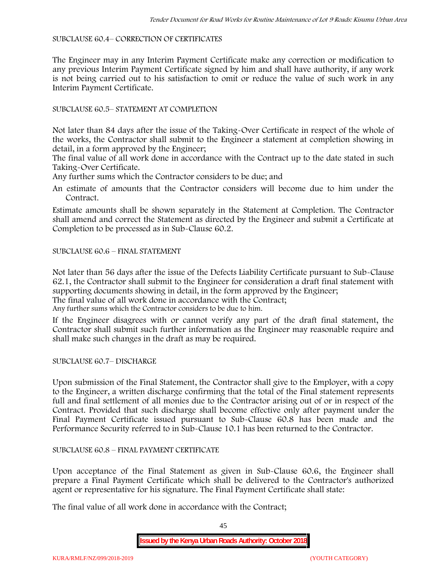### SUBCLAUSE 60.4– CORRECTION OF CERTIFICATES

The Engineer may in any Interim Payment Certificate make any correction or modification to any previous Interim Payment Certificate signed by him and shall have authority, if any work is not being carried out to his satisfaction to omit or reduce the value of such work in any Interim Payment Certificate.

# SUBCLAUSE 60.5– STATEMENT AT COMPLETION

Not later than 84 days after the issue of the Taking-Over Certificate in respect of the whole of the works, the Contractor shall submit to the Engineer a statement at completion showing in detail, in a form approved by the Engineer;

The final value of all work done in accordance with the Contract up to the date stated in such Taking-Over Certificate.

Any further sums which the Contractor considers to be due; and

An estimate of amounts that the Contractor considers will become due to him under the Contract.

Estimate amounts shall be shown separately in the Statement at Completion. The Contractor shall amend and correct the Statement as directed by the Engineer and submit a Certificate at Completion to be processed as in Sub-Clause 60.2.

# SUBCLAUSE 60.6 – FINAL STATEMENT

Not later than 56 days after the issue of the Defects Liability Certificate pursuant to Sub-Clause 62.1, the Contractor shall submit to the Engineer for consideration a draft final statement with supporting documents showing in detail, in the form approved by the Engineer; The final value of all work done in accordance with the Contract;

Any further sums which the Contractor considers to be due to him.

If the Engineer disagrees with or cannot verify any part of the draft final statement, the Contractor shall submit such further information as the Engineer may reasonable require and shall make such changes in the draft as may be required.

SUBCLAUSE 60.7– DISCHARGE

Upon submission of the Final Statement, the Contractor shall give to the Employer, with a copy to the Engineer, a written discharge confirming that the total of the Final statement represents full and final settlement of all monies due to the Contractor arising out of or in respect of the Contract. Provided that such discharge shall become effective only after payment under the Final Payment Certificate issued pursuant to Sub-Clause 60.8 has been made and the Performance Security referred to in Sub-Clause 10.1 has been returned to the Contractor.

# SUBCLAUSE 60.8 – FINAL PAYMENT CERTIFICATE

Upon acceptance of the Final Statement as given in Sub-Clause 60.6, the Engineer shall prepare a Final Payment Certificate which shall be delivered to the Contractor's authorized agent or representative for his signature. The Final Payment Certificate shall state:

The final value of all work done in accordance with the Contract;

45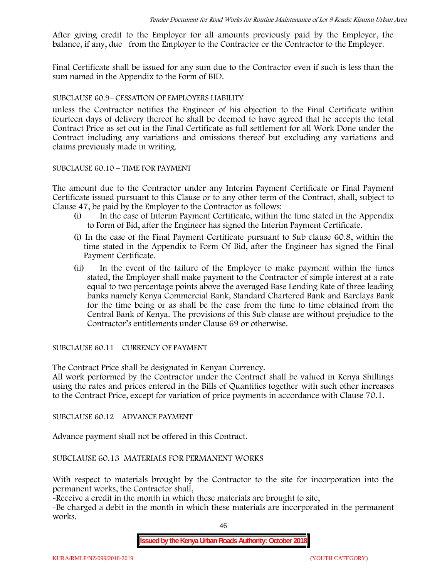After giving credit to the Employer for all amounts previously paid by the Employer, the balance, if any, due from the Employer to the Contractor or the Contractor to the Employer.

Final Certificate shall be issued for any sum due to the Contractor even if such is less than the sum named in the Appendix to the Form of BID.

### SUBCLAUSE 60.9– CESSATION OF EMPLOYERS LIABILITY

unless the Contractor notifies the Engineer of his objection to the Final Certificate within fourteen days of delivery thereof he shall be deemed to have agreed that he accepts the total Contract Price as set out in the Final Certificate as full settlement for all Work Done under the Contract including any variations and omissions thereof but excluding any variations and claims previously made in writing.

### SUBCLAUSE 60.10 – TIME FOR PAYMENT

The amount due to the Contractor under any Interim Payment Certificate or Final Payment Certificate issued pursuant to this Clause or to any other term of the Contract, shall, subject to Clause 47, be paid by the Employer to the Contractor as follows:

- (i) In the case of Interim Payment Certificate, within the time stated in the Appendix to Form of Bid, after the Engineer has signed the Interim Payment Certificate.
- (i) In the case of the Final Payment Certificate pursuant to Sub clause 60.8, within the time stated in the Appendix to Form Of Bid, after the Engineer has signed the Final Payment Certificate.
- (ii) In the event of the failure of the Employer to make payment within the times stated, the Employer shall make payment to the Contractor of simple interest at a rate equal to two percentage points above the averaged Base Lending Rate of three leading banks namely Kenya Commercial Bank, Standard Chartered Bank and Barclays Bank for the time being or as shall be the case from the time to time obtained from the Central Bank of Kenya. The provisions of this Sub clause are without prejudice to the Contractor's entitlements under Clause 69 or otherwise.

SUBCLAUSE 60.11 – CURRENCY OF PAYMENT

The Contract Price shall be designated in Kenyan Currency.

All work performed by the Contractor under the Contract shall be valued in Kenya Shillings using the rates and prices entered in the Bills of Quantities together with such other increases to the Contract Price, except for variation of price payments in accordance with Clause 70.1.

SUBCLAUSE 60.12 – ADVANCE PAYMENT

Advance payment shall not be offered in this Contract.

SUBCLAUSE 60.13 MATERIALS FOR PERMANENT WORKS

With respect to materials brought by the Contractor to the site for incorporation into the permanent works, the Contractor shall,

-Receive a credit in the month in which these materials are brought to site,

-Be charged a debit in the month in which these materials are incorporated in the permanent works.

46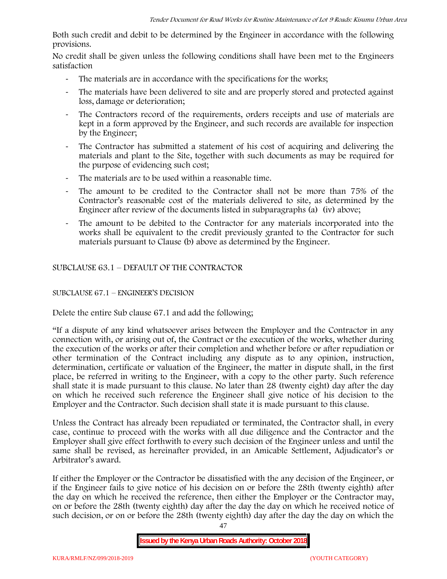Both such credit and debit to be determined by the Engineer in accordance with the following provisions.

No credit shall be given unless the following conditions shall have been met to the Engineers satisfaction

- The materials are in accordance with the specifications for the works;
- The materials have been delivered to site and are properly stored and protected against loss, damage or deterioration;
- The Contractors record of the requirements, orders receipts and use of materials are kept in a form approved by the Engineer, and such records are available for inspection by the Engineer;
- The Contractor has submitted a statement of his cost of acquiring and delivering the materials and plant to the Site, together with such documents as may be required for the purpose of evidencing such cost;
- The materials are to be used within a reasonable time.
- The amount to be credited to the Contractor shall not be more than 75% of the Contractor's reasonable cost of the materials delivered to site, as determined by the Engineer after review of the documents listed in subparagraphs (a) (iv) above;
- The amount to be debited to the Contractor for any materials incorporated into the works shall be equivalent to the credit previously granted to the Contractor for such materials pursuant to Clause (b) above as determined by the Engineer.

SUBCLAUSE 63.1 – DEFAULT OF THE CONTRACTOR

# SUBCLAUSE 67.1 – ENGINEER'S DECISION

Delete the entire Sub clause 67.1 and add the following;

"If a dispute of any kind whatsoever arises between the Employer and the Contractor in any connection with, or arising out of, the Contract or the execution of the works, whether during the execution of the works or after their completion and whether before or after repudiation or other termination of the Contract including any dispute as to any opinion, instruction, determination, certificate or valuation of the Engineer, the matter in dispute shall, in the first place, be referred in writing to the Engineer, with a copy to the other party. Such reference shall state it is made pursuant to this clause. No later than 28 (twenty eight) day after the day on which he received such reference the Engineer shall give notice of his decision to the Employer and the Contractor. Such decision shall state it is made pursuant to this clause.

Unless the Contract has already been repudiated or terminated, the Contractor shall, in every case, continue to proceed with the works with all due diligence and the Contractor and the Employer shall give effect forthwith to every such decision of the Engineer unless and until the same shall be revised, as hereinafter provided, in an Amicable Settlement, Adjudicator's or Arbitrator's award.

If either the Employer or the Contractor be dissatisfied with the any decision of the Engineer, or if the Engineer fails to give notice of his decision on or before the 28th (twenty eighth) after the day on which he received the reference, then either the Employer or the Contractor may, on or before the 28th (twenty eighth) day after the day the day on which he received notice of such decision, or on or before the 28th (twenty eighth) day after the day the day on which the

**Issued by the Kenya Urban Roads Authority: October 2018**

47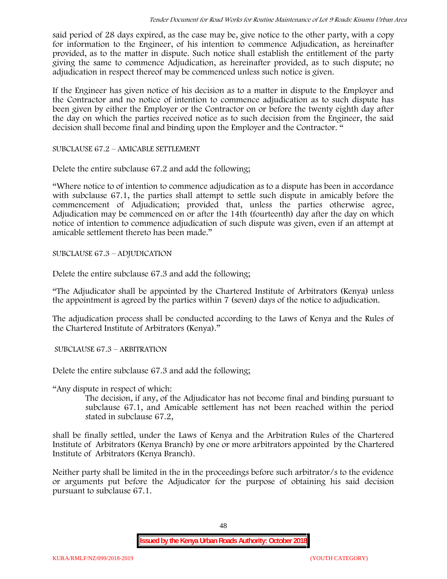said period of 28 days expired, as the case may be, give notice to the other party, with a copy for information to the Engineer, of his intention to commence Adjudication, as hereinafter provided, as to the matter in dispute. Such notice shall establish the entitlement of the party giving the same to commence Adjudication, as hereinafter provided, as to such dispute; no adjudication in respect thereof may be commenced unless such notice is given.

If the Engineer has given notice of his decision as to a matter in dispute to the Employer and the Contractor and no notice of intention to commence adjudication as to such dispute has been given by either the Employer or the Contractor on or before the twenty eighth day after the day on which the parties received notice as to such decision from the Engineer, the said decision shall become final and binding upon the Employer and the Contractor. "

SUBCLAUSE 67.2 – AMICABLE SETTLEMENT

Delete the entire subclause 67.2 and add the following;

"Where notice to of intention to commence adjudication as to a dispute has been in accordance with subclause 67.1, the parties shall attempt to settle such dispute in amicably before the commencement of Adjudication; provided that, unless the parties otherwise agree, Adjudication may be commenced on or after the 14th (fourteenth) day after the day on which notice of intention to commence adjudication of such dispute was given, even if an attempt at amicable settlement thereto has been made."

SUBCLAUSE 67.3 – ADJUDICATION

Delete the entire subclause 67.3 and add the following;

"The Adjudicator shall be appointed by the Chartered Institute of Arbitrators (Kenya) unless the appointment is agreed by the parties within 7 (seven) days of the notice to adjudication.

The adjudication process shall be conducted according to the Laws of Kenya and the Rules of the Chartered Institute of Arbitrators (Kenya)."

SUBCLAUSE 67.3 – ARBITRATION

Delete the entire subclause 67.3 and add the following;

"Any dispute in respect of which:

The decision, if any, of the Adjudicator has not become final and binding pursuant to subclause 67.1, and Amicable settlement has not been reached within the period stated in subclause 67.2,

shall be finally settled, under the Laws of Kenya and the Arbitration Rules of the Chartered Institute of Arbitrators (Kenya Branch) by one or more arbitrators appointed by the Chartered Institute of Arbitrators (Kenya Branch).

Neither party shall be limited in the in the proceedings before such arbitrator/s to the evidence or arguments put before the Adjudicator for the purpose of obtaining his said decision pursuant to subclause 67.1.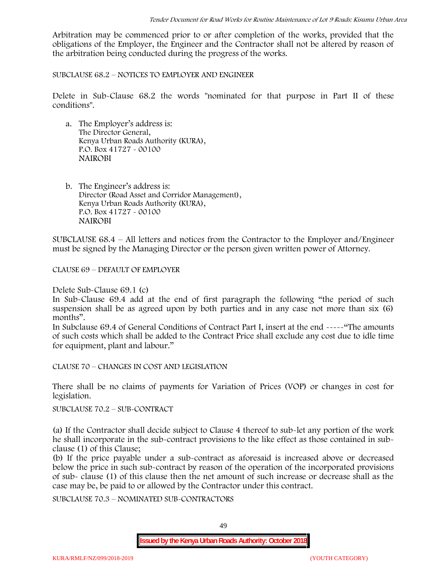Arbitration may be commenced prior to or after completion of the works, provided that the obligations of the Employer, the Engineer and the Contractor shall not be altered by reason of the arbitration being conducted during the progress of the works.

SUBCLAUSE 68.2 – NOTICES TO EMPLOYER AND ENGINEER

Delete in Sub-Clause 68.2 the words "nominated for that purpose in Part II of these conditions".

- a. The Employer's address is: The Director General, Kenya Urban Roads Authority (KURA), P.O. Box 41727 - 00100 **NAIROBI**
- b. The Engineer's address is: Director (Road Asset and Corridor Management), Kenya Urban Roads Authority (KURA), P.O. Box 41727 - 00100 **NAIROBI**

SUBCLAUSE 68.4 – All letters and notices from the Contractor to the Employer and/Engineer must be signed by the Managing Director or the person given written power of Attorney.

CLAUSE 69 – DEFAULT OF EMPLOYER

Delete Sub-Clause 69.1 (c)

In Sub-Clause 69.4 add at the end of first paragraph the following "the period of such suspension shall be as agreed upon by both parties and in any case not more than six (6) months".

In Subclause 69.4 of General Conditions of Contract Part I, insert at the end -----"The amounts of such costs which shall be added to the Contract Price shall exclude any cost due to idle time for equipment, plant and labour."

CLAUSE 70 – CHANGES IN COST AND LEGISLATION

There shall be no claims of payments for Variation of Prices (VOP) or changes in cost for legislation.

SUBCLAUSE 70.2 – SUB-CONTRACT

(a) If the Contractor shall decide subject to Clause 4 thereof to sub-let any portion of the work he shall incorporate in the sub-contract provisions to the like effect as those contained in sub clause (1) of this Clause;

(b) If the price payable under a sub-contract as aforesaid is increased above or decreased below the price in such sub-contract by reason of the operation of the incorporated provisions of sub- clause (1) of this clause then the net amount of such increase or decrease shall as the case may be, be paid to or allowed by the Contractor under this contract.

SUBCLAUSE 70.3 – NOMINATED SUB-CONTRACTORS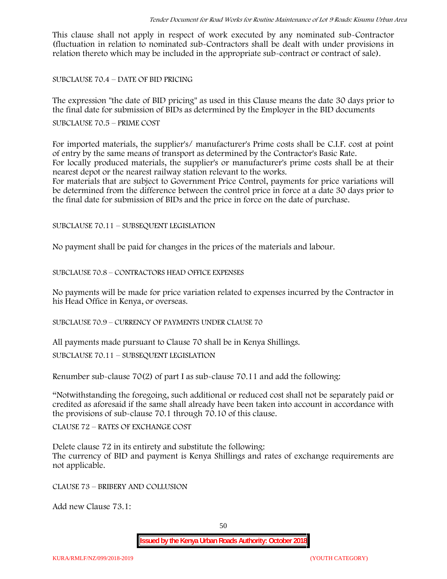This clause shall not apply in respect of work executed by any nominated sub-Contractor (fluctuation in relation to nominated sub-Contractors shall be dealt with under provisions in relation thereto which may be included in the appropriate sub-contract or contract of sale).

SUBCLAUSE 70.4 – DATE OF BID PRICING

The expression "the date of BID pricing" as used in this Clause means the date 30 days prior to the final date for submission of BIDs as determined by the Employer in the BID documents

SUBCLAUSE 70.5 – PRIME COST

For imported materials, the supplier's/ manufacturer's Prime costs shall be C.I.F. cost at point of entry by the same means of transport as determined by the Contractor's Basic Rate. For locally produced materials, the supplier's or manufacturer's prime costs shall be at their nearest depot or the nearest railway station relevant to the works.

For materials that are subject to Government Price Control, payments for price variations will be determined from the difference between the control price in force at a date 30 days prior to the final date for submission of BIDs and the price in force on the date of purchase.

SUBCLAUSE 70.11 – SUBSEQUENT LEGISLATION

No payment shall be paid for changes in the prices of the materials and labour.

SUBCLAUSE 70.8 – CONTRACTORS HEAD OFFICE EXPENSES

No payments will be made for price variation related to expenses incurred by the Contractor in his Head Office in Kenya, or overseas.

SUBCLAUSE 70.9 – CURRENCY OF PAYMENTS UNDER CLAUSE 70

All payments made pursuant to Clause 70 shall be in Kenya Shillings.

SUBCLAUSE 70.11 – SUBSEQUENT LEGISLATION

Renumber sub-clause 70(2) of part I as sub-clause 70.11 and add the following:

"Notwithstanding the foregoing, such additional or reduced cost shall not be separately paid or credited as aforesaid if the same shall already have been taken into account in accordance with the provisions of sub-clause 70.1 through 70.10 of this clause.

CLAUSE 72 – RATES OF EXCHANGE COST

Delete clause 72 in its entirety and substitute the following: The currency of BID and payment is Kenya Shillings and rates of exchange requirements are not applicable.

CLAUSE 73 – BRIBERY AND COLLUSION

Add new Clause 73.1: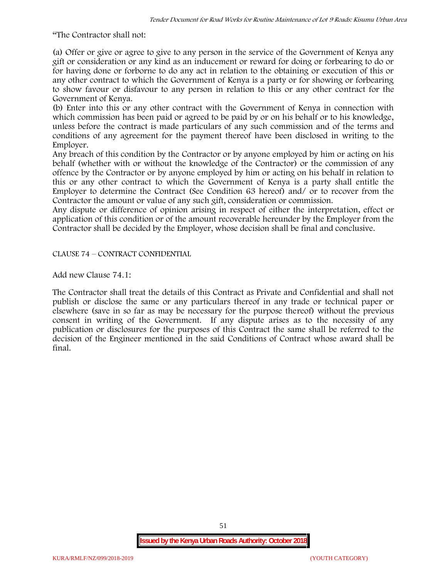"The Contractor shall not:

(a) Offer or give or agree to give to any person in the service of the Government of Kenya any gift or consideration or any kind as an inducement or reward for doing or forbearing to do or for having done or forborne to do any act in relation to the obtaining or execution of this or any other contract to which the Government of Kenya is a party or for showing or forbearing to show favour or disfavour to any person in relation to this or any other contract for the Government of Kenya.

(b) Enter into this or any other contract with the Government of Kenya in connection with which commission has been paid or agreed to be paid by or on his behalf or to his knowledge, unless before the contract is made particulars of any such commission and of the terms and conditions of any agreement for the payment thereof have been disclosed in writing to the Employer.

Any breach of this condition by the Contractor or by anyone employed by him or acting on his behalf (whether with or without the knowledge of the Contractor) or the commission of any offence by the Contractor or by anyone employed by him or acting on his behalf in relation to this or any other contract to which the Government of Kenya is a party shall entitle the Employer to determine the Contract (See Condition 63 hereof) and/ or to recover from the Contractor the amount or value of any such gift, consideration or commission.

Any dispute or difference of opinion arising in respect of either the interpretation, effect or application of this condition or of the amount recoverable hereunder by the Employer from the Contractor shall be decided by the Employer, whose decision shall be final and conclusive.

CLAUSE 74 – CONTRACT CONFIDENTIAL

Add new Clause 74.1:

The Contractor shall treat the details of this Contract as Private and Confidential and shall not publish or disclose the same or any particulars thereof in any trade or technical paper or elsewhere (save in so far as may be necessary for the purpose thereof) without the previous consent in writing of the Government. If any dispute arises as to the necessity of any publication or disclosures for the purposes of this Contract the same shall be referred to the decision of the Engineer mentioned in the said Conditions of Contract whose award shall be final.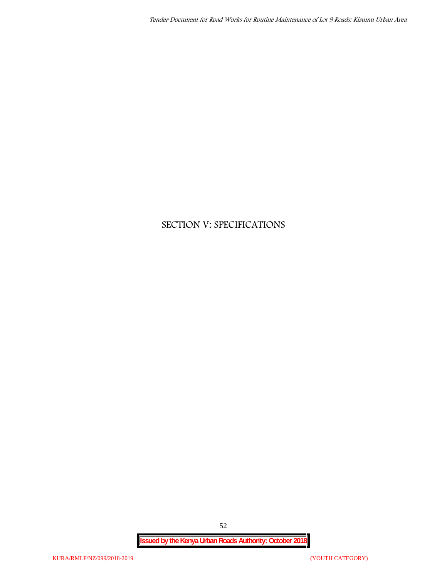# **SECTION V: SPECIFICATIONS**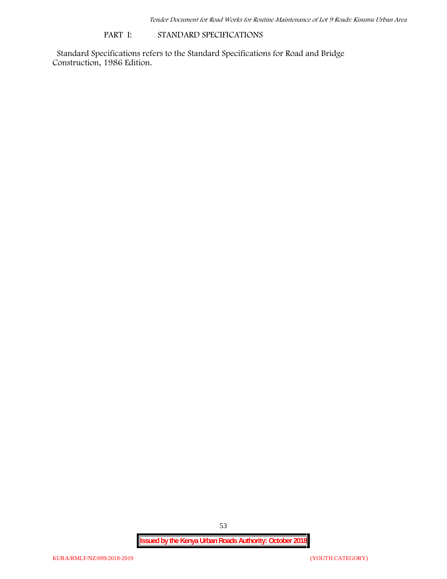### **PART I: STANDARD SPECIFICATIONS**

Standard Specifications refers to the Standard Specifications for Road and Bridge Construction, 1986 Edition.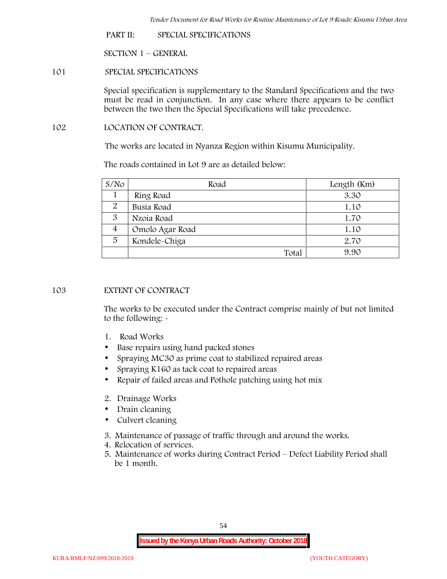**PART II: SPECIAL SPECIFICATIONS**

**SECTION 1 – GENERAL**

**101 SPECIAL SPECIFICATIONS**

Special specification is supplementary to the Standard Specifications and the two must be read in conjunction. In any case where there appears to be conflict between the two then the Special Specifications will take precedence.

**102 LOCATION OF CONTRACT.**

The works are located in Nyanza Region within Kisumu Municipality.

The roads contained in Lot 9 are as detailed below:

| S/N <sub>O</sub> | Road            | Length (Km) |
|------------------|-----------------|-------------|
|                  | Ring Road       | 3.30        |
| 2                | Busia Road      | 1.10        |
| 3                | Nzoia Road      | 1.70        |
| 4                | Omolo Agar Road | 1.10        |
| 5                | Kondele-Chiga   | 2.70        |
|                  | Total           | 9.90        |

# **103 EXTENT OF CONTRACT**

The works to be executed under the Contract comprise mainly of but not limited to the following: -

- **1. Road Works**
- Base repairs using hand packed stones
- Spraying MC30 as prime coat to stabilized repaired areas
- Spraying K160 as tack coat to repaired areas
- Repair of failed areas and Pothole patching using hot mix
- **2. Drainage Works**
- Drain cleaning
- Culvert cleaning
- **3. Maintenance of passage of traffic through and around the works.**
- **4. Relocation of services.**
- **5. Maintenance of works during Contract Period – Defect Liability Period shall be 1 month.**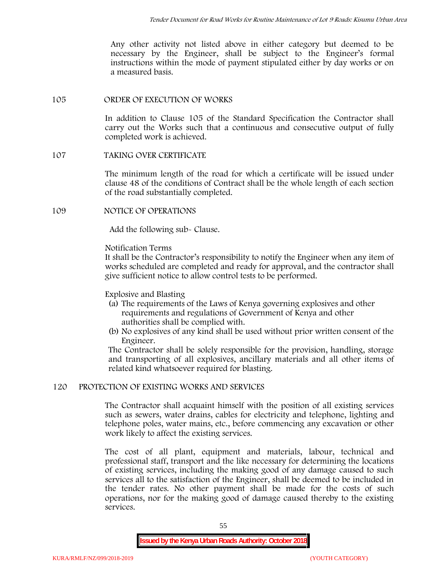Any other activity not listed above in either category but deemed to be necessary by the Engineer, shall be subject to the Engineer's formal instructions within the mode of payment stipulated either by day works or on a measured basis.

### **105 ORDER OF EXECUTION OF WORKS**

In addition to Clause 105 of the Standard Specification the Contractor shall carry out the Works such that a continuous and consecutive output of fully completed work is achieved.

# **107 TAKING OVER CERTIFICATE**

The minimum length of the road for which a certificate will be issued under clause 48 of the conditions of Contract shall be the whole length of each section of the road substantially completed.

# **109 NOTICE OF OPERATIONS**

Add the following sub- Clause.

# Notification Terms

It shall be the Contractor's responsibility to notify the Engineer when any item of works scheduled are completed and ready for approval, and the contractor shall give sufficient notice to allow control tests to be performed.

# Explosive and Blasting

- (a) The requirements of the Laws of Kenya governing explosives and other requirements and regulations of Government of Kenya and other authorities shall be complied with.
- (b) No explosives of any kind shall be used without prior written consent of the Engineer.

The Contractor shall be solely responsible for the provision, handling, storage and transporting of all explosives, ancillary materials and all other items of related kind whatsoever required for blasting.

# **120 PROTECTION OF EXISTING WORKS AND SERVICES**

The Contractor shall acquaint himself with the position of all existing services such as sewers, water drains, cables for electricity and telephone, lighting and telephone poles, water mains, etc., before commencing any excavation or other work likely to affect the existing services.

The cost of all plant, equipment and materials, labour, technical and professional staff, transport and the like necessary for determining the locations of existing services, including the making good of any damage caused to such services all to the satisfaction of the Engineer, shall be deemed to be included in the tender rates. No other payment shall be made for the costs of such operations, nor for the making good of damage caused thereby to the existing services.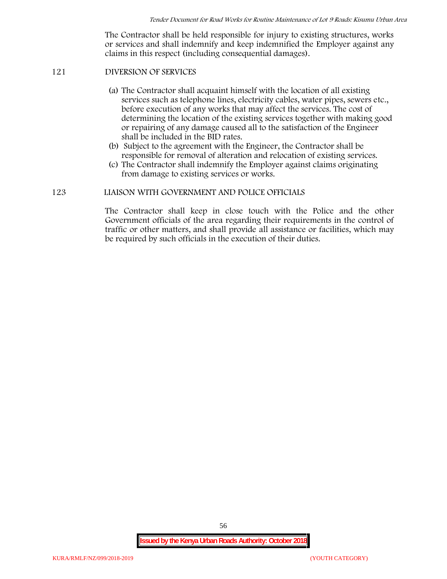The Contractor shall be held responsible for injury to existing structures, works or services and shall indemnify and keep indemnified the Employer against any claims in this respect (including consequential damages).

# **121 DIVERSION OF SERVICES**

- (a) The Contractor shall acquaint himself with the location of all existing services such as telephone lines, electricity cables, water pipes, sewers etc., before execution of any works that may affect the services. The cost of determining the location of the existing services together with making good or repairing of any damage caused all to the satisfaction of the Engineer shall be included in the BID rates.
- (b) Subject to the agreement with the Engineer, the Contractor shall be responsible for removal of alteration and relocation of existing services.
- (c) The Contractor shall indemnify the Employer against claims originating from damage to existing services or works.

### **123 LIAISON WITH GOVERNMENT AND POLICE OFFICIALS**

The Contractor shall keep in close touch with the Police and the other Government officials of the area regarding their requirements in the control of traffic or other matters, and shall provide all assistance or facilities, which may be required by such officials in the execution of their duties.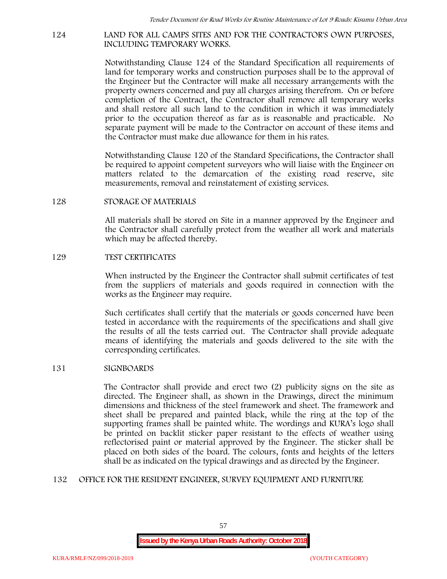#### **124 LAND FOR ALL CAMPS SITES AND FOR THE CONTRACTOR'S OWN PURPOSES, INCLUDING TEMPORARY WORKS.**

Notwithstanding Clause 124 of the Standard Specification all requirements of land for temporary works and construction purposes shall be to the approval of the Engineer but the Contractor will make all necessary arrangements with the property owners concerned and pay all charges arising therefrom. On or before completion of the Contract, the Contractor shall remove all temporary works and shall restore all such land to the condition in which it was immediately prior to the occupation thereof as far as is reasonable and practicable. No separate payment will be made to the Contractor on account of these items and the Contractor must make due allowance for them in his rates.

Notwithstanding Clause 120 of the Standard Specifications, the Contractor shall be required to appoint competent surveyors who will liaise with the Engineer on matters related to the demarcation of the existing road reserve, site measurements, removal and reinstatement of existing services.

### **128 STORAGE OF MATERIALS**

All materials shall be stored on Site in a manner approved by the Engineer and the Contractor shall carefully protect from the weather all work and materials which may be affected thereby.

#### **129 TEST CERTIFICATES**

When instructed by the Engineer the Contractor shall submit certificates of test from the suppliers of materials and goods required in connection with the works as the Engineer may require.

Such certificates shall certify that the materials or goods concerned have been tested in accordance with the requirements of the specifications and shall give the results of all the tests carried out. The Contractor shall provide adequate means of identifying the materials and goods delivered to the site with the corresponding certificates.

#### **131 SIGNBOARDS**

The Contractor shall provide and erect two (2) publicity signs on the site as directed. The Engineer shall, as shown in the Drawings, direct the minimum dimensions and thickness of the steel framework and sheet. The framework and sheet shall be prepared and painted black, while the ring at the top of the supporting frames shall be painted white. The wordings and KURA's logo shall be printed on backlit sticker paper resistant to the effects of weather using reflectorised paint or material approved by the Engineer. The sticker shall be placed on both sides of the board. The colours, fonts and heights of the letters shall be as indicated on the typical drawings and as directed by the Engineer.

#### **132 OFFICE FOR THE RESIDENT ENGINEER, SURVEY EQUIPMENT AND FURNITURE**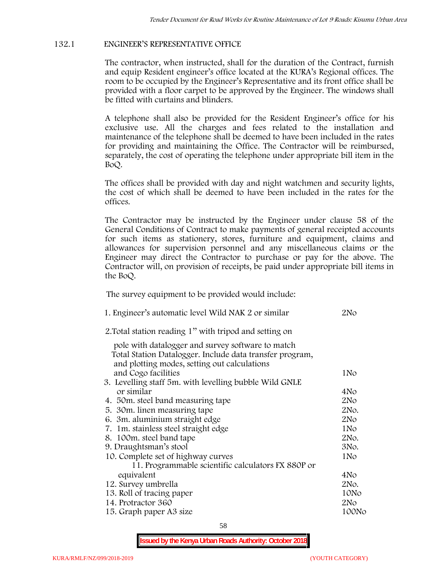# **132.1 ENGINEER'S REPRESENTATIVE OFFICE**

The contractor, when instructed, shall for the duration of the Contract, furnish and equip Resident engineer's office located at the KURA's Regional offices. The room to be occupied by the Engineer's Representative and its front office shall be provided with a floor carpet to be approved by the Engineer. The windows shall be fitted with curtains and blinders.

A telephone shall also be provided for the Resident Engineer's office for his exclusive use. All the charges and fees related to the installation and maintenance of the telephone shall be deemed to have been included in the rates for providing and maintaining the Office. The Contractor will be reimbursed, separately, the cost of operating the telephone under appropriate bill item in the BoQ.

The offices shall be provided with day and night watchmen and security lights, the cost of which shall be deemed to have been included in the rates for the offices.

The Contractor may be instructed by the Engineer under clause 58 of the General Conditions of Contract to make payments of general receipted accounts for such items as stationery, stores, furniture and equipment, claims and allowances for supervision personnel and any miscellaneous claims or the Engineer may direct the Contractor to purchase or pay for the above. The Contractor will, on provision of receipts, be paid under appropriate bill items in the BoQ.

**The survey equipment to be provided would include:**

| 1. Engineer's automatic level Wild NAK 2 or similar                                                      | 2No             |
|----------------------------------------------------------------------------------------------------------|-----------------|
| 2. Total station reading 1" with tripod and setting on                                                   |                 |
| pole with datalogger and survey software to match                                                        |                 |
| Total Station Datalogger. Include data transfer program,<br>and plotting modes, setting out calculations |                 |
| and Cogo facilities                                                                                      | 1No             |
| 3. Levelling staff 5m. with levelling bubble Wild GNLE                                                   |                 |
| or similar                                                                                               | 4No             |
| 4. 50 m. steel band measuring tape                                                                       | 2N <sub>o</sub> |
| 5. 30 m. linen measuring tape                                                                            | 2No.            |
| 6. 3m. aluminium straight edge                                                                           | 2N <sub>O</sub> |
| 7. 1m. stainless steel straight edge                                                                     | 1No             |
| 8. 100m. steel band tape                                                                                 | 2No.            |
| 9. Draughtsman's stool                                                                                   | 3No.            |
| 10. Complete set of highway curves                                                                       | 1No             |
| 11. Programmable scientific calculators FX 880P or                                                       |                 |
| equivalent                                                                                               | 4No             |
| 12. Survey umbrella                                                                                      | 2No.            |
| 13. Roll of tracing paper                                                                                | 10No            |
| 14. Protractor 360                                                                                       | 2N <sub>o</sub> |
| 15. Graph paper A3 size                                                                                  | 100No           |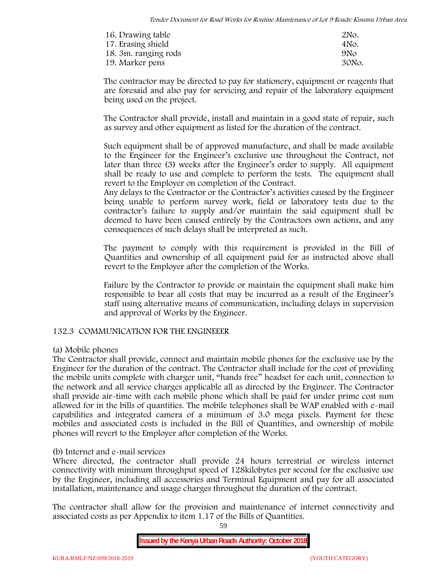| 16. Drawing table    | 2N <sub>o</sub> . |
|----------------------|-------------------|
| 17. Erasing shield   | 4No.              |
| 18. 3m. ranging rods | 9N <sub>O</sub>   |
| 19. Marker pens      | 30No.             |

The contractor may be directed to pay for stationery, equipment or reagents that are foresaid and also pay for servicing and repair of the laboratory equipment being used on the project.

The Contractor shall provide, install and maintain in a good state of repair, such as survey and other equipment as listed for the duration of the contract.

Such equipment shall be of approved manufacture, and shall be made available to the Engineer for the Engineer's exclusive use throughout the Contract, not later than three (3) weeks after the Engineer's order to supply. All equipment shall be ready to use and complete to perform the tests. The equipment shall revert to the Employer on completion of the Contract.

Any delays to the Contractor or the Contractor's activities caused by the Engineer being unable to perform survey work, field or laboratory tests due to the contractor's failure to supply and/or maintain the said equipment shall be deemed to have been caused entirely by the Contractors own actions, and any consequences of such delays shall be interpreted as such.

The payment to comply with this requirement is provided in the Bill of Quantities and ownership of all equipment paid for as instructed above shall revert to the Employer after the completion of the Works.

Failure by the Contractor to provide or maintain the equipment shall make him responsible to bear all costs that may be incurred as a result of the Engineer's staff using alternative means of communication, including delays in supervision and approval of Works by the Engineer.

# **132.3 COMMUNICATION FOR THE ENGINEEER**

# **(a) Mobile phones**

The Contractor shall provide, connect and maintain mobile phones for the exclusive use by the Engineer for the duration of the contract. The Contractor shall include for the cost of providing the mobile units complete with charger unit, "hands free" headset for each unit, connection to the network and all service charges applicable all as directed by the Engineer. The Contractor shall provide air-time with each mobile phone which shall be paid for under prime cost sum allowed for in the bills of quantities. The mobile telephones shall be WAP enabled with e-mail capabilities and integrated camera of a minimum of 3.0 mega pixels. Payment for these mobiles and associated costs is included in the Bill of Quantities, and ownership of mobile phones will revert to the Employer after completion of the Works.

# **(b) Internet and e-mail services**

Where directed, the contractor shall provide 24 hours terrestrial or wireless internet connectivity with minimum throughput speed of 128kilobytes per second for the exclusive use by the Engineer, including all accessories and Terminal Equipment and pay for all associated installation, maintenance and usage charges throughout the duration of the contract.

The contractor shall allow for the provision and maintenance of internet connectivity and associated costs as per Appendix to item 1.17 of the Bills of Quantities.

59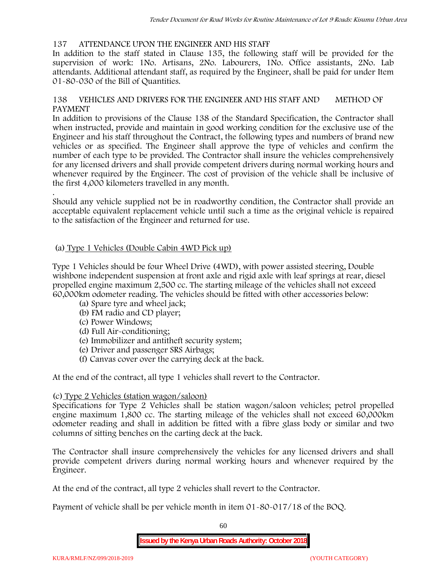# **137 ATTENDANCE UPON THE ENGINEER AND HIS STAFF**

In addition to the staff stated in Clause 135, the following staff will be provided for the supervision of work: 1No. Artisans, 2No. Labourers, 1No. Office assistants, 2No. Lab attendants. Additional attendant staff, as required by the Engineer, shall be paid for under Item 01-80-030 of the Bill of Quantities.

# **138 VEHICLES AND DRIVERS FOR THE ENGINEER AND HIS STAFF AND METHOD OF PAYMENT**

In addition to provisions of the Clause 138 of the Standard Specification, the Contractor shall when instructed, provide and maintain in good working condition for the exclusive use of the Engineer and his staff throughout the Contract, the following types and numbers of brand new vehicles or as specified. The Engineer shall approve the type of vehicles and confirm the number of each type to be provided. The Contractor shall insure the vehicles comprehensively for any licensed drivers and shall provide competent drivers during normal working hours and whenever required by the Engineer. The cost of provision of the vehicle shall be inclusive of the first 4,000 kilometers travelled in any month.

.Should any vehicle supplied not be in roadworthy condition, the Contractor shall provide an acceptable equivalent replacement vehicle until such a time as the original vehicle is repaired to the satisfaction of the Engineer and returned for use.

# **(a) Type 1 Vehicles (Double Cabin 4WD Pick up)**

Type 1 Vehicles should be four Wheel Drive (4WD), with power assisted steering, Double wishbone independent suspension at front axle and rigid axle with leaf springs at rear, diesel propelled engine maximum 2,500 cc. The starting mileage of the vehicles shall not exceed 60,000km odometer reading. The vehicles should be fitted with other accessories below:

- (a) Spare tyre and wheel jack;
- (b) FM radio and CD player;
- (c) Power Windows;
- (d) Full Air-conditioning;
- (e) Immobilizer and antitheft security system;
- (e) Driver and passenger SRS Airbags;
- (f) Canvas cover over the carrying deck at the back.

At the end of the contract, all type 1 vehicles shall revert to the Contractor.

# **(c) Type 2 Vehicles (station wagon/saloon)**

Specifications for Type 2 Vehicles shall be station wagon/saloon vehicles; petrol propelled engine maximum 1,800 cc. The starting mileage of the vehicles shall not exceed 60,000km odometer reading and shall in addition be fitted with a fibre glass body or similar and two columns of sitting benches on the carting deck at the back.

The Contractor shall insure comprehensively the vehicles for any licensed drivers and shall provide competent drivers during normal working hours and whenever required by the Engineer.

At the end of the contract, all type 2 vehicles shall revert to the Contractor.

Payment of vehicle shall be per vehicle month in item 01-80-017/18 of the BOQ.

60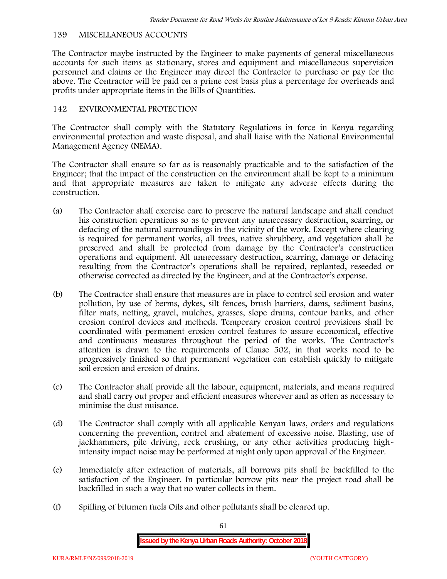# **139 MISCELLANEOUS ACCOUNTS**

The Contractor maybe instructed by the Engineer to make payments of general miscellaneous accounts for such items as stationary, stores and equipment and miscellaneous supervision personnel and claims or the Engineer may direct the Contractor to purchase or pay for the above. The Contractor will be paid on a prime cost basis plus a percentage for overheads and profits under appropriate items in the Bills of Quantities.

# **142 ENVIRONMENTAL PROTECTION**

The Contractor shall comply with the Statutory Regulations in force in Kenya regarding environmental protection and waste disposal, and shall liaise with the National Environmental Management Agency (NEMA).

The Contractor shall ensure so far as is reasonably practicable and to the satisfaction of the Engineer; that the impact of the construction on the environment shall be kept to a minimum and that appropriate measures are taken to mitigate any adverse effects during the construction.

- (a) The Contractor shall exercise care to preserve the natural landscape and shall conduct his construction operations so as to prevent any unnecessary destruction, scarring, or defacing of the natural surroundings in the vicinity of the work. Except where clearing is required for permanent works, all trees, native shrubbery, and vegetation shall be preserved and shall be protected from damage by the Contractor's construction operations and equipment. All unnecessary destruction, scarring, damage or defacing resulting from the Contractor's operations shall be repaired, replanted, reseeded or otherwise corrected as directed by the Engineer, and at the Contractor's expense.
- (b) The Contractor shall ensure that measures are in place to control soil erosion and water pollution, by use of berms, dykes, silt fences, brush barriers, dams, sediment basins, filter mats, netting, gravel, mulches, grasses, slope drains, contour banks, and other erosion control devices and methods. Temporary erosion control provisions shall be coordinated with permanent erosion control features to assure economical, effective and continuous measures throughout the period of the works. The Contractor's attention is drawn to the requirements of Clause 502, in that works need to be progressively finished so that permanent vegetation can establish quickly to mitigate soil erosion and erosion of drains.
- (c) The Contractor shall provide all the labour, equipment, materials, and means required and shall carry out proper and efficient measures wherever and as often as necessary to minimise the dust nuisance.
- (d) The Contractor shall comply with all applicable Kenyan laws, orders and regulations concerning the prevention, control and abatement of excessive noise. Blasting, use of jackhammers, pile driving, rock crushing, or any other activities producing highintensity impact noise may be performed at night only upon approval of the Engineer.
- (e) Immediately after extraction of materials, all borrows pits shall be backfilled to the satisfaction of the Engineer. In particular borrow pits near the project road shall be backfilled in such a way that no water collects in them.
- (f) Spilling of bitumen fuels Oils and other pollutants shall be cleared up.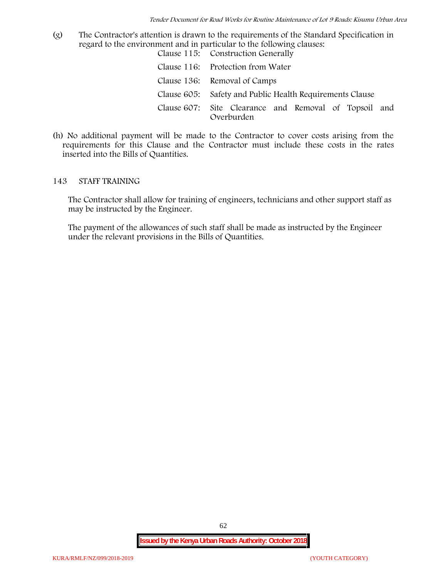(g) The Contractor's attention is drawn to the requirements of the Standard Specification in regard to the environment and in particular to the following clauses: Clause 115: Construction Generally

| Clause 110. Construction denominy                                   |
|---------------------------------------------------------------------|
| Clause 116: Protection from Water                                   |
| Clause 136: Removal of Camps                                        |
| Clause 605: Safety and Public Health Requirements Clause            |
| Clause 607: Site Clearance and Removal of Topsoil and<br>Overburden |

(h) No additional payment will be made to the Contractor to cover costs arising from the requirements for this Clause and the Contractor must include these costs in the rates inserted into the Bills of Quantities.

#### **143 STAFF TRAINING**

The Contractor shall allow for training of engineers, technicians and other support staff as may be instructed by the Engineer.

The payment of the allowances of such staff shall be made as instructed by the Engineer under the relevant provisions in the Bills of Quantities.

62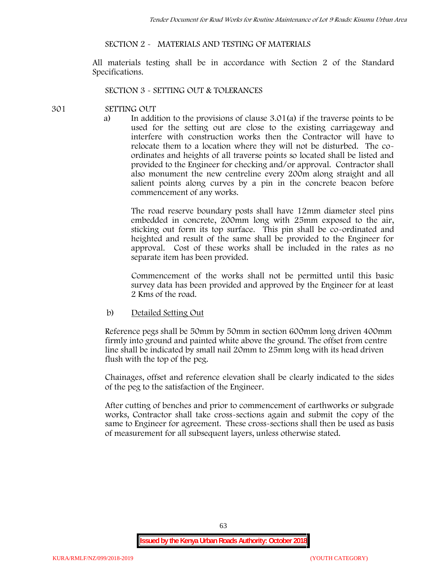# **SECTION 2 - MATERIALS AND TESTING OF MATERIALS**

All materials testing shall be in accordance with Section 2 of the Standard Specifications.

#### **SECTION 3 - SETTING OUT & TOLERANCES**

### **301 SETTING OUT**

a) In addition to the provisions of clause 3.01(a) if the traverse points to be used for the setting out are close to the existing carriageway and interfere with construction works then the Contractor will have to relocate them to a location where they will not be disturbed. The co ordinates and heights of all traverse points so located shall be listed and provided to the Engineer for checking and/or approval. Contractor shall also monument the new centreline every 200m along straight and all salient points along curves by a pin in the concrete beacon before commencement of any works.

The road reserve boundary posts shall have 12mm diameter steel pins embedded in concrete, 200mm long with 25mm exposed to the air, sticking out form its top surface. This pin shall be co-ordinated and heighted and result of the same shall be provided to the Engineer for approval. Cost of these works shall be included in the rates as no separate item has been provided.

Commencement of the works shall not be permitted until this basic survey data has been provided and approved by the Engineer for at least 2 Kms of the road.

b) Detailed Setting Out

Reference pegs shall be 50mm by 50mm in section 600mm long driven 400mm firmly into ground and painted white above the ground. The offset from centre line shall be indicated by small nail 20mm to 25mm long with its head driven flush with the top of the peg.

Chainages, offset and reference elevation shall be clearly indicated to the sides of the peg to the satisfaction of the Engineer.

After cutting of benches and prior to commencement of earthworks or subgrade works, Contractor shall take cross-sections again and submit the copy of the same to Engineer for agreement. These cross-sections shall then be used as basis of measurement for all subsequent layers, unless otherwise stated.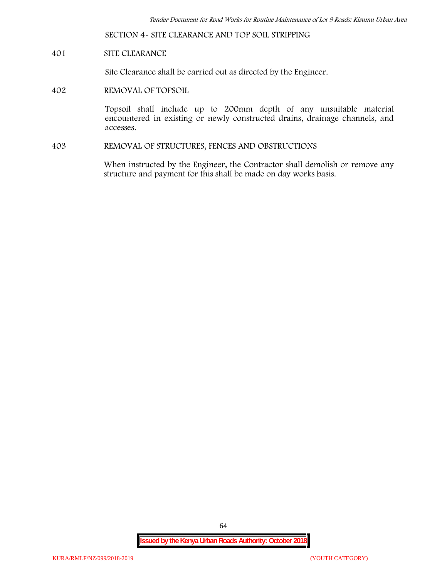**SECTION 4- SITE CLEARANCE AND TOP SOIL STRIPPING**

# **401 SITE CLEARANCE**

Site Clearance shall be carried out as directed by the Engineer.

**402 REMOVAL OF TOPSOIL**

Topsoil shall include up to 200mm depth of any unsuitable material encountered in existing or newly constructed drains, drainage channels, and accesses.

**403 REMOVAL OF STRUCTURES, FENCES AND OBSTRUCTIONS**

When instructed by the Engineer, the Contractor shall demolish or remove any structure and payment for this shall be made on day works basis.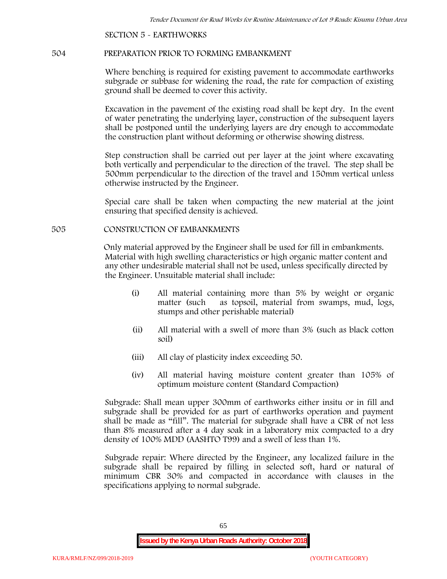**SECTION 5 - EARTHWORKS**

#### **504 PREPARATION PRIOR TO FORMING EMBANKMENT**

Where benching is required for existing pavement to accommodate earthworks subgrade or subbase for widening the road, the rate for compaction of existing ground shall be deemed to cover this activity.

Excavation in the pavement of the existing road shall be kept dry. In the event of water penetrating the underlying layer, construction of the subsequent layers shall be postponed until the underlying layers are dry enough to accommodate the construction plant without deforming or otherwise showing distress.

Step construction shall be carried out per layer at the joint where excavating both vertically and perpendicular to the direction of the travel. The step shall be 500mm perpendicular to the direction of the travel and 150mm vertical unless otherwise instructed by the Engineer.

Special care shall be taken when compacting the new material at the joint ensuring that specified density is achieved.

# **505 CONSTRUCTION OF EMBANKMENTS**

Only material approved by the Engineer shall be used for fill in embankments. Material with high swelling characteristics or high organic matter content and any other undesirable material shall not be used, unless specifically directed by the Engineer. Unsuitable material shall include:

- (i) All material containing more than 5% by weight or organic matter (such as topsoil, material from swamps, mud, logs, stumps and other perishable material)
- (ii) All material with a swell of more than 3% (such as black cotton soil)
- (iii) All clay of plasticity index exceeding 50.
- (iv) All material having moisture content greater than 105% of optimum moisture content (Standard Compaction)

Subgrade: Shall mean upper 300mm of earthworks either insitu or in fill and subgrade shall be provided for as part of earthworks operation and payment shall be made as "fill". The material for subgrade shall have a CBR of not less than 8% measured after a 4 day soak in a laboratory mix compacted to a dry density of 100% MDD (AASHTO T99) and a swell of less than 1%.

Subgrade repair: Where directed by the Engineer, any localized failure in the subgrade shall be repaired by filling in selected soft, hard or natural of minimum CBR 30% and compacted in accordance with clauses in the specifications applying to normal subgrade.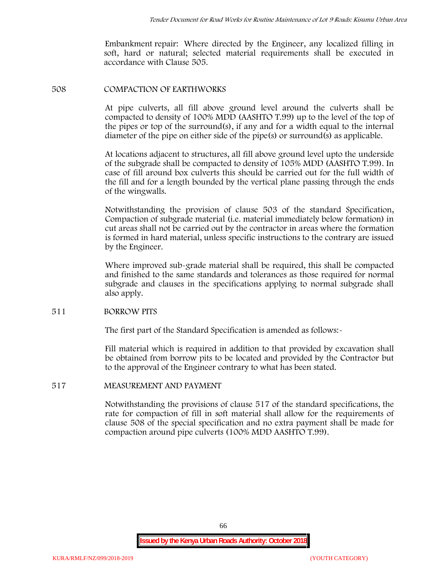Embankment repair: Where directed by the Engineer, any localized filling in soft, hard or natural; selected material requirements shall be executed in accordance with Clause 505.

### **508 COMPACTION OF EARTHWORKS**

At pipe culverts, all fill above ground level around the culverts shall be compacted to density of 100% MDD (AASHTO T.99) up to the level of the top of the pipes or top of the surround(s), if any and for a width equal to the internal diameter of the pipe on either side of the pipe(s) or surround(s) as applicable.

At locations adjacent to structures, all fill above ground level upto the underside of the subgrade shall be compacted to density of 105% MDD (AASHTO T.99). In case of fill around box culverts this should be carried out for the full width of the fill and for a length bounded by the vertical plane passing through the ends of the wingwalls.

Notwithstanding the provision of clause 503 of the standard Specification, Compaction of subgrade material (i.e. material immediately below formation) in cut areas shall not be carried out by the contractor in areas where the formation is formed in hard material, unless specific instructions to the contrary are issued by the Engineer.

Where improved sub-grade material shall be required, this shall be compacted and finished to the same standards and tolerances as those required for normal subgrade and clauses in the specifications applying to normal subgrade shall also apply.

# **511 BORROW PITS**

The first part of the Standard Specification is amended as follows:

Fill material which is required in addition to that provided by excavation shall be obtained from borrow pits to be located and provided by the Contractor but to the approval of the Engineer contrary to what has been stated.

# **517 MEASUREMENT AND PAYMENT**

Notwithstanding the provisions of clause 517 of the standard specifications, the rate for compaction of fill in soft material shall allow for the requirements of clause 508 of the special specification and no extra payment shall be made for compaction around pipe culverts (100% MDD AASHTO T.99).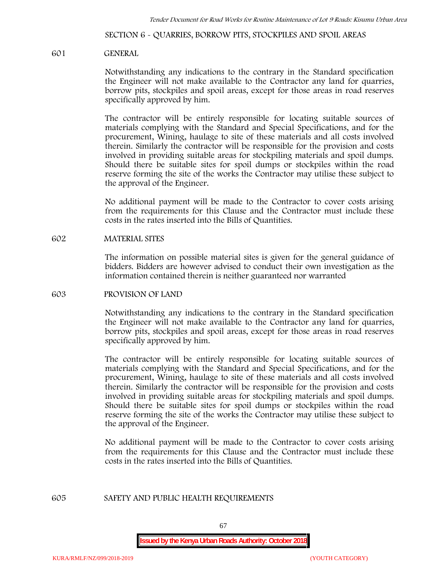**SECTION 6 - QUARRIES, BORROW PITS, STOCKPILES AND SPOIL AREAS**

#### **601 GENERAL**

Notwithstanding any indications to the contrary in the Standard specification the Engineer will not make available to the Contractor any land for quarries, borrow pits, stockpiles and spoil areas, except for those areas in road reserves specifically approved by him.

The contractor will be entirely responsible for locating suitable sources of materials complying with the Standard and Special Specifications, and for the procurement, Wining, haulage to site of these materials and all costs involved therein. Similarly the contractor will be responsible for the provision and costs involved in providing suitable areas for stockpiling materials and spoil dumps. Should there be suitable sites for spoil dumps or stockpiles within the road reserve forming the site of the works the Contractor may utilise these subject to the approval of the Engineer.

No additional payment will be made to the Contractor to cover costs arising from the requirements for this Clause and the Contractor must include these costs in the rates inserted into the Bills of Quantities.

### **602 MATERIAL SITES**

The information on possible material sites is given for the general guidance of bidders. Bidders are however advised to conduct their own investigation as the information contained therein is neither guaranteed nor warranted

#### **603 PROVISION OF LAND**

Notwithstanding any indications to the contrary in the Standard specification the Engineer will not make available to the Contractor any land for quarries, borrow pits, stockpiles and spoil areas, except for those areas in road reserves specifically approved by him.

The contractor will be entirely responsible for locating suitable sources of materials complying with the Standard and Special Specifications, and for the procurement, Wining, haulage to site of these materials and all costs involved therein. Similarly the contractor will be responsible for the provision and costs involved in providing suitable areas for stockpiling materials and spoil dumps. Should there be suitable sites for spoil dumps or stockpiles within the road reserve forming the site of the works the Contractor may utilise these subject to the approval of the Engineer.

No additional payment will be made to the Contractor to cover costs arising from the requirements for this Clause and the Contractor must include these costs in the rates inserted into the Bills of Quantities.

#### **605 SAFETY AND PUBLIC HEALTH REQUIREMENTS**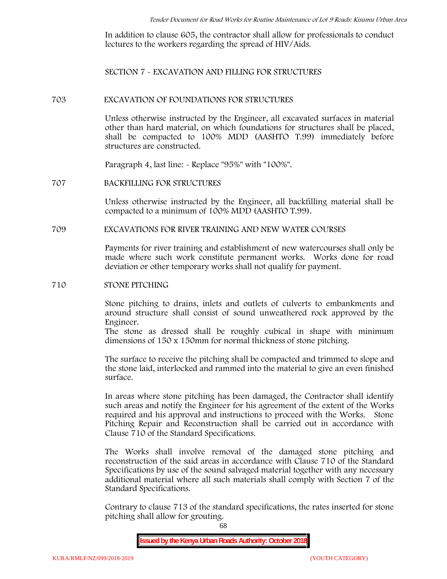In addition to clause 605, the contractor shall allow for professionals to conduct lectures to the workers regarding the spread of HIV/Aids.

**SECTION 7 - EXCAVATION AND FILLING FOR STRUCTURES**

#### **703 EXCAVATION OF FOUNDATIONS FOR STRUCTURES**

Unless otherwise instructed by the Engineer, all excavated surfaces in material other than hard material, on which foundations for structures shall be placed, shall be compacted to 100% MDD (AASHTO T.99) immediately before structures are constructed.

Paragraph 4, last line: - Replace "95%" with "100%".

#### **707 BACKFILLING FOR STRUCTURES**

Unless otherwise instructed by the Engineer, all backfilling material shall be compacted to a minimum of 100% MDD (AASHTO T.99).

# **709 EXCAVATIONS FOR RIVER TRAINING AND NEW WATER COURSES**

Payments for river training and establishment of new watercourses shall only be made where such work constitute permanent works. Works done for road deviation or other temporary works shall not qualify for payment.

### **710 STONE PITCHING**

Stone pitching to drains, inlets and outlets of culverts to embankments and around structure shall consist of sound unweathered rock approved by the Engineer.

The stone as dressed shall be roughly cubical in shape with minimum dimensions of 150 x 150mm for normal thickness of stone pitching.

The surface to receive the pitching shall be compacted and trimmed to slope and the stone laid, interlocked and rammed into the material to give an even finished surface.

In areas where stone pitching has been damaged, the Contractor shall identify such areas and notify the Engineer for his agreement of the extent of the Works required and his approval and instructions to proceed with the Works. Stone Pitching Repair and Reconstruction shall be carried out in accordance with Clause 710 of the Standard Specifications.

The Works shall involve removal of the damaged stone pitching and reconstruction of the said areas in accordance with Clause 710 of the Standard Specifications by use of the sound salvaged material together with any necessary additional material where all such materials shall comply with Section 7 of the Standard Specifications.

Contrary to clause 713 of the standard specifications, the rates inserted for stone pitching shall allow for grouting.

68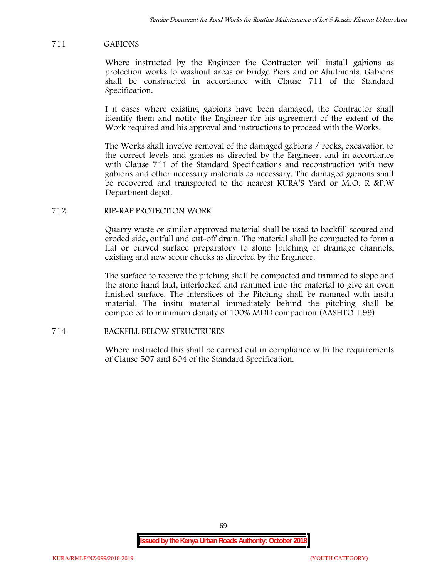### **711 GABIONS**

Where instructed by the Engineer the Contractor will install gabions as protection works to washout areas or bridge Piers and or Abutments. Gabions shall be constructed in accordance with Clause 711 of the Standard Specification.

I n cases where existing gabions have been damaged, the Contractor shall identify them and notify the Engineer for his agreement of the extent of the Work required and his approval and instructions to proceed with the Works.

The Works shall involve removal of the damaged gabions / rocks, excavation to the correct levels and grades as directed by the Engineer, and in accordance with Clause 711 of the Standard Specifications and reconstruction with new gabions and other necessary materials as necessary. The damaged gabions shall be recovered and transported to the nearest KURA'S Yard or M.O. R &P.W Department depot.

### **712 RIP-RAP PROTECTION WORK**

Quarry waste or similar approved material shall be used to backfill scoured and eroded side, outfall and cut-off drain. The material shall be compacted to form a flat or curved surface preparatory to stone [pitching of drainage channels, existing and new scour checks as directed by the Engineer.

The surface to receive the pitching shall be compacted and trimmed to slope and the stone hand laid, interlocked and rammed into the material to give an even finished surface. The interstices of the Pitching shall be rammed with insitu material. The insitu material immediately behind the pitching shall be compacted to minimum density of 100% MDD compaction (AASHTO T.99)

# **714 BACKFILL BELOW STRUCTRURES**

Where instructed this shall be carried out in compliance with the requirements of Clause 507 and 804 of the Standard Specification.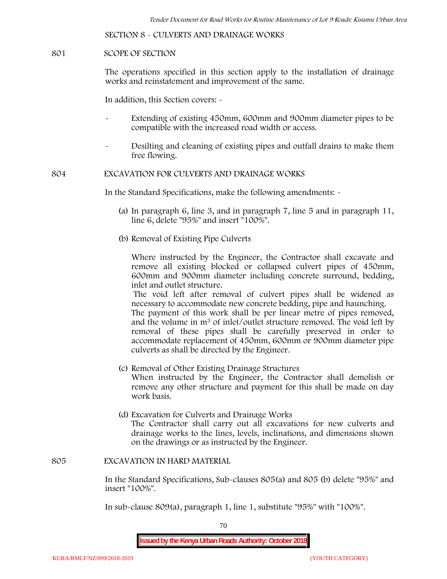**SECTION 8 - CULVERTS AND DRAINAGE WORKS**

### **801 SCOPE OF SECTION**

The operations specified in this section apply to the installation of drainage works and reinstatement and improvement of the same.

In addition, this Section covers: -

- Extending of existing 450mm, 600mm and 900mm diameter pipes to be compatible with the increased road width or access.
- Desilting and cleaning of existing pipes and outfall drains to make them free flowing.

**804 EXCAVATION FOR CULVERTS AND DRAINAGE WORKS**

In the Standard Specifications, make the following amendments: -

- (a) In paragraph 6, line 3, and in paragraph 7, line 5 and in paragraph 11, line 6, delete "95%" and insert "100%".
- (b) Removal of Existing Pipe Culverts

Where instructed by the Engineer, the Contractor shall excavate and remove all existing blocked or collapsed culvert pipes of 450mm, 600mm and 900mm diameter including concrete surround, bedding, inlet and outlet structure.

The void left after removal of culvert pipes shall be widened as necessary to accommodate new concrete bedding, pipe and haunching. The payment of this work shall be per linear metre of pipes removed, and the volume in m<sup>3</sup> of inlet/outlet structure removed. The void left by

removal of these pipes shall be carefully preserved in order to accommodate replacement of 450mm, 600mm or 900mm diameter pipe culverts as shall be directed by the Engineer.

- (c) Removal of Other Existing Drainage Structures When instructed by the Engineer, the Contractor shall demolish or remove any other structure and payment for this shall be made on day work basis.
- (d) Excavation for Culverts and Drainage Works The Contractor shall carry out all excavations for new culverts and drainage works to the lines, levels, inclinations, and dimensions shown on the drawings or as instructed by the Engineer.

#### **805 EXCAVATION IN HARD MATERIAL**

In the Standard Specifications, Sub-clauses 805(a) and 805 (b) delete "95%" and insert "100%".

In sub-clause 809(a), paragraph 1, line 1, substitute "95%" with "100%".

70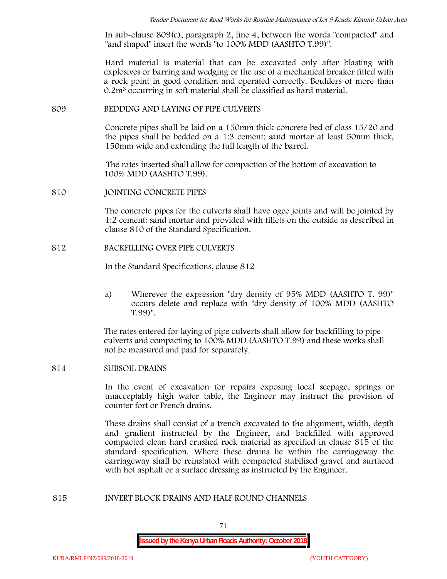In sub-clause 809(c), paragraph 2, line 4, between the words "compacted" and "and shaped" insert the words "to 100% MDD (AASHTO T.99)".

Hard material is material that can be excavated only after blasting with explosives or barring and wedging or the use of a mechanical breaker fitted with a rock point in good condition and operated correctly. Boulders of more than 0.2m<sup>3</sup> occurring in soft material shall be classified as hard material.

### **809 BEDDING AND LAYING OF PIPE CULVERTS**

Concrete pipes shall be laid on a 150mm thick concrete bed of class 15/20 and the pipes shall be bedded on a 1:3 cement: sand mortar at least 50mm thick, 150mm wide and extending the full length of the barrel.

The rates inserted shall allow for compaction of the bottom of excavation to 100% MDD (AASHTO T.99).

### **810 JOINTING CONCRETE PIPES**

The concrete pipes for the culverts shall have ogee joints and will be jointed by 1:2 cement: sand mortar and provided with fillets on the outside as described in clause 810 of the Standard Specification.

### **812 BACKFILLING OVER PIPE CULVERTS**

In the Standard Specifications, clause 812

a) Wherever the expression "dry density of 95% MDD (AASHTO T. 99)" occurs delete and replace with "dry density of 100% MDD (AASHTO T.99)".

The rates entered for laying of pipe culverts shall allow for backfilling to pipe culverts and compacting to 100% MDD (AASHTO T.99) and these works shall not be measured and paid for separately.

# **814 SUBSOIL DRAINS**

In the event of excavation for repairs exposing local seepage, springs or unacceptably high water table, the Engineer may instruct the provision of counter fort or French drains.

These drains shall consist of a trench excavated to the alignment, width, depth and gradient instructed by the Engineer, and backfilled with approved compacted clean hard crushed rock material as specified in clause 815 of the standard specification. Where these drains lie within the carriageway the carriageway shall be reinstated with compacted stabilised gravel and surfaced with hot asphalt or a surface dressing as instructed by the Engineer.

#### **815 INVERT BLOCK DRAINS AND HALF ROUND CHANNELS**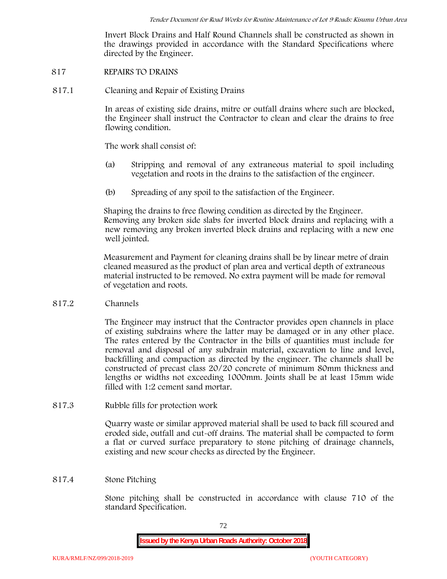Invert Block Drains and Half Round Channels shall be constructed as shown in the drawings provided in accordance with the Standard Specifications where directed by the Engineer.

## **817 REPAIRS TO DRAINS**

**817.1 Cleaning and Repair of Existing Drains**

In areas of existing side drains, mitre or outfall drains where such are blocked, the Engineer shall instruct the Contractor to clean and clear the drains to free flowing condition.

The work shall consist of:

- (a) Stripping and removal of any extraneous material to spoil including vegetation and roots in the drains to the satisfaction of the engineer.
- (b) Spreading of any spoil to the satisfaction of the Engineer.

Shaping the drains to free flowing condition as directed by the Engineer. Removing any broken side slabs for inverted block drains and replacing with a new removing any broken inverted block drains and replacing with a new one well jointed.

Measurement and Payment for cleaning drains shall be by linear metre of drain cleaned measured as the product of plan area and vertical depth of extraneous material instructed to be removed. No extra payment will be made for removal of vegetation and roots.

**817.2 Channels**

The Engineer may instruct that the Contractor provides open channels in place of existing subdrains where the latter may be damaged or in any other place. The rates entered by the Contractor in the bills of quantities must include for removal and disposal of any subdrain material, excavation to line and level, backfilling and compaction as directed by the engineer. The channels shall be constructed of precast class 20/20 concrete of minimum 80mm thickness and lengths or widths not exceeding 1000mm. Joints shall be at least 15mm wide filled with 1:2 cement sand mortar.

**817.3 Rubble fills for protection work**

Quarry waste or similar approved material shall be used to back fill scoured and eroded side, outfall and cut-off drains. The material shall be compacted to form a flat or curved surface preparatory to stone pitching of drainage channels, existing and new scour checks as directed by the Engineer.

# **817.4 Stone Pitching**

Stone pitching shall be constructed in accordance with clause 710 of the standard Specification.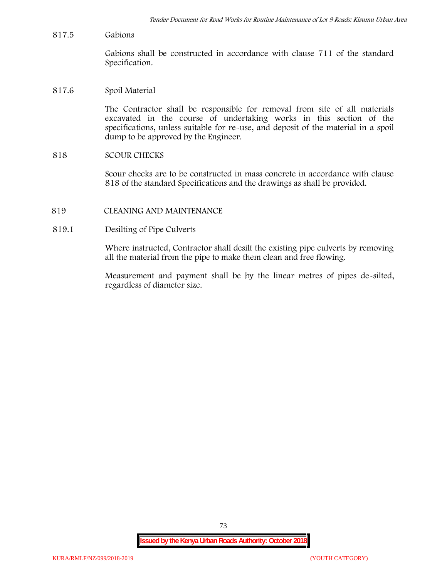**817.5 Gabions**

Gabions shall be constructed in accordance with clause 711 of the standard Specification.

**817.6 Spoil Material**

The Contractor shall be responsible for removal from site of all materials excavated in the course of undertaking works in this section of the specifications, unless suitable for re-use, and deposit of the material in a spoil dump to be approved by the Engineer.

**818 SCOUR CHECKS**

Scour checks are to be constructed in mass concrete in accordance with clause 818 of the standard Specifications and the drawings as shall be provided.

- **819 CLEANING AND MAINTENANCE**
- **819.1 Desilting of Pipe Culverts**

Where instructed, Contractor shall desilt the existing pipe culverts by removing all the material from the pipe to make them clean and free flowing.

Measurement and payment shall be by the linear metres of pipes de-silted, regardless of diameter size.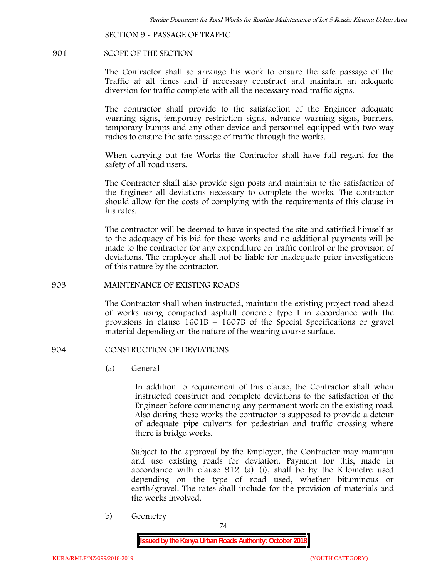**SECTION 9 - PASSAGE OF TRAFFIC**

### **901 SCOPE OF THE SECTION**

The Contractor shall so arrange his work to ensure the safe passage of the Traffic at all times and if necessary construct and maintain an adequate diversion for traffic complete with all the necessary road traffic signs.

The contractor shall provide to the satisfaction of the Engineer adequate warning signs, temporary restriction signs, advance warning signs, barriers, temporary bumps and any other device and personnel equipped with two way radios to ensure the safe passage of traffic through the works.

When carrying out the Works the Contractor shall have full regard for the safety of all road users.

The Contractor shall also provide sign posts and maintain to the satisfaction of the Engineer all deviations necessary to complete the works. The contractor should allow for the costs of complying with the requirements of this clause in his rates.

The contractor will be deemed to have inspected the site and satisfied himself as to the adequacy of his bid for these works and no additional payments will be made to the contractor for any expenditure on traffic control or the provision of deviations. The employer shall not be liable for inadequate prior investigations of this nature by the contractor.

## **903 MAINTENANCE OF EXISTING ROADS**

The Contractor shall when instructed, maintain the existing project road ahead of works using compacted asphalt concrete type I in accordance with the provisions in clause 1601B – 1607B of the Special Specifications or gravel material depending on the nature of the wearing course surface.

# **904 CONSTRUCTION OF DEVIATIONS**

(a) **General**

In addition to requirement of this clause, the Contractor shall when instructed construct and complete deviations to the satisfaction of the Engineer before commencing any permanent work on the existing road. Also during these works the contractor is supposed to provide a detour of adequate pipe culverts for pedestrian and traffic crossing where there is bridge works.

Subject to the approval by the Employer, the Contractor may maintain and use existing roads for deviation. Payment for this, made in accordance with clause 912 (a) (i), shall be by the Kilometre used depending on the type of road used, whether bituminous or earth/gravel. The rates shall include for the provision of materials and the works involved.

b) **Geometry**

74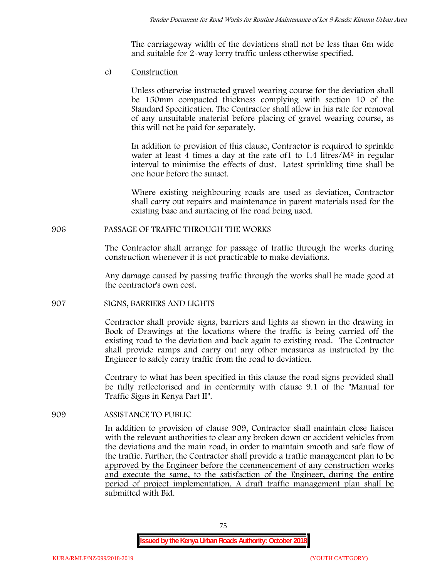The carriageway width of the deviations shall not be less than 6m wide and suitable for 2-way lorry traffic unless otherwise specified.

c) **Construction**

Unless otherwise instructed gravel wearing course for the deviation shall be 150mm compacted thickness complying with section 10 of the Standard Specification. The Contractor shall allow in his rate for removal of any unsuitable material before placing of gravel wearing course, as this will not be paid for separately.

In addition to provision of this clause, Contractor is required to sprinkle water at least 4 times a day at the rate of 1 to  $1.4$  litres/ $M<sup>2</sup>$  in regular interval to minimise the effects of dust. Latest sprinkling time shall be one hour before the sunset.

Where existing neighbouring roads are used as deviation, Contractor shall carry out repairs and maintenance in parent materials used for the existing base and surfacing of the road being used.

# **906 PASSAGE OF TRAFFIC THROUGH THE WORKS**

The Contractor shall arrange for passage of traffic through the works during construction whenever it is not practicable to make deviations.

Any damage caused by passing traffic through the works shall be made good at the contractor's own cost.

# **907 SIGNS, BARRIERS AND LIGHTS**

Contractor shall provide signs, barriers and lights as shown in the drawing in Book of Drawings at the locations where the traffic is being carried off the existing road to the deviation and back again to existing road. The Contractor shall provide ramps and carry out any other measures as instructed by the Engineer to safely carry traffic from the road to deviation.

Contrary to what has been specified in this clause the road signs provided shall be fully reflectorised and in conformity with clause 9.1 of the "Manual for Traffic Signs in Kenya Part II".

# **909 ASSISTANCE TO PUBLIC**

In addition to provision of clause 909, Contractor shall maintain close liaison with the relevant authorities to clear any broken down or accident vehicles from the deviations and the main road, in order to maintain smooth and safe flow of the traffic. Further, the Contractor shall provide a traffic management plan to be approved by the Engineer before the commencement of any construction works and execute the same, to the satisfaction of the Engineer, during the entire period of project implementation. A draft traffic management plan shall be submitted with Bid.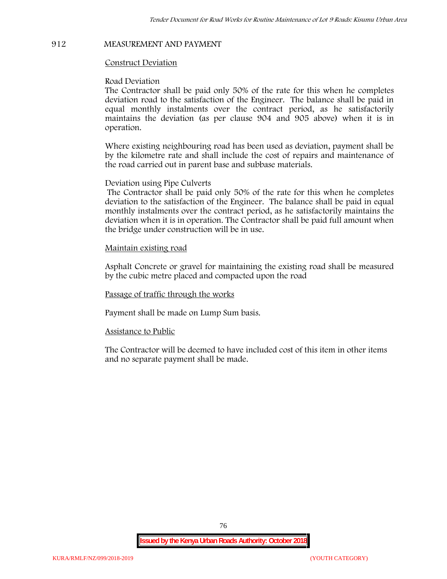# **912 MEASUREMENT AND PAYMENT**

## **Construct Deviation**

### **Road Deviation**

The Contractor shall be paid only 50% of the rate for this when he completes deviation road to the satisfaction of the Engineer. The balance shall be paid in equal monthly instalments over the contract period, as he satisfactorily maintains the deviation (as per clause 904 and 905 above) when it is in operation.

Where existing neighbouring road has been used as deviation, payment shall be by the kilometre rate and shall include the cost of repairs and maintenance of the road carried out in parent base and subbase materials.

## **Deviation using Pipe Culverts**

The Contractor shall be paid only 50% of the rate for this when he completes deviation to the satisfaction of the Engineer. The balance shall be paid in equal monthly instalments over the contract period, as he satisfactorily maintains the deviation when it is in operation. The Contractor shall be paid full amount when the bridge under construction will be in use.

## **Maintain existing road**

Asphalt Concrete or gravel for maintaining the existing road shall be measured by the cubic metre placed and compacted upon the road

### **Passage of traffic through the works**

Payment shall be made on Lump Sum basis.

### **Assistance to Public**

The Contractor will be deemed to have included cost of this item in other items and no separate payment shall be made.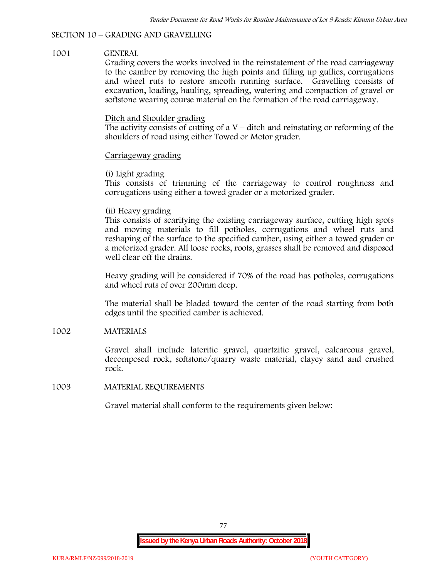# **SECTION 10 – GRADING AND GRAVELLING**

# **1001 GENERAL**

Grading covers the works involved in the reinstatement of the road carriageway to the camber by removing the high points and filling up gullies, corrugations and wheel ruts to restore smooth running surface. Gravelling consists of excavation, loading, hauling, spreading, watering and compaction of gravel or softstone wearing course material on the formation of the road carriageway.

# Ditch and Shoulder grading

The activity consists of cutting of a  $V$  – ditch and reinstating or reforming of the shoulders of road using either Towed or Motor grader.

# Carriageway grading

# **(i) Light grading**

This consists of trimming of the carriageway to control roughness and corrugations using either a towed grader or a motorized grader.

## **(ii) Heavy grading**

This consists of scarifying the existing carriageway surface, cutting high spots and moving materials to fill potholes, corrugations and wheel ruts and reshaping of the surface to the specified camber, using either a towed grader or a motorized grader. All loose rocks, roots, grasses shall be removed and disposed well clear off the drains.

Heavy grading will be considered if 70% of the road has potholes, corrugations and wheel ruts of over 200mm deep.

The material shall be bladed toward the center of the road starting from both edges until the specified camber is achieved.

# **1002 MATERIALS**

Gravel shall include lateritic gravel, quartzitic gravel, calcareous gravel, decomposed rock, softstone/quarry waste material, clayey sand and crushed rock.

### **1003 MATERIAL REQUIREMENTS**

Gravel material shall conform to the requirements given below: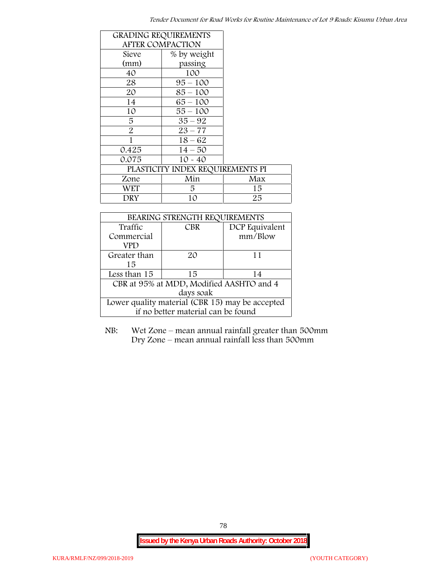|                | <b>GRADING REQUIREMENTS</b>      |     |
|----------------|----------------------------------|-----|
|                | <b>AFTER COMPACTION</b>          |     |
| Sieve          | % by weight                      |     |
| (mm)           | passing                          |     |
| 40             | 100                              |     |
| 28             | $95 - 100$                       |     |
| 20             | $85 - 100$                       |     |
| 14             | $65 - 100$                       |     |
| 10             | $55 - 100$                       |     |
| 5              | $35 - 92$                        |     |
| $\overline{2}$ | $23 - 77$                        |     |
| 1              | $18 - 62$                        |     |
| 0.425          | $14 - 50$                        |     |
| 0.075          | $10 - 40$                        |     |
|                | PLASTICITY INDEX REQUIREMENTS PI |     |
| Zone           | Min                              | Max |
| <b>WET</b>     | 5.                               | 15  |
| DRY            | 10                               | 25  |

| BEARING STRENGTH REQUIREMENTS                   |            |                |  |  |
|-------------------------------------------------|------------|----------------|--|--|
| Traffic                                         | <b>CBR</b> | DCP Equivalent |  |  |
| Commercial                                      |            | mm/Blow        |  |  |
| VPD                                             |            |                |  |  |
| Greater than                                    | 20         | 11             |  |  |
| 15                                              |            |                |  |  |
| Less than 15                                    | 15         | 14             |  |  |
| CBR at 95% at MDD, Modified AASHTO and 4        |            |                |  |  |
| days soak                                       |            |                |  |  |
| Lower quality material (CBR 15) may be accepted |            |                |  |  |
| if no better material can be found              |            |                |  |  |

NB: Wet Zone – mean annual rainfall greater than 500mm Dry Zone – mean annual rainfall less than 500mm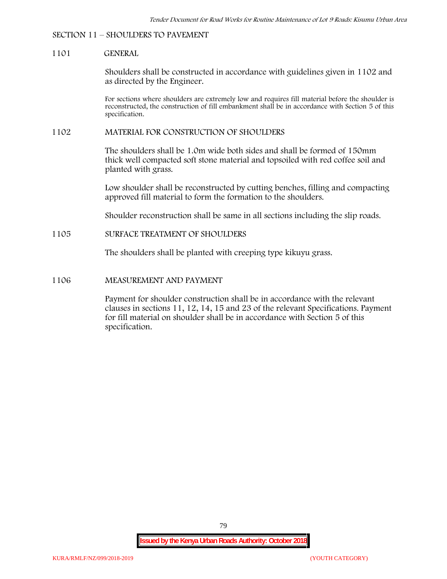## **SECTION 11 – SHOULDERS TO PAVEMENT**

## **1101 GENERAL**

Shoulders shall be constructed in accordance with guidelines given in 1102 and as directed by the Engineer.

For sections where shoulders are extremely low and requires fill material before the shoulder is reconstructed, the construction of fill embankment shall be in accordance with Section 5 of this specification.

### **1102 MATERIAL FOR CONSTRUCTION OF SHOULDERS**

The shoulders shall be 1.0m wide both sides and shall be formed of 150mm thick well compacted soft stone material and topsoiled with red coffee soil and planted with grass.

Low shoulder shall be reconstructed by cutting benches, filling and compacting approved fill material to form the formation to the shoulders.

Shoulder reconstruction shall be same in all sections including the slip roads.

## **1105 SURFACE TREATMENT OF SHOULDERS**

The shoulders shall be planted with creeping type kikuyu grass.

#### **1106 MEASUREMENT AND PAYMENT**

Payment for shoulder construction shall be in accordance with the relevant clauses in sections 11, 12, 14, 15 and 23 of the relevant Specifications. Payment for fill material on shoulder shall be in accordance with Section 5 of this specification.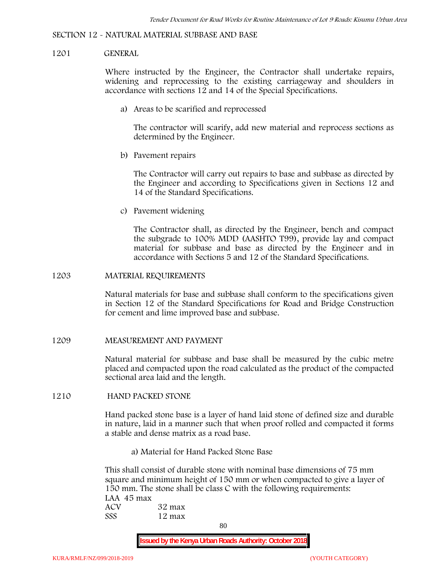#### **SECTION 12 - NATURAL MATERIAL SUBBASE AND BASE**

## **1201 GENERAL**

Where instructed by the Engineer, the Contractor shall undertake repairs, widening and reprocessing to the existing carriageway and shoulders in accordance with sections 12 and 14 of the Special Specifications.

**a) Areas to be scarified and reprocessed**

The contractor will scarify, add new material and reprocess sections as determined by the Engineer.

**b) Pavement repairs**

The Contractor will carry out repairs to base and subbase as directed by the Engineer and according to Specifications given in Sections 12 and 14 of the Standard Specifications.

**c) Pavement widening**

The Contractor shall, as directed by the Engineer, bench and compact the subgrade to 100% MDD (AASHTO T99), provide lay and compact material for subbase and base as directed by the Engineer and in accordance with Sections 5 and 12 of the Standard Specifications.

#### **1203 MATERIAL REQUIREMENTS**

Natural materials for base and subbase shall conform to the specifications given in Section 12 of the Standard Specifications for Road and Bridge Construction for cement and lime improved base and subbase.

**1209 MEASUREMENT AND PAYMENT**

Natural material for subbase and base shall be measured by the cubic metre placed and compacted upon the road calculated as the product of the compacted sectional area laid and the length.

#### **1210 HAND PACKED STONE**

Hand packed stone base is a layer of hand laid stone of defined size and durable in nature, laid in a manner such that when proof rolled and compacted it forms a stable and dense matrix as a road base.

**a) Material for Hand Packed Stone Base**

This shall consist of durable stone with nominal base dimensions of 75 mm square and minimum height of 150 mm or when compacted to give a layer of 150 mm. The stone shall be class C with the following requirements: **LAA 45 max ACV 32 max SSS 12 max**

80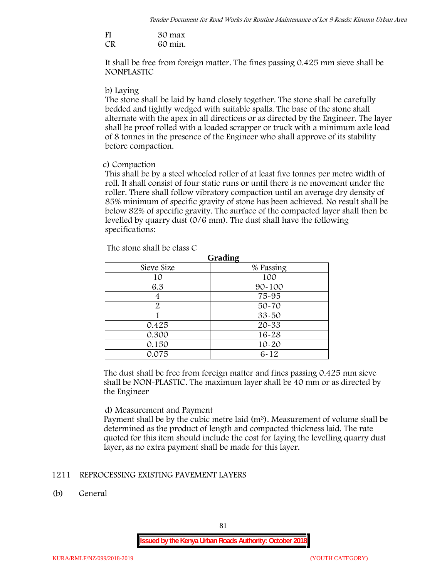| FI | 30 max  |
|----|---------|
| CR | 60 min. |

It shall be free from foreign matter. The fines passing 0.425 mm sieve shall be **NONPLASTIC**

## **b) Laying**

The stone shall be laid by hand closely together. The stone shall be carefully bedded and tightly wedged with suitable spalls. The base of the stone shall alternate with the apex in all directions or as directed by the Engineer. The layer shall be proof rolled with a loaded scrapper or truck with a minimum axle load of 8 tonnes in the presence of the Engineer who shall approve of its stability before compaction.

## **c) Compaction**

This shall be by a steel wheeled roller of at least five tonnes per metre width of roll. It shall consist of four static runs or until there is no movement under the roller. There shall follow vibratory compaction until an average dry density of 85% minimum of specific gravity of stone has been achieved. No result shall be below 82% of specific gravity. The surface of the compacted layer shall then be levelled by quarry dust (0/6 mm). The dust shall have the following specifications:

| Grading    |            |  |  |  |
|------------|------------|--|--|--|
| Sieve Size | % Passing  |  |  |  |
| 10         | 100        |  |  |  |
| 6.3        | $90 - 100$ |  |  |  |
|            | 75-95      |  |  |  |
| 2          | $50 - 70$  |  |  |  |
|            | $33 - 50$  |  |  |  |
| 0.425      | 20-33      |  |  |  |
| 0.300      | 16-28      |  |  |  |
| 0.150      | $10 - 20$  |  |  |  |
| 0.075      | $6 - 12$   |  |  |  |

The stone shall be class C

The dust shall be free from foreign matter and fines passing 0.425 mm sieve shall be **NON-PLASTIC**. The maximum layer shall be 40 mm or as directed by the Engineer

# **d) Measurement and Payment**

Payment shall be by the cubic metre laid  $(m<sup>3</sup>)$ . Measurement of volume shall be determined as the product of length and compacted thickness laid. The rate quoted for this item should include the cost for laying the levelling quarry dust layer, as no extra payment shall be made for this layer.

# **1211 REPROCESSING EXISTING PAVEMENT LAYERS**

**(b) General**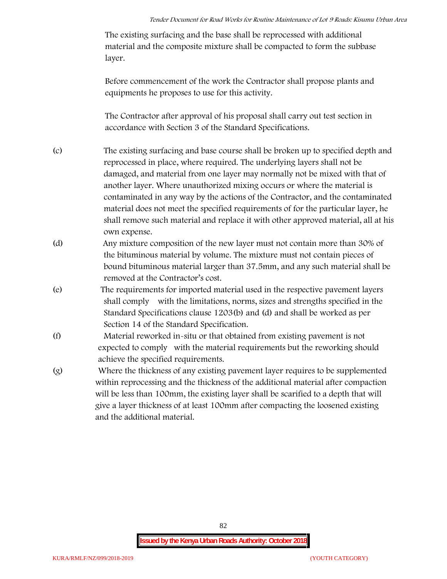The existing surfacing and the base shall be reprocessed with additional material and the composite mixture shall be compacted to form the subbase layer.

Before commencement of the work the Contractor shall propose plants and equipments he proposes to use for this activity.

The Contractor after approval of his proposal shall carry out test section in accordance with Section 3 of the Standard Specifications.

- (c) The existing surfacing and base course shall be broken up to specified depth and reprocessed in place, where required. The underlying layers shall not be damaged, and material from one layer may normally not be mixed with that of another layer. Where unauthorized mixing occurs or where the material is contaminated in any way by the actions of the Contractor, and the contaminated material does not meet the specified requirements of for the particular layer, he shall remove such material and replace it with other approved material, all at his own expense.
- (d) Any mixture composition of the new layer must not contain more than 30% of the bituminous material by volume. The mixture must not contain pieces of bound bituminous material larger than 37.5mm, and any such material shall be removed at the Contractor's cost.
- (e) The requirements for imported material used in the respective pavement layers shall comply with the limitations, norms, sizes and strengths specified in the Standard Specifications clause 1203(b) and (d) and shall be worked as per Section 14 of the Standard Specification.
- (f) Material reworked in-situ or that obtained from existing pavement is not expected to comply with the material requirements but the reworking should achieve the specified requirements.
- (g) Where the thickness of any existing pavement layer requires to be supplemented within reprocessing and the thickness of the additional material after compaction will be less than 100mm, the existing layer shall be scarified to a depth that will give a layer thickness of at least 100mm after compacting the loosened existing and the additional material.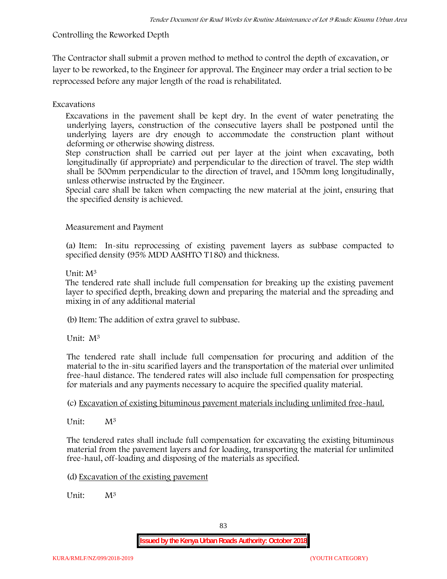# **Controlling the Reworked Depth**

The Contractor shall submit a proven method to method to control the depth of excavation, or layer to be reworked, to the Engineer for approval. The Engineer may order a trial section to be reprocessed before any major length of the road is rehabilitated.

# **Excavations**

Excavations in the pavement shall be kept dry. In the event of water penetrating the underlying layers, construction of the consecutive layers shall be postponed until the underlying layers are dry enough to accommodate the construction plant without deforming or otherwise showing distress.

Step construction shall be carried out per layer at the joint when excavating, both longitudinally (if appropriate) and perpendicular to the direction of travel. The step width shall be 500mm perpendicular to the direction of travel, and 150mm long longitudinally, unless otherwise instructed by the Engineer.

Special care shall be taken when compacting the new material at the joint, ensuring that the specified density is achieved.

# **Measurement and Payment**

(a) Item: In-situ reprocessing of existing pavement layers as subbase compacted to specified density (95% MDD AASHTO T180) and thickness.

# Unit: M<sup>3</sup>

The tendered rate shall include full compensation for breaking up the existing pavement layer to specified depth, breaking down and preparing the material and the spreading and mixing in of any additional material

(b)Item: The addition of extra gravel to subbase.

Unit: M<sup>3</sup>

The tendered rate shall include full compensation for procuring and addition of the material to the in-situ scarified layers and the transportation of the material over unlimited free-haul distance. The tendered rates will also include full compensation for prospecting for materials and any payments necessary to acquire the specified quality material.

(c) Excavation of existing bituminous pavement materials including unlimited free-haul.

Unit: M<sup>3</sup>

The tendered rates shall include full compensation for excavating the existing bituminous material from the pavement layers and for loading, transporting the material for unlimited free-haul, off-loading and disposing of the materials as specified.

(d) Excavation of the existing pavement

Unit:  $M^3$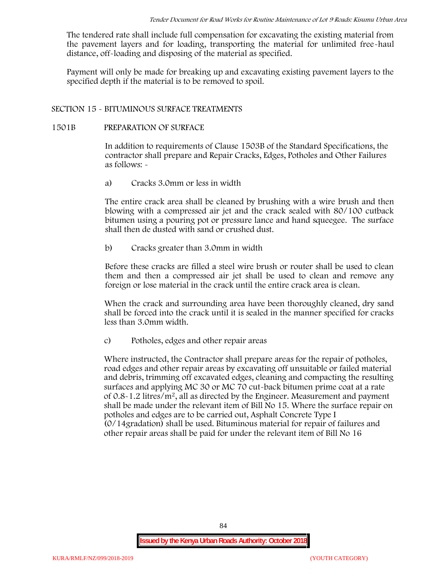The tendered rate shall include full compensation for excavating the existing material from the pavement layers and for loading, transporting the material for unlimited free-haul distance, off-loading and disposing of the material as specified.

Payment will only be made for breaking up and excavating existing pavement layers to the specified depth if the material is to be removed to spoil.

# **SECTION 15 - BITUMINOUS SURFACE TREATMENTS**

### **1501B PREPARATION OF SURFACE**

In addition to requirements of Clause 1503B of the Standard Specifications, the contractor shall prepare and Repair Cracks, Edges, Potholes and Other Failures as follows: **-**

a) **Cracks 3.0mm or less in width**

The entire crack area shall be cleaned by brushing with a wire brush and then blowing with a compressed air jet and the crack sealed with 80/100 cutback bitumen using a pouring pot or pressure lance and hand squeegee. The surface shall then de dusted with sand or crushed dust.

b) **Cracks greater than 3.0mm in width**

Before these cracks are filled a steel wire brush or router shall be used to clean them and then a compressed air jet shall be used to clean and remove any foreign or lose material in the crack until the entire crack area is clean.

When the crack and surrounding area have been thoroughly cleaned, dry sand shall be forced into the crack until it is sealed in the manner specified for cracks less than 3.0mm width.

c) **Potholes, edges and other repair areas**

Where instructed, the Contractor shall prepare areas for the repair of potholes, road edges and other repair areas by excavating off unsuitable or failed material and debris, trimming off excavated edges, cleaning and compacting the resulting surfaces and applying MC 30 or MC 70 cut-back bitumen prime coat at a rate of  $0.8-1.2$  litres/m<sup>2</sup>, all as directed by the Engineer. Measurement and payment shall be made under the relevant item of Bill No 15. Where the surface repair on potholes and edges are to be carried out, Asphalt Concrete Type I (0/14gradation) shall be used. Bituminous material for repair of failures and other repair areas shall be paid for under the relevant item of Bill No 16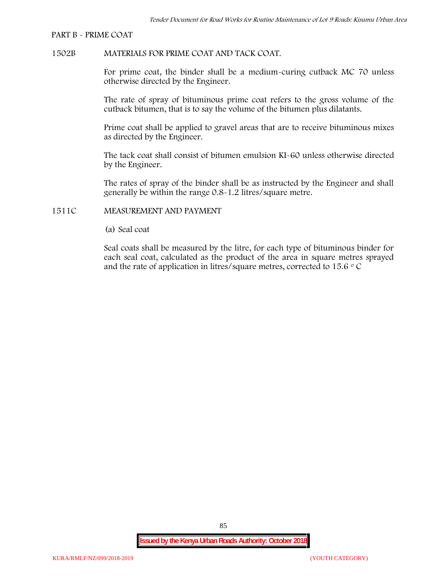#### **PART B - PRIME COAT**

## **1502B MATERIALS FOR PRIME COAT AND TACK COAT.**

For prime coat, the binder shall be a medium-curing cutback MC 70 unless otherwise directed by the Engineer.

The rate of spray of bituminous prime coat refers to the gross volume of the cutback bitumen, that is to say the volume of the bitumen plus dilatants.

Prime coat shall be applied to gravel areas that are to receive bituminous mixes as directed by the Engineer.

The tack coat shall consist of bitumen emulsion KI-60 unless otherwise directed by the Engineer.

The rates of spray of the binder shall be as instructed by the Engineer and shall generally be within the range 0.8-1.2 litres/square metre.

# **1511C MEASUREMENT AND PAYMENT**

(a) Seal coat

Seal coats shall be measured by the litre, for each type of bituminous binder for each seal coat, calculated as the product of the area in square metres sprayed and the rate of application in litres/square metres, corrected to 15.6  $\circ$  C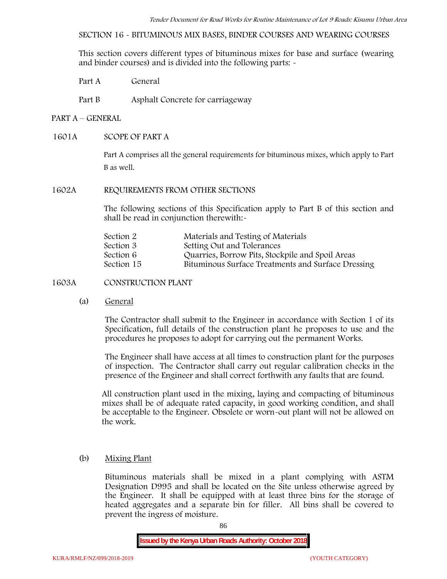**SECTION 16 - BITUMINOUS MIX BASES, BINDER COURSES AND WEARING COURSES**

This section covers different types of bituminous mixes for base and surface (wearing and binder courses) and is divided into the following parts: -

Part A General

Part B Asphalt Concrete for carriageway

# **PART A –GENERAL**

# **1601A SCOPE OF PART A**

Part A comprises all the general requirements for bituminous mixes, which apply to Part B as well.

# **1602A REQUIREMENTS FROM OTHER SECTIONS**

The following sections of this Specification apply to Part B of this section and shall be read in conjunction therewith:-

| Materials and Testing of Materials                 |
|----------------------------------------------------|
| Setting Out and Tolerances                         |
| Quarries, Borrow Pits, Stockpile and Spoil Areas   |
| Bituminous Surface Treatments and Surface Dressing |
|                                                    |

# **1603A CONSTRUCTION PLANT**

(a) **General**

The Contractor shall submit to the Engineer in accordance with Section 1 of its Specification, full details of the construction plant he proposes to use and the procedures he proposes to adopt for carrying out the permanent Works.

The Engineer shall have access at all times to construction plant for the purposes of inspection. The Contractor shall carry out regular calibration checks in the presence of the Engineer and shall correct forthwith any faults that are found.

All construction plant used in the mixing, laying and compacting of bituminous mixes shall be of adequate rated capacity, in good working condition, and shall be acceptable to the Engineer. Obsolete or worn-out plant will not be allowed on the work.

# (b) **Mixing Plant**

Bituminous materials shall be mixed in a plant complying with ASTM Designation D995 and shall be located on the Site unless otherwise agreed by the Engineer. It shall be equipped with at least three bins for the storage of heated aggregates and a separate bin for filler. All bins shall be covered to prevent the ingress of moisture.

86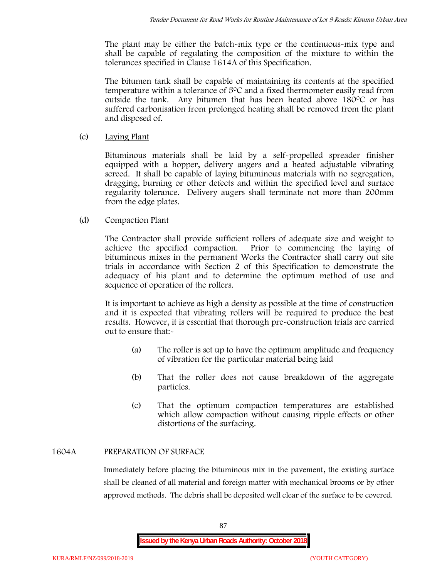The plant may be either the batch-mix type or the continuous-mix type and shall be capable of regulating the composition of the mixture to within the tolerances specified in Clause 1614A of this Specification.

The bitumen tank shall be capable of maintaining its contents at the specified temperature within a tolerance of  $5^{\circ}$ C and a fixed thermometer easily read from outside the tank. Any bitumen that has been heated above  $180^{\circ}$ C or has suffered carbonisation from prolonged heating shall be removed from the plant and disposed of.

# (c) **Laying Plant**

Bituminous materials shall be laid by a self-propelled spreader finisher equipped with a hopper, delivery augers and a heated adjustable vibrating screed. It shall be capable of laying bituminous materials with no segregation, dragging, burning or other defects and within the specified level and surface regularity tolerance. Delivery augers shall terminate not more than 200mm from the edge plates.

# (d) **Compaction Plant**

The Contractor shall provide sufficient rollers of adequate size and weight to achieve the specified compaction. Prior to commencing the laying of bituminous mixes in the permanent Works the Contractor shall carry out site trials in accordance with Section 2 of this Specification to demonstrate the adequacy of his plant and to determine the optimum method of use and sequence of operation of the rollers.

It is important to achieve as high a density as possible at the time of construction and it is expected that vibrating rollers will be required to produce the best results. However, it is essential that thorough pre-construction trials are carried out to ensure that:-

- (a) The roller is set up to have the optimum amplitude and frequency of vibration for the particular material being laid
- (b) That the roller does not cause breakdown of the aggregate particles.
- (c) That the optimum compaction temperatures are established which allow compaction without causing ripple effects or other distortions of the surfacing.

# **1604A PREPARATION OF SURFACE**

Immediately before placing the bituminous mix in the pavement, the existing surface shall be cleaned of all material and foreign matter with mechanical brooms or by other approved methods. The debris shall be deposited well clear of the surface to be covered.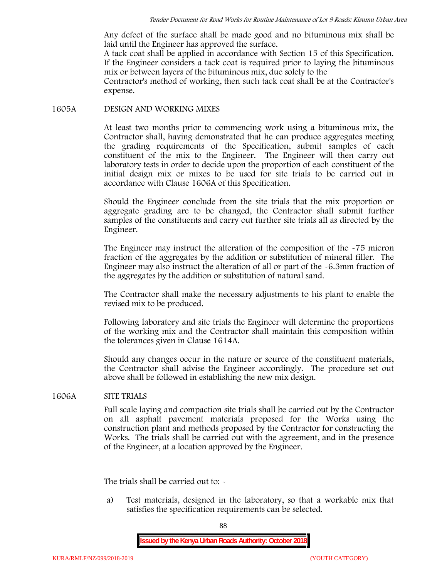Any defect of the surface shall be made good and no bituminous mix shall be laid until the Engineer has approved the surface.

A tack coat shall be applied in accordance with Section 15 of this Specification. If the Engineer considers a tack coat is required prior to laying the bituminous mix or between layers of the bituminous mix, due solely to the

Contractor's method of working, then such tack coat shall be at the Contractor's expense.

## **1605A DESIGN AND WORKING MIXES**

At least two months prior to commencing work using a bituminous mix, the Contractor shall, having demonstrated that he can produce aggregates meeting the grading requirements of the Specification, submit samples of each constituent of the mix to the Engineer. The Engineer will then carry out laboratory tests in order to decide upon the proportion of each constituent of the initial design mix or mixes to be used for site trials to be carried out in accordance with Clause 1606A of this Specification.

Should the Engineer conclude from the site trials that the mix proportion or aggregate grading are to be changed, the Contractor shall submit further samples of the constituents and carry out further site trials all as directed by the Engineer.

The Engineer may instruct the alteration of the composition of the -75 micron fraction of the aggregates by the addition or substitution of mineral filler. The Engineer may also instruct the alteration of all or part of the -6.3mm fraction of the aggregates by the addition or substitution of natural sand.

The Contractor shall make the necessary adjustments to his plant to enable the revised mix to be produced.

Following laboratory and site trials the Engineer will determine the proportions of the working mix and the Contractor shall maintain this composition within the tolerances given in Clause 1614A.

Should any changes occur in the nature or source of the constituent materials, the Contractor shall advise the Engineer accordingly. The procedure set out above shall be followed in establishing the new mix design.

# **1606A SITE TRIALS**

Full scale laying and compaction site trials shall be carried out by the Contractor on all asphalt pavement materials proposed for the Works using the construction plant and methods proposed by the Contractor for constructing the Works. The trials shall be carried out with the agreement, and in the presence of the Engineer, at a location approved by the Engineer.

The trials shall be carried out to: -

a) Test materials, designed in the laboratory, so that a workable mix that satisfies the specification requirements can be selected.

88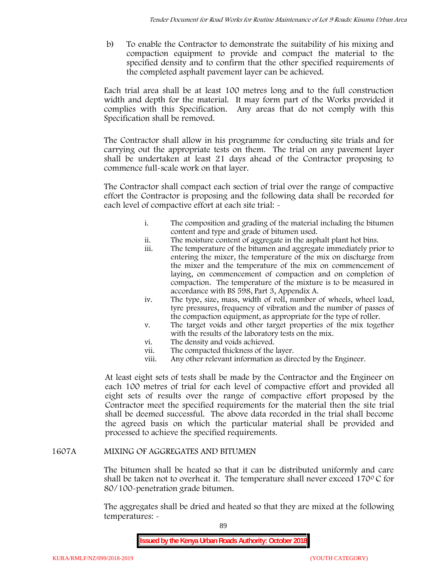b) To enable the Contractor to demonstrate the suitability of his mixing and compaction equipment to provide and compact the material to the specified density and to confirm that the other specified requirements of the completed asphalt pavement layer can be achieved.

Each trial area shall be at least 100 metres long and to the full construction width and depth for the material. It may form part of the Works provided it complies with this Specification. Any areas that do not comply with this Specification shall be removed.

The Contractor shall allow in his programme for conducting site trials and for carrying out the appropriate tests on them. The trial on any pavement layer shall be undertaken at least 21 days ahead of the Contractor proposing to commence full-scale work on that layer.

The Contractor shall compact each section of trial over the range of compactive effort the Contractor is proposing and the following data shall be recorded for each level of compactive effort at each site trial:  $\sim$ 

- i. The composition and grading of the material including the bitumen content and type and grade of bitumen used.
- ii. The moisture content of aggregate in the asphalt plant hot bins.
- iii. The temperature of the bitumen and aggregate immediately prior to entering the mixer, the temperature of the mix on discharge from the mixer and the temperature of the mix on commencement of laying, on commencement of compaction and on completion of compaction. The temperature of the mixture is to be measured in accordance with BS 598, Part 3, Appendix A.
- iv. The type, size, mass, width of roll, number of wheels, wheel load, tyre pressures, frequency of vibration and the number of passes of the compaction equipment, as appropriate for the type of roller.
- v. The target voids and other target properties of the mix together with the results of the laboratory tests on the mix.
- vi. The density and voids achieved.
- vii. The compacted thickness of the layer.
- viii. Any other relevant information as directed by the Engineer.

At least eight sets of tests shall be made by the Contractor and the Engineer on each 100 metres of trial for each level of compactive effort and provided all eight sets of results over the range of compactive effort proposed by the Contractor meet the specified requirements for the material then the site trial shall be deemed successful. The above data recorded in the trial shall become the agreed basis on which the particular material shall be provided and processed to achieve the specified requirements.

# **1607A MIXING OF AGGREGATES AND BITUMEN**

The bitumen shall be heated so that it can be distributed uniformly and care shall be taken not to overheat it. The temperature shall never exceed 170 $\degree$ C for 80/100-penetration grade bitumen.

The aggregates shall be dried and heated so that they are mixed at the following temperatures: -

89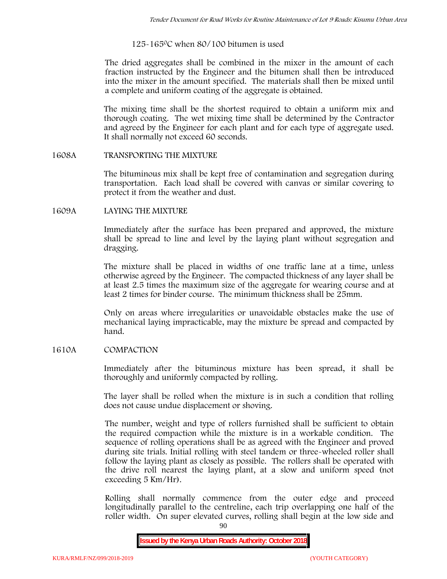# 125-1650C when 80/100 bitumen is used

The dried aggregates shall be combined in the mixer in the amount of each fraction instructed by the Engineer and the bitumen shall then be introduced into the mixer in the amount specified. The materials shall then be mixed until a complete and uniform coating of the aggregate is obtained.

The mixing time shall be the shortest required to obtain a uniform mix and thorough coating. The wet mixing time shall be determined by the Contractor and agreed by the Engineer for each plant and for each type of aggregate used. It shall normally not exceed 60 seconds.

## **1608A TRANSPORTING THE MIXTURE**

The bituminous mix shall be kept free of contamination and segregation during transportation. Each load shall be covered with canvas or similar covering to protect it from the weather and dust.

## **1609A LAYING THE MIXTURE**

Immediately after the surface has been prepared and approved, the mixture shall be spread to line and level by the laying plant without segregation and dragging.

The mixture shall be placed in widths of one traffic lane at a time, unless otherwise agreed by the Engineer. The compacted thickness of any layer shall be at least 2.5 times the maximum size of the aggregate for wearing course and at least 2 times for binder course. The minimum thickness shall be 25mm.

Only on areas where irregularities or unavoidable obstacles make the use of mechanical laying impracticable, may the mixture be spread and compacted by hand.

# **1610A COMPACTION**

Immediately after the bituminous mixture has been spread, it shall be thoroughly and uniformly compacted by rolling.

The layer shall be rolled when the mixture is in such a condition that rolling does not cause undue displacement or shoving.

The number, weight and type of rollers furnished shall be sufficient to obtain the required compaction while the mixture is in a workable condition. The sequence of rolling operations shall be as agreed with the Engineer and proved during site trials. Initial rolling with steel tandem or three-wheeled roller shall follow the laying plant as closely as possible. The rollers shall be operated with the drive roll nearest the laying plant, at a slow and uniform speed (not exceeding 5 Km/Hr).

Rolling shall normally commence from the outer edge and proceed longitudinally parallel to the centreline, each trip overlapping one half of the roller width. On super elevated curves, rolling shall begin at the low side and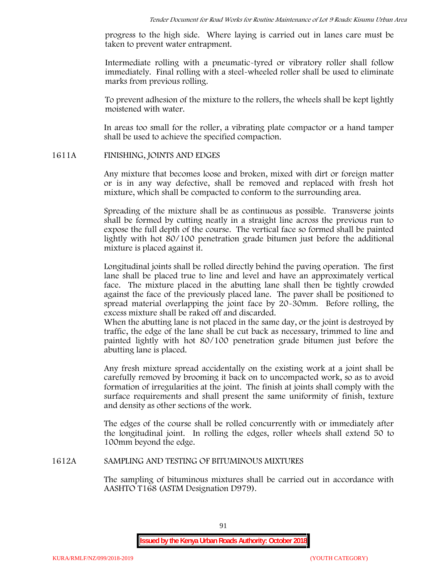progress to the high side. Where laying is carried out in lanes care must be taken to prevent water entrapment.

Intermediate rolling with a pneumatic-tyred or vibratory roller shall follow immediately. Final rolling with a steel-wheeled roller shall be used to eliminate marks from previous rolling.

To prevent adhesion of the mixture to the rollers, the wheels shall be kept lightly moistened with water.

In areas too small for the roller, a vibrating plate compactor or a hand tamper shall be used to achieve the specified compaction.

# **1611A FINISHING, JOINTS AND EDGES**

Any mixture that becomes loose and broken, mixed with dirt or foreign matter or is in any way defective, shall be removed and replaced with fresh hot mixture, which shall be compacted to conform to the surrounding area.

Spreading of the mixture shall be as continuous as possible. Transverse joints shall be formed by cutting neatly in a straight line across the previous run to expose the full depth of the course. The vertical face so formed shall be painted lightly with hot 80/100 penetration grade bitumen just before the additional mixture is placed against it.

Longitudinal joints shall be rolled directly behind the paving operation. The first lane shall be placed true to line and level and have an approximately vertical face. The mixture placed in the abutting lane shall then be tightly crowded against the face of the previously placed lane. The paver shall be positioned to spread material overlapping the joint face by 20-30mm. Before rolling, the excess mixture shall be raked off and discarded.

When the abutting lane is not placed in the same day, or the joint is destroyed by traffic, the edge of the lane shall be cut back as necessary, trimmed to line and painted lightly with hot 80/100 penetration grade bitumen just before the abutting lane is placed.

Any fresh mixture spread accidentally on the existing work at a joint shall be carefully removed by brooming it back on to uncompacted work, so as to avoid formation of irregularities at the joint. The finish at joints shall comply with the surface requirements and shall present the same uniformity of finish, texture and density as other sections of the work.

The edges of the course shall be rolled concurrently with or immediately after the longitudinal joint. In rolling the edges, roller wheels shall extend 50 to 100mm beyond the edge.

# **1612A SAMPLING AND TESTING OF BITUMINOUS MIXTURES**

The sampling of bituminous mixtures shall be carried out in accordance with AASHTO T168 (ASTM Designation D979).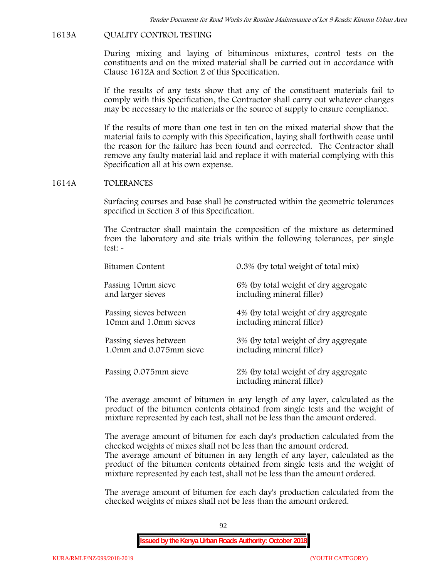## **1613A QUALITY CONTROL TESTING**

During mixing and laying of bituminous mixtures, control tests on the constituents and on the mixed material shall be carried out in accordance with Clause 1612A and Section 2 of this Specification.

If the results of any tests show that any of the constituent materials fail to comply with this Specification, the Contractor shall carry out whatever changes may be necessary to the materials or the source of supply to ensure compliance.

If the results of more than one test in ten on the mixed material show that the material fails to comply with this Specification, laying shall forthwith cease until the reason for the failure has been found and corrected. The Contractor shall remove any faulty material laid and replace it with material complying with this Specification all at his own expense.

#### **1614A TOLERANCES**

Surfacing courses and base shall be constructed within the geometric tolerances specified in Section 3 of this Specification.

The Contractor shall maintain the composition of the mixture as determined from the laboratory and site trials within the following tolerances, per single test: -

| Bitumen Content         | 0.3% (by total weight of total mix)                               |
|-------------------------|-------------------------------------------------------------------|
| Passing 10mm sieve      | 6% (by total weight of dry aggregate                              |
| and larger sieves       | including mineral filler)                                         |
| Passing sieves between  | 4% (by total weight of dry aggregate                              |
| 10mm and 1.0mm sieves   | including mineral filler)                                         |
| Passing sieves between  | 3% (by total weight of dry aggregate                              |
| 1.0mm and 0.075mm sieve | including mineral filler)                                         |
| Passing 0.075mm sieve   | 2% (by total weight of dry aggregate<br>including mineral filler) |

The average amount of bitumen in any length of any layer, calculated as the product of the bitumen contents obtained from single tests and the weight of mixture represented by each test, shall not be less than the amount ordered.

The average amount of bitumen for each day's production calculated from the checked weights of mixes shall not be less than the amount ordered. The average amount of bitumen in any length of any layer, calculated as the product of the bitumen contents obtained from single tests and the weight of mixture represented by each test, shall not be less than the amount ordered.

The average amount of bitumen for each day's production calculated from the checked weights of mixes shall not be less than the amount ordered.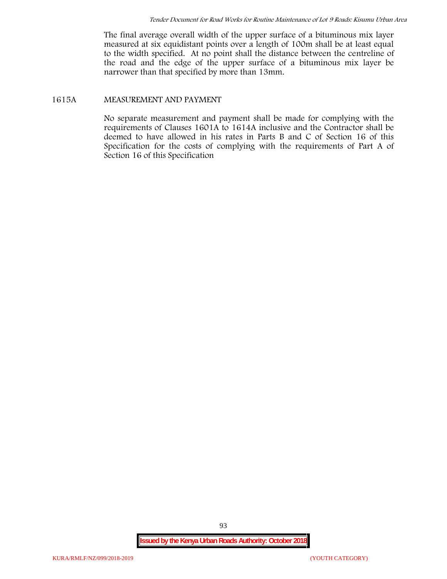The final average overall width of the upper surface of a bituminous mix layer measured at six equidistant points over a length of 100m shall be at least equal to the width specified. At no point shall the distance between the centreline of the road and the edge of the upper surface of a bituminous mix layer be narrower than that specified by more than 13mm.

## **1615A MEASUREMENT AND PAYMENT**

No separate measurement and payment shall be made for complying with the requirements of Clauses 1601A to 1614A inclusive and the Contractor shall be deemed to have allowed in his rates in Parts B and C of Section 16 of this Specification for the costs of complying with the requirements of Part A of Section 16 of this Specification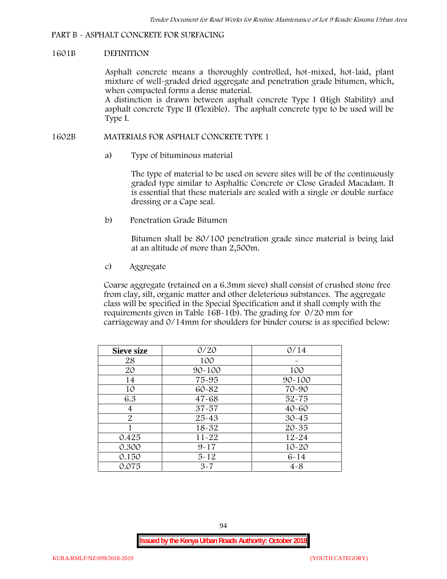## **PART B - ASPHALT CONCRETE FOR SURFACING**

### **1601B DEFINITION**

Asphalt concrete means a thoroughly controlled, hot-mixed, hot-laid, plant mixture of well-graded dried aggregate and penetration grade bitumen, which, when compacted forms a dense material.

A distinction is drawn between asphalt concrete Type I (High Stability) and asphalt concrete Type II (Flexible). The asphalt concrete type to be used will be Type I.

## **1602B MATERIALS FOR ASPHALT CONCRETE TYPE 1**

a) **Type of bituminous material**

The type of material to be used on severe sites will be of the continuously graded type similar to Asphaltic Concrete or Close Graded Macadam. It is essential that these materials are sealed with a single or double surface dressing or a Cape seal.

b) **Penetration Grade Bitumen**

Bitumen shall be 80/100 penetration grade since material is being laid at an altitude of more than 2,500m.

c) **Aggregate**

Coarse aggregate (retained on a 6.3mm sieve) shall consist of crushed stone free from clay, silt, organic matter and other deleterious substances. The aggregate class will be specified in the Special Specification and it shall comply with the requirements given in Table 16B-1(b). The grading for 0/20 mm for carriageway and 0/14mm for shoulders for binder course is as specified below:

| <b>Sieve size</b> | 0/20       | 0/14       |
|-------------------|------------|------------|
| 28                | 100        |            |
| 20                | $90 - 100$ | 100        |
| 14                | 75-95      | $90 - 100$ |
| 10                | 60-82      | 70-90      |
| 6.3               | $47 - 68$  | $52 - 75$  |
| 4                 | $37 - 57$  | $40 - 60$  |
| $\overline{2}$    | 25-43      | $30 - 45$  |
|                   | 18-32      | $20 - 35$  |
| 0.425             | $11 - 22$  | $12 - 24$  |
| 0.300             | $9 - 17$   | $10 - 20$  |
| 0.150             | $5 - 12$   | $6 - 14$   |
| 0.075             | $3 - 7$    | $4 - 8$    |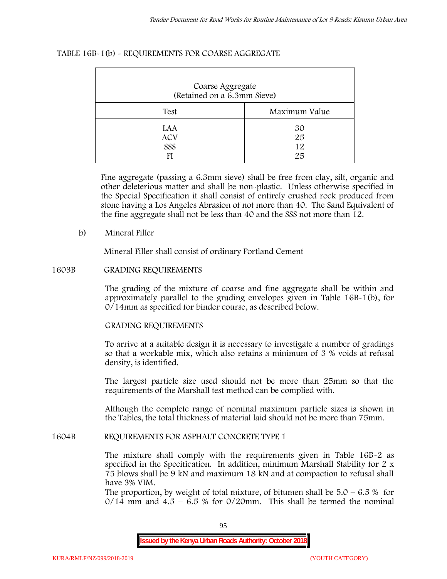| TABLE 16B-1(b) - REQUIREMENTS FOR COARSE AGGREGATE |
|----------------------------------------------------|
|----------------------------------------------------|

| Coarse Aggregate<br>(Retained on a 6.3mm Sieve) |                      |
|-------------------------------------------------|----------------------|
| Test                                            | Maximum Value        |
| LAA<br><b>ACV</b><br>SSS                        | 30<br>25<br>12<br>25 |

Fine aggregate (passing a 6.3mm sieve) shall be free from clay, silt, organic and other deleterious matter and shall be non-plastic. Unless otherwise specified in the Special Specification it shall consist of entirely crushed rock produced from stone having a Los Angeles Abrasion of not more than 40. The Sand Equivalent of the fine aggregate shall not be less than 40 and the SSS not more than 12.

#### **b) Mineral Filler**

Mineral Filler shall consist of ordinary Portland Cement

## **1603B GRADING REQUIREMENTS**

The grading of the mixture of coarse and fine aggregate shall be within and approximately parallel to the grading envelopes given in Table 16B-1(b), for 0/14mm as specified for binder course, as described below.

# **GRADING REQUIREMENTS**

To arrive at a suitable design it is necessary to investigate a number of gradings so that a workable mix, which also retains a minimum of 3 % voids at refusal density, is identified.

The largest particle size used should not be more than 25mm so that the requirements of the Marshall test method can be complied with.

Although the complete range of nominal maximum particle sizes is shown in the Tables, the total thickness of material laid should not be more than 75mm.

#### **1604B REQUIREMENTS FOR ASPHALT CONCRETE TYPE 1**

The mixture shall comply with the requirements given in Table 16B-2 as specified in the Specification. In addition, minimum Marshall Stability for 2 x 75 blows shall be 9 kN and maximum 18 kN and at compaction to refusal shall have 3% VIM.

The proportion, by weight of total mixture, of bitumen shall be  $5.0 - 6.5\%$  for  $0/14$  mm and  $4.5 - 6.5$  % for  $0/20$ mm. This shall be termed the nominal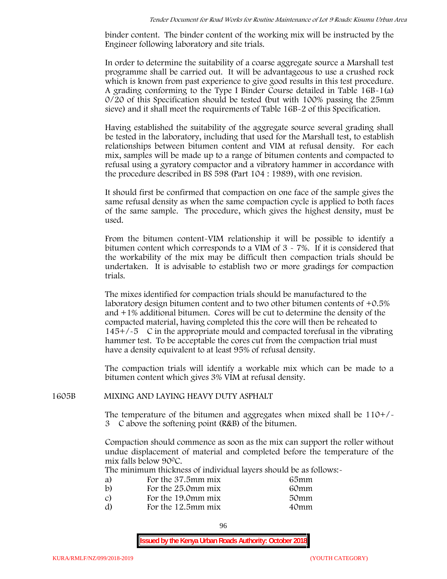binder content. The binder content of the working mix will be instructed by the Engineer following laboratory and site trials.

In order to determine the suitability of a coarse aggregate source a Marshall test programme shall be carried out. It will be advantageous to use a crushed rock which is known from past experience to give good results in this test procedure. A grading conforming to the Type I Binder Course detailed in Table 16B-1(a) 0/20 of this Specification should be tested (but with 100% passing the 25mm sieve) and it shall meet the requirements of Table 16B-2 of this Specification.

Having established the suitability of the aggregate source several grading shall be tested in the laboratory, including that used for the Marshall test, to establish relationships between bitumen content and VIM at refusal density. For each mix, samples will be made up to a range of bitumen contents and compacted to refusal using a gyratory compactor and a vibratory hammer in accordance with the procedure described in BS 598 (Part 104 : 1989), with one revision.

It should first be confirmed that compaction on one face of the sample gives the same refusal density as when the same compaction cycle is applied to both faces of the same sample. The procedure, which gives the highest density, must be used.

From the bitumen content-VIM relationship it will be possible to identify a bitumen content which corresponds to a VIM of 3 - 7%. If it is considered that the workability of the mix may be difficult then compaction trials should be undertaken. It is advisable to establish two or more gradings for compaction trials.

The mixes identified for compaction trials should be manufactured to the laboratory design bitumen content and to two other bitumen contents of +0.5% and +1% additional bitumen. Cores will be cut to determine the density of the compacted material, having completed this the core will then be reheated to  $145+/5$  C in the appropriate mould and compacted torefusal in the vibrating hammer test. To be acceptable the cores cut from the compaction trial must have a density equivalent to at least 95% of refusal density.

The compaction trials will identify a workable mix which can be made to a bitumen content which gives 3% VIM at refusal density.

# **1605B MIXING AND LAYING HEAVY DUTY ASPHALT**

The temperature of the bitumen and aggregates when mixed shall be  $110+/$ 3C above the softening point (R&B) of the bitumen.

Compaction should commence as soon as the mix can support the roller without undue displacement of material and completed before the temperature of the mix falls below 900C.

The minimum thickness of individual layers should be as follows:-

| a) | For the 37.5mm mix | 65mm |  |
|----|--------------------|------|--|
| b) | For the 25.0mm mix | 60mm |  |
| C) | For the 19.0mm mix | 50mm |  |
| d) | For the 12.5mm mix | 40mm |  |
|    |                    |      |  |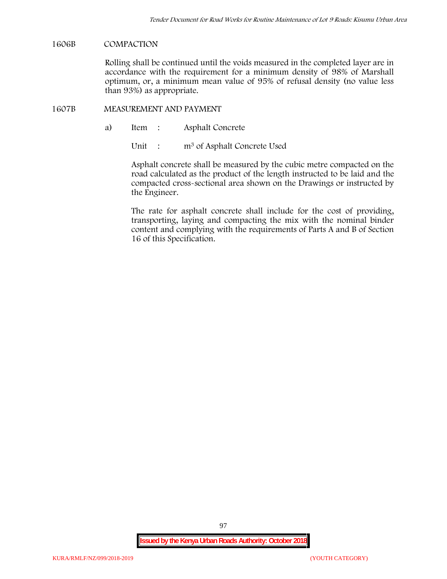## **1606B COMPACTION**

Rolling shall be continued until the voids measured in the completed layer are in accordance with the requirement for a minimum density of 98% of Marshall optimum, or, a minimum mean value of 95% of refusal density (no value less than 93%) as appropriate.

### **1607B MEASUREMENT AND PAYMENT**

a) Item : Asphalt Concrete

Unit : m<sup>3</sup> of Asphalt Concrete Used

Asphalt concrete shall be measured by the cubic metre compacted on the road calculated as the product of the length instructed to be laid and the compacted cross-sectional area shown on the Drawings or instructed by the Engineer.

The rate for asphalt concrete shall include for the cost of providing, transporting, laying and compacting the mix with the nominal binder content and complying with the requirements of Parts A and B of Section 16 of this Specification.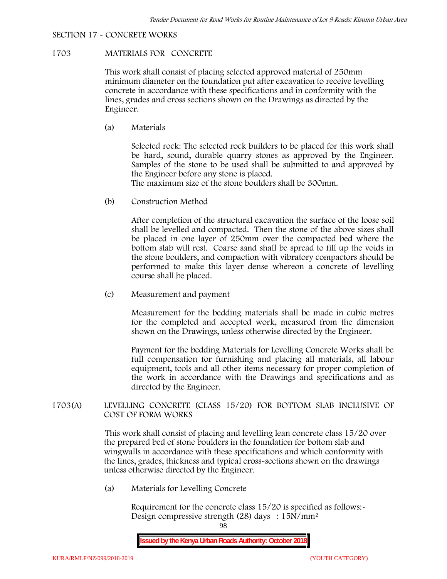## **SECTION 17 - CONCRETE WORKS**

# **1703 MATERIALS FOR CONCRETE**

This work shall consist of placing selected approved material of 250mm minimum diameter on the foundation put after excavation to receive levelling concrete in accordance with these specifications and in conformity with the lines, grades and cross sections shown on the Drawings as directed by the Engineer.

(a) **Materials**

Selected rock: The selected rock builders to be placed for this work shall be hard, sound, durable quarry stones as approved by the Engineer. Samples of the stone to be used shall be submitted to and approved by the Engineer before any stone is placed.

The maximum size of the stone boulders shall be 300mm.

(b) **Construction Method**

After completion of the structural excavation the surface of the loose soil shall be levelled and compacted. Then the stone of the above sizes shall be placed in one layer of 250mm over the compacted bed where the bottom slab will rest. Coarse sand shall be spread to fill up the voids in the stone boulders, and compaction with vibratory compactors should be performed to make this layer dense whereon a concrete of levelling course shall be placed.

(c) **Measurement and payment**

Measurement for the bedding materials shall be made in cubic metres for the completed and accepted work, measured from the dimension shown on the Drawings, unless otherwise directed by the Engineer.

Payment for the bedding Materials for Levelling Concrete Works shall be full compensation for furnishing and placing all materials, all labour equipment, tools and all other items necessary for proper completion of the work in accordance with the Drawings and specifications and as directed by the Engineer.

# **1703(A) LEVELLING CONCRETE (CLASS 15/20) FOR BOTTOM SLAB INCLUSIVE OF COST OF FORM WORKS**

This work shall consist of placing and levelling lean concrete class 15/20 over the prepared bed of stone boulders in the foundation for bottom slab and wingwalls in accordance with these specifications and which conformity with the lines, grades, thickness and typical cross-sections shown on the drawings unless otherwise directed by the Engineer.

(a) **Materials for Levelling Concrete**

Requirement for the concrete class  $15/20$  is specified as follows:-Design compressive strength (28) days : 15N/mm2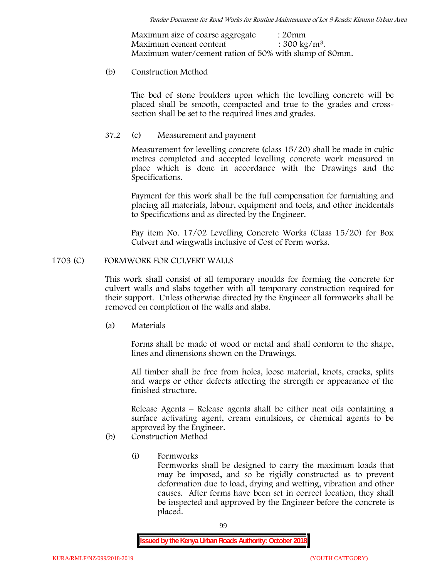Maximum size of coarse aggregate : 20mm Maximum cement content  $: 300 \text{ kg/m}^3$ . Maximum water/cement ration of 50% with slump of 80mm.

# (b) **Construction Method**

The bed of stone boulders upon which the levelling concrete will be placed shall be smooth, compacted and true to the grades and crosssection shall be set to the required lines and grades.

# **37.2** (c) **Measurement and payment**

Measurement for levelling concrete (class 15/20) shall be made in cubic metres completed and accepted levelling concrete work measured in place which is done in accordance with the Drawings and the Specifications.

Payment for this work shall be the full compensation for furnishing and placing all materials, labour, equipment and tools, and other incidentals to Specifications and as directed by the Engineer.

Pay item No. 17/02 Levelling Concrete Works (Class 15/20) for Box Culvert and wingwalls inclusive of Cost of Form works.

# **1703 (C) FORMWORK FOR CULVERT WALLS**

This work shall consist of all temporary moulds for forming the concrete for culvert walls and slabs together with all temporary construction required for their support. Unless otherwise directed by the Engineer all formworks shall be removed on completion of the walls and slabs.

(a) **Materials**

Forms shall be made of wood or metal and shall conform to the shape, lines and dimensions shown on the Drawings.

All timber shall be free from holes, loose material, knots, cracks, splits and warps or other defects affecting the strength or appearance of the finished structure.

Release Agents – Release agents shall be either neat oils containing a surface activating agent, cream emulsions, or chemical agents to be approved by the Engineer.

# (b) **Construction Method**

(i) **Formworks**

Formworks shall be designed to carry the maximum loads that may be imposed, and so be rigidly constructed as to prevent deformation due to load, drying and wetting, vibration and other causes. After forms have been set in correct location, they shall be inspected and approved by the Engineer before the concrete is placed.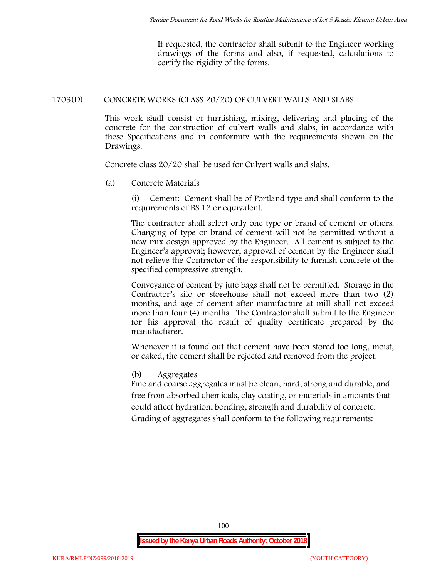If requested, the contractor shall submit to the Engineer working drawings of the forms and also, if requested, calculations to certify the rigidity of the forms.

# **1703(D) CONCRETE WORKS (CLASS 20/20) OF CULVERT WALLS AND SLABS**

This work shall consist of furnishing, mixing, delivering and placing of the concrete for the construction of culvert walls and slabs, in accordance with these Specifications and in conformity with the requirements shown on the Drawings.

Concrete class 20/20 shall be used for Culvert walls and slabs.

**(a) Concrete Materials**

(i) Cement: Cement shall be of Portland type and shall conform to the requirements of BS 12 or equivalent.

The contractor shall select only one type or brand of cement or others. Changing of type or brand of cement will not be permitted without a new mix design approved by the Engineer. All cement is subject to the Engineer's approval; however, approval of cement by the Engineer shall not relieve the Contractor of the responsibility to furnish concrete of the specified compressive strength.

Conveyance of cement by jute bags shall not be permitted. Storage in the Contractor's silo or storehouse shall not exceed more than two (2) months, and age of cement after manufacture at mill shall not exceed more than four (4) months. The Contractor shall submit to the Engineer for his approval the result of quality certificate prepared by the manufacturer.

Whenever it is found out that cement have been stored too long, moist, or caked, the cement shall be rejected and removed from the project.

# **(b) Aggregates**

Fine and coarse aggregates must be clean, hard, strong and durable, and free from absorbed chemicals, clay coating, or materials in amounts that could affect hydration, bonding, strength and durability of concrete. Grading of aggregates shall conform to the following requirements: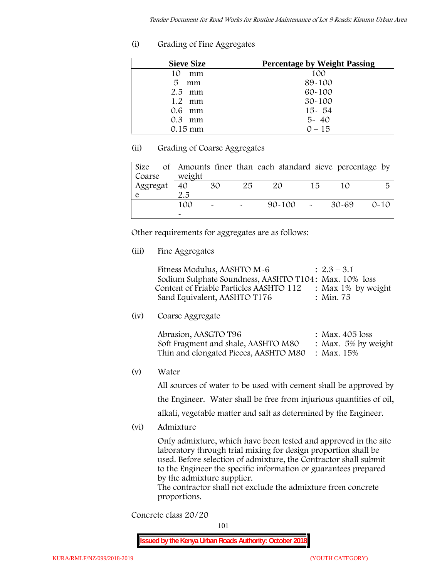**(i) Grading of Fine Aggregates**

| <b>Sieve Size</b> | <b>Percentage by Weight Passing</b> |
|-------------------|-------------------------------------|
| mm<br>10          | 100                                 |
| 5<br>mm           | 89-100                              |
| $2.5$ mm          | $60 - 100$                          |
| $1.2$ mm          | $30 - 100$                          |
| $0.6$ mm          | $15 - 54$                           |
| $0.3$ mm          | $5 - 40$                            |
| 0.15 mm           | $0 - 15$                            |

# **(ii) Grading of Coarse Aggregates**

| Size     |                       |                       |    | of Amounts finer than each standard sieve percentage by |    |         |          |
|----------|-----------------------|-----------------------|----|---------------------------------------------------------|----|---------|----------|
| Coarse   | weight                |                       |    |                                                         |    |         |          |
| Aggregat | 40                    | 30                    | 25 | 20                                                      | 15 |         | 局        |
|          | 2.5                   |                       |    |                                                         |    |         |          |
|          | 100                   | $\tilde{\phantom{a}}$ |    | $90 - 100$ -                                            |    | - 30-69 | $0 - 10$ |
|          | $\tilde{\phantom{a}}$ |                       |    |                                                         |    |         |          |

Other requirements for aggregates are as follows:

**(iii) Fine Aggregates**

| Fitness Modulus, AASHTO M-6                           | $: 2.3 - 3.1$      |
|-------------------------------------------------------|--------------------|
| Sodium Sulphate Soundness, AASHTO T104: Max. 10% loss |                    |
| Content of Friable Particles AASHTO 112               | : Max 1% by weight |
| Sand Equivalent, AASHTO T176                          | : Min. 75          |

**(iv) Coarse Aggregate**

| Abrasion, AASGTO T96                             | : Max. $405$ loss      |
|--------------------------------------------------|------------------------|
| Soft Fragment and shale, AASHTO M80              | : Max. $5\%$ by weight |
| Thin and elongated Pieces, AASHTO M80 : Max. 15% |                        |

**(v) Water**

All sources of water to be used with cement shall be approved by the Engineer. Water shall be free from injurious quantities of oil, alkali, vegetable matter and salt as determined by the Engineer.

**(vi) Admixture**

Only admixture, which have been tested and approved in the site laboratory through trial mixing for design proportion shall be used. Before selection of admixture, the Contractor shall submit to the Engineer the specific information or guarantees prepared

by the admixture supplier. The contractor shall not exclude the admixture from concrete proportions.

**Concrete class 20/20**

101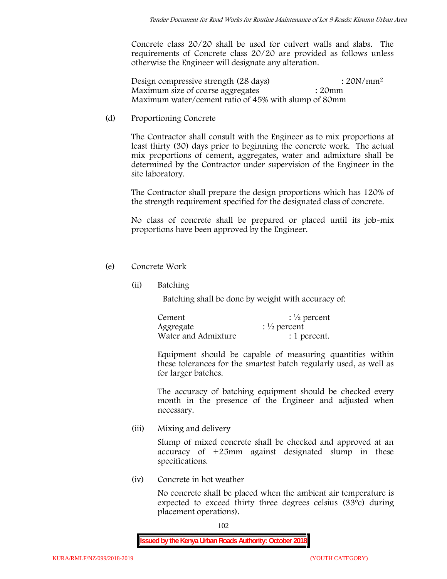Concrete class 20/20 shall be used for culvert walls and slabs. The requirements of Concrete class 20/20 are provided as follows unless otherwise the Engineer will designate any alteration.

Design compressive strength (28 days) : 20N/mm<sup>2</sup> Maximum size of coarse aggregates : 20mm Maximum water/cement ratio of 45% with slump of 80mm

(d) **Proportioning Concrete**

The Contractor shall consult with the Engineer as to mix proportions at least thirty (30) days prior to beginning the concrete work. The actual mix proportions of cement, aggregates, water and admixture shall be determined by the Contractor under supervision of the Engineer in the site laboratory.

The Contractor shall prepare the design proportions which has 120% of the strength requirement specified for the designated class of concrete.

No class of concrete shall be prepared or placed until its job-mix proportions have been approved by the Engineer.

- (e) **Concrete Work**
	- **(ii) Batching**

Batching shall be done by weight with accuracy of:

| Cement              | $\frac{1}{2}$ percent |
|---------------------|-----------------------|
| Aggregate           | $\frac{1}{2}$ percent |
| Water and Admixture | : 1 percent.          |

Equipment should be capable of measuring quantities within these tolerances for the smartest batch regularly used, as well as for larger batches.

The accuracy of batching equipment should be checked every month in the presence of the Engineer and adjusted when necessary.

**(iii) Mixing and delivery**

Slump of mixed concrete shall be checked and approved at an accuracy of +25mm against designated slump in these specifications.

**(iv) Concrete in hot weather**

No concrete shall be placed when the ambient air temperature is expected to exceed thirty three degrees celsius (33ºc) during placement operations).

102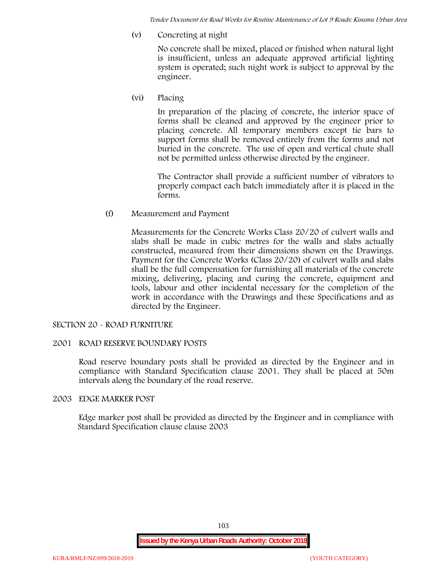*Tender Document for Road Works for Routine Maintenance of Lot 9 Roads: Kisumu Urban Area*

**(v) Concreting at night**

No concrete shall be mixed, placed or finished when natural light is insufficient, unless an adequate approved artificial lighting system is operated; such night work is subject to approval by the engineer.

**(vi) Placing**

In preparation of the placing of concrete, the interior space of forms shall be cleaned and approved by the engineer prior to placing concrete. All temporary members except tie bars to support forms shall be removed entirely from the forms and not buried in the concrete. The use of open and vertical chute shall not be permitted unless otherwise directed by the engineer.

The Contractor shall provide a sufficient number of vibrators to properly compact each batch immediately after it is placed in the forms.

(f) **Measurement and Payment**

Measurements for the Concrete Works Class 20/20 of culvert walls and slabs shall be made in cubic metres for the walls and slabs actually constructed, measured from their dimensions shown on the Drawings. Payment for the Concrete Works (Class 20/20) of culvert walls and slabs shall be the full compensation for furnishing all materials of the concrete mixing, delivering, placing and curing the concrete, equipment and tools, labour and other incidental necessary for the completion of the work in accordance with the Drawings and these Specifications and as directed by the Engineer.

# **SECTION 20 - ROAD FURNITURE**

# **2001 ROAD RESERVE BOUNDARY POSTS**

Road reserve boundary posts shall be provided as directed by the Engineer and in compliance with Standard Specification clause 2001. They shall be placed at 50m intervals along the boundary of the road reserve.

## **2003 EDGE MARKER POST**

Edge marker post shall be provided as directed by the Engineer and in compliance with Standard Specification clause clause 2003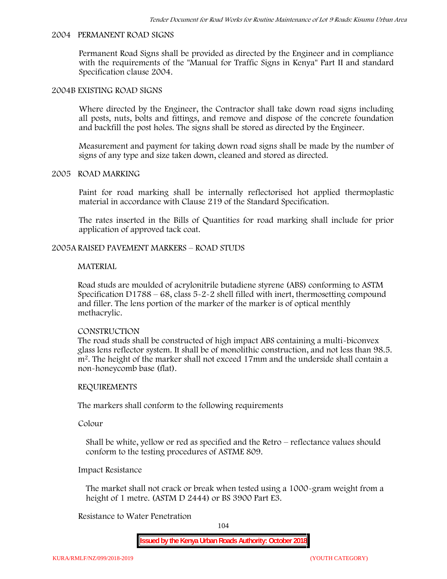#### **2004 PERMANENT ROAD SIGNS**

Permanent Road Signs shall be provided as directed by the Engineer and in compliance with the requirements of the "Manual for Traffic Signs in Kenya" Part II and standard Specification clause 2004.

#### **2004B EXISTING ROAD SIGNS**

Where directed by the Engineer, the Contractor shall take down road signs including all posts, nuts, bolts and fittings, and remove and dispose of the concrete foundation and backfill the post holes. The signs shall be stored as directed by the Engineer.

Measurement and payment for taking down road signs shall be made by the number of signs of any type and size taken down, cleaned and stored as directed.

## **2005 ROAD MARKING**

Paint for road marking shall be internally reflectorised hot applied thermoplastic material in accordance with Clause 219 of the Standard Specification.

The rates inserted in the Bills of Quantities for road marking shall include for prior application of approved tack coat.

### **2005A RAISED PAVEMENT MARKERS – ROAD STUDS**

#### **MATERIAL**

Road studs are moulded of acrylonitrile butadiene styrene (ABS) conforming to ASTM Specification D1788 – 68, class  $5 - 2 - 2$  shell filled with inert, thermosetting compound and filler. The lens portion of the marker of the marker is of optical menthly methacrylic.

### **CONSTRUCTION**

The road studs shall be constructed of high impact ABS containing a multi-biconvex glass lens reflector system. It shall be of monolithic construction, and not less than 98.5. m2. The height of the marker shall not exceed 17mm and the underside shall contain a non-honeycomb base (flat).

### **REQUIREMENTS**

The markers shall conform to the following requirements

**Colour**

Shall be white, yellow or red as specified and the Retro – reflectance values should conform to the testing procedures of ASTME 809.

# **Impact Resistance**

The market shall not crack or break when tested using a 1000**-**gram weight from a height of 1 metre. (ASTM D 2444) or BS 3900 Part E3.

## **Resistance to Water Penetration**

104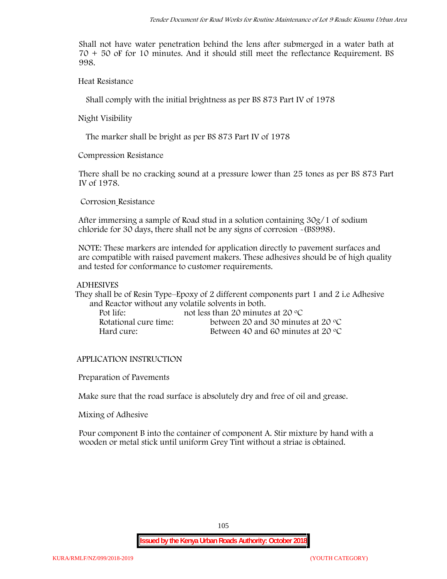Shall not have water penetration behind the lens after submerged in a water bath at 70 + 50 oF for 10 minutes. And it should still meet the reflectance Requirement. BS 998.

**Heat Resistance**

Shall comply with the initial brightness as per BS 873 Part IV of 1978

**Night Visibility**

The marker shall be bright as per BS 873 Part IV of 1978

**Compression Resistance**

There shall be no cracking sound at a pressure lower than 25 tones as per BS 873 Part IV of 1978.

**Corrosion Resistance**

After immersing a sample of Road stud in a solution containing 30g/1 of sodium chloride for 30 days, there shall not be any signs of corrosion **-**(BS998).

**NOTE**: These markers are intended for application directly to pavement surfaces and are compatible with raised pavement makers. These adhesives should be of high quality and tested for conformance to customer requirements.

# **ADHESIVES**

They shall be of Resin Type–Epoxy of 2 different components part 1 and 2 i.e Adhesive and Reactor without any volatile solvents in both.

| Pot life:             | not less than 20 minutes at 20 $\mathrm{^{\circ}C}$ |
|-----------------------|-----------------------------------------------------|
| Rotational cure time: | between 20 and 30 minutes at 20 $\degree$ C         |
| Hard cure:            | Between 40 and 60 minutes at 20 $\degree$ C         |

# **APPLICATION INSTRUCTION**

**Preparation of Pavements**

Make sure that the road surface is absolutely dry and free of oil and grease**.**

**Mixing of Adhesive**

Pour component B into the container of component A. Stir mixture by hand with a wooden or metal stick until uniform Grey Tint without a striae is obtained.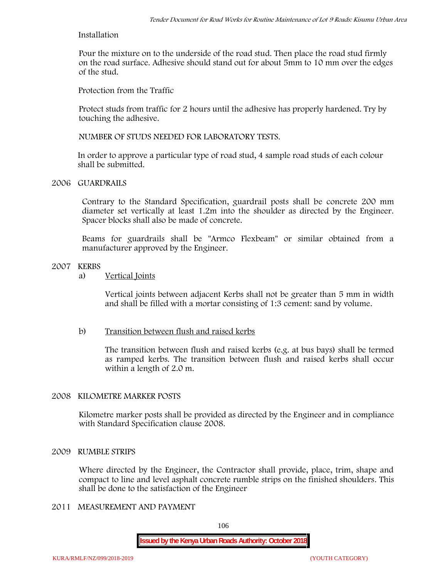# **Installation**

Pour the mixture on to the underside of the road stud. Then place the road stud firmly on the road surface. Adhesive should stand out for about 5mm to 10 mm over the edges of the stud.

**Protection from the Traffic**

Protect studs from traffic for 2 hours until the adhesive has properly hardened. Try by touching the adhesive.

**NUMBER OF STUDS NEEDED FOR LABORATORY TESTS.**

In order to approve a particular type of road stud, 4 sample road studs of each colour shall be submitted.

# **2006 GUARDRAILS**

Contrary to the Standard Specification, guardrail posts shall be concrete 200 mm diameter set vertically at least 1.2m into the shoulder as directed by the Engineer. Spacer blocks shall also be made of concrete.

Beams for guardrails shall be "Armco Flexbeam" or similar obtained from a manufacturer approved by the Engineer.

# **2007 KERBS**

a) **Vertical Joints**

Vertical joints between adjacent Kerbs shall not be greater than 5 mm in width and shall be filled with a mortar consisting of 1:3 cement: sand by volume.

# b) **Transition between flush and raised kerbs**

The transition between flush and raised kerbs (e.g. at bus bays) shall be termed as ramped kerbs. The transition between flush and raised kerbs shall occur within a length of 2.0 m.

# **2008 KILOMETRE MARKER POSTS**

Kilometre marker posts shall be provided as directed by the Engineer and in compliance with Standard Specification clause 2008.

### **2009 RUMBLE STRIPS**

Where directed by the Engineer, the Contractor shall provide, place, trim, shape and compact to line and level asphalt concrete rumble strips on the finished shoulders. This shall be done to the satisfaction of the Engineer

# **2011 MEASUREMENT AND PAYMENT**

106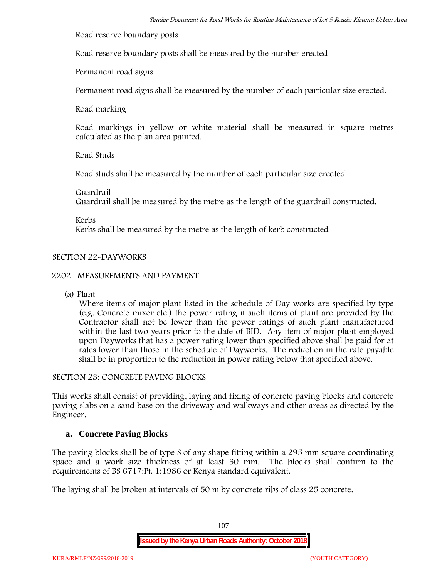## **Road reserve boundary posts**

Road reserve boundary posts shall be measured by the number erected

# **Permanent road signs**

Permanent road signs shall be measured by the number of each particular size erected.

## **Road marking**

Road markings in yellow or white material shall be measured in square metres calculated as the plan area painted.

# **Road Studs**

Road studs shall be measured by the number of each particular size erected.

## **Guardrail**

Guardrail shall be measured by the metre as the length of the guardrail constructed.

**Kerbs**

Kerbs shall be measured by the metre as the length of kerb constructed

# **SECTION 22-DAYWORKS**

# **2202 MEASUREMENTS AND PAYMENT**

(a) Plant

Where items of major plant listed in the schedule of Day works are specified by type (e.g. Concrete mixer etc.) the power rating if such items of plant are provided by the Contractor shall not be lower than the power ratings of such plant manufactured within the last two years prior to the date of BID. Any item of major plant employed upon Dayworks that has a power rating lower than specified above shall be paid for at rates lower than those in the schedule of Dayworks. The reduction in the rate payable shall be in proportion to the reduction in power rating below that specified above.

# **SECTION 23: CONCRETE PAVING BLOCKS**

This works shall consist of providing, laying and fixing of concrete paving blocks and concrete paving slabs on a sand base on the driveway and walkways and other areas as directed by the Engineer.

# **a. Concrete Paving Blocks**

The paving blocks shall be of type S of any shape fitting within a 295 mm square coordinating space and a work size thickness of at least 30 mm. The blocks shall confirm to the requirements of BS 6717:Pt. 1:1986 or Kenya standard equivalent.

The laying shall be broken at intervals of 50 m by concrete ribs of class 25 concrete.

107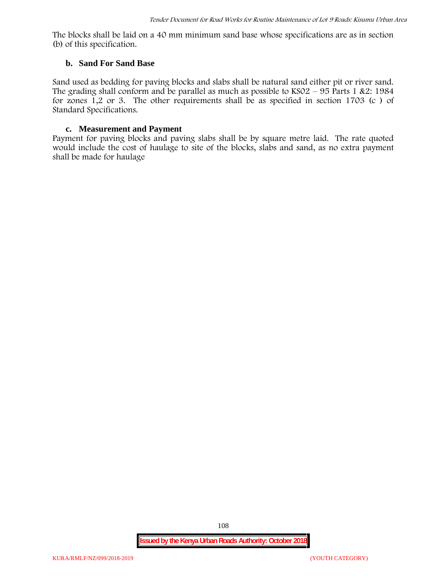The blocks shall be laid on a 40 mm minimum sand base whose specifications are as in section (b) of this specification.

### **b. Sand For Sand Base**

Sand used as bedding for paving blocks and slabs shall be natural sand either pit or river sand. The grading shall conform and be parallel as much as possible to  $KSO2 - 95$  Parts 1 &2: 1984 for zones 1,2 or 3. The other requirements shall be as specified in section 1703 (c ) of Standard Specifications.

#### **c. Measurement and Payment**

Payment for paving blocks and paving slabs shall be by square metre laid. The rate quoted would include the cost of haulage to site of the blocks, slabs and sand, as no extra payment shall be made for haulage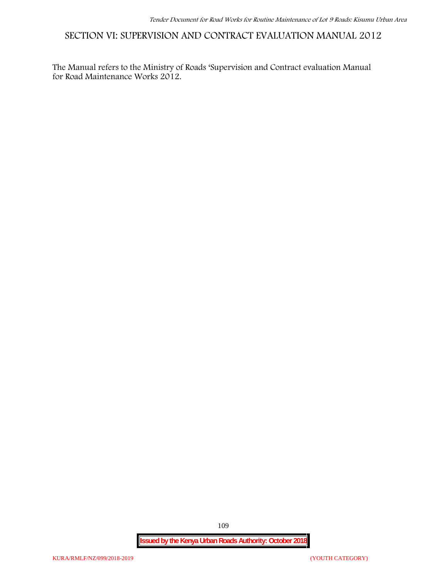**SECTION VI: SUPERVISION AND CONTRACT EVALUATION MANUAL 2012**

The Manual refers to the Ministry of Roads 'Supervision and Contract evaluation Manual for Road Maintenance Works 2012.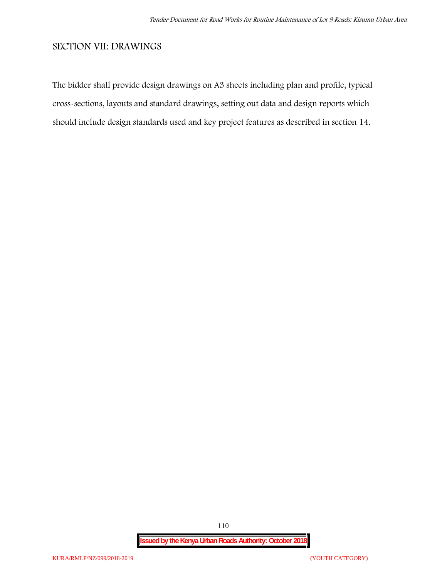# **SECTION VII: DRAWINGS**

The bidder shall provide design drawings on A3 sheets including plan and profile, typical cross-sections, layouts and standard drawings, setting out data and design reports which should include design standards used and key project features as described in section 14.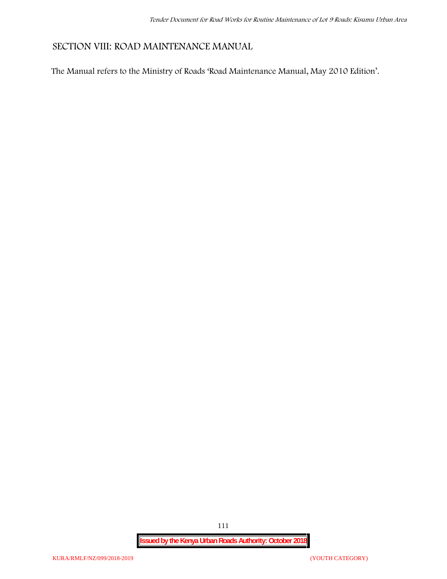# **SECTION VIII: ROAD MAINTENANCE MANUAL**

The Manual refers to the Ministry of Roads 'Road Maintenance Manual, May 2010 Edition'.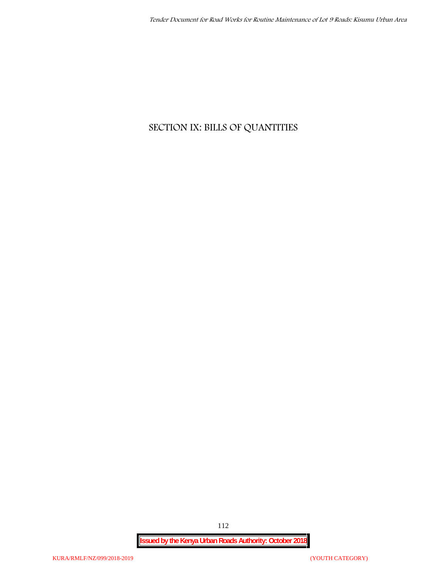# **SECTION IX: BILLS OF QUANTITIES**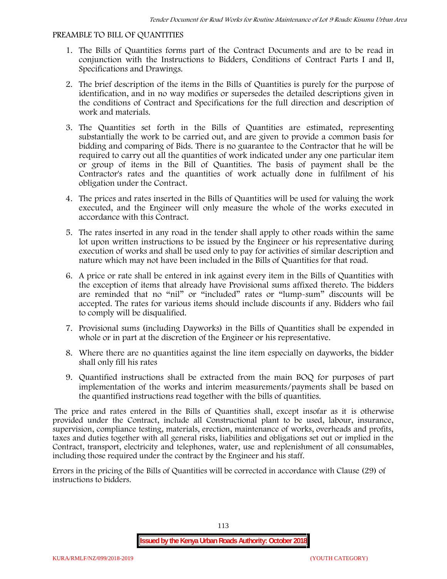#### **PREAMBLE TO BILL OF QUANTITIES**

- 1. The Bills of Quantities forms part of the Contract Documents and are to be read in conjunction with the Instructions to Bidders, Conditions of Contract Parts I and II, Specifications and Drawings.
- 2. The brief description of the items in the Bills of Quantities is purely for the purpose of identification, and in no way modifies or supersedes the detailed descriptions given in the conditions of Contract and Specifications for the full direction and description of work and materials.
- 3. The Quantities set forth in the Bills of Quantities are estimated, representing substantially the work to be carried out, and are given to provide a common basis for bidding and comparing of Bids. There is no guarantee to the Contractor that he will be required to carry out all the quantities of work indicated under any one particular item or group of items in the Bill of Quantities. The basis of payment shall be the Contractor's rates and the quantities of work actually done in fulfilment of his obligation under the Contract.
- 4. The prices and rates inserted in the Bills of Quantities will be used for valuing the work executed, and the Engineer will only measure the whole of the works executed in accordance with this Contract.
- 5. The rates inserted in any road in the tender shall apply to other roads within the same lot upon written instructions to be issued by the Engineer or his representative during execution of works and shall be used only to pay for activities of similar description and nature which may not have been included in the Bills of Quantities for that road.
- 6. A price or rate shall be entered in ink against every item in the Bills of Quantities with the exception of items that already have Provisional sums affixed thereto. The bidders are reminded that no "nil" or "included" rates or "lump-sum" discounts will be accepted. The rates for various items should include discounts if any. Bidders who fail to comply will be disqualified.
- 7. Provisional sums (including Dayworks) in the Bills of Quantities shall be expended in whole or in part at the discretion of the Engineer or his representative.
- 8. Where there are no quantities against the line item especially on dayworks, the bidder shall only fill his rates
- 9. Quantified instructions shall be extracted from the main BOQ for purposes of part implementation of the works and interim measurements/payments shall be based on the quantified instructions read together with the bills of quantities.

The price and rates entered in the Bills of Quantities shall, except insofar as it is otherwise provided under the Contract, include all Constructional plant to be used, labour, insurance, supervision, compliance testing, materials, erection, maintenance of works, overheads and profits, taxes and duties together with all general risks, liabilities and obligations set out or implied in the Contract, transport, electricity and telephones, water, use and replenishment of all consumables, including those required under the contract by the Engineer and his staff.

Errors in the pricing of the Bills of Quantities will be corrected in accordance with Clause (29) of instructions to bidders.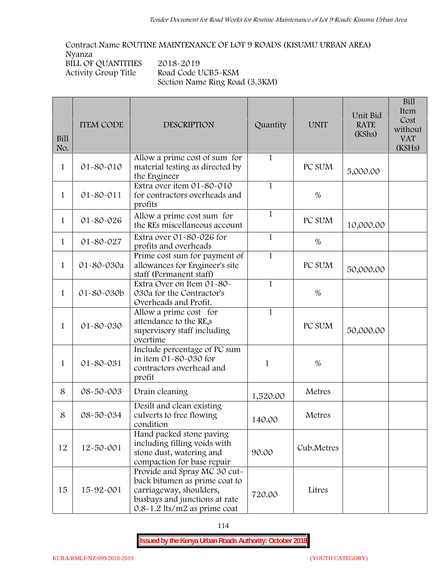**Contract Name ROUTINE MAINTENANCE OF LOT 9 ROADS (KISUMU URBAN AREA) Nyanza BILL OF QUANTITIES 2018-2019 Activity Group Title Road Code UCB5-KSM Section Name Ring Road (3.3KM)**

| Bill<br>No.  | <b>ITEM CODE</b> | <b>DESCRIPTION</b>                                                                                                                                            | Quantity     | <b>UNIT</b> | Unit Bid<br><b>RATE</b><br>(KShs) | <b>Bill</b><br>Item<br>Cost<br>without<br><b>VAT</b><br>(KSHs) |
|--------------|------------------|---------------------------------------------------------------------------------------------------------------------------------------------------------------|--------------|-------------|-----------------------------------|----------------------------------------------------------------|
| $\mathbf{1}$ | 01-80-010        | Allow a prime cost of sum for<br>material testing as directed by<br>the Engineer                                                                              | $\mathbf{1}$ | PC SUM      | 5,000.00                          |                                                                |
| $\mathbf{1}$ | 01-80-011        | Extra over item 01-80-010<br>for contractors overheads and<br>profits                                                                                         | $\mathbf{1}$ | $\%$        |                                   |                                                                |
| $\mathbf{1}$ | 01-80-026        | Allow a prime cost sum for<br>the REs miscellaneous account                                                                                                   | $\mathbf{1}$ | PC SUM      | 10,000.00                         |                                                                |
| 1            | 01-80-027        | Extra over 01-80-026 for<br>profits and overheads                                                                                                             | $\mathbf{1}$ | $\%$        |                                   |                                                                |
| $\mathbf{1}$ | 01-80-030a       | Prime cost sum for payment of<br>allowances for Engineer's site<br>staff (Permanent staff)                                                                    | $\mathbf{1}$ | PC SUM      | 50,000.00                         |                                                                |
| $\mathbf{1}$ | 01-80-030b       | Extra Over on Item 01-80-<br>030a for the Contractor's<br>Overheads and Profit.                                                                               | $\mathbf{1}$ | $\%$        |                                   |                                                                |
| $\mathbf{1}$ | 01-80-030        | Allow a prime cost for<br>attendance to the RE,s<br>supervisory staff including<br>overtime                                                                   | $\mathbf{1}$ | PC SUM      | 50,000.00                         |                                                                |
| 1            | 01-80-031        | Include percentage of PC sum<br>in item 01-80-030 for<br>contractors overhead and<br>profit                                                                   | 1            | $\%$        |                                   |                                                                |
| 8            | 08-50-003        | Drain cleaning                                                                                                                                                | 1,520.00     | Metres      |                                   |                                                                |
| 8            | 08-50-034        | Desilt and clean existing<br>culverts to free flowing<br>condition                                                                                            | 140.00       | Metres      |                                   |                                                                |
| 12           | 12-50-001        | Hand packed stone paving<br>including filling voids with<br>stone dust, watering and<br>compaction for base repair                                            | 90.00        | Cub.Metres  |                                   |                                                                |
| 15           | 15-92-001        | Provide and Spray MC 30 cut-<br>back bitumen as prime coat to<br>carriageway, shoulders,<br>busbays and junctions at rate<br>$0.8 - 1.2$ lts/m2 as prime coat | 720.00       | Litres      |                                   |                                                                |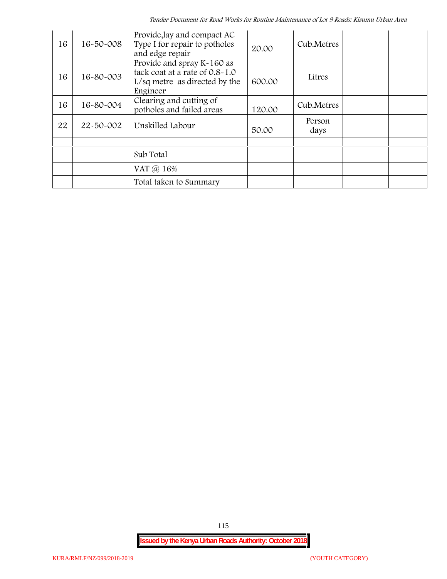| 16 | 16-50-008 | Provide, lay and compact AC<br>Type I for repair to potholes<br>and edge repair                           | 20.00  | Cub.Metres     |  |
|----|-----------|-----------------------------------------------------------------------------------------------------------|--------|----------------|--|
| 16 | 16-80-003 | Provide and spray K-160 as<br>tack coat at a rate of 0.8-1.0<br>L/sq metre as directed by the<br>Engineer | 600.00 | Litres         |  |
| 16 | 16-80-004 | Clearing and cutting of<br>potholes and failed areas                                                      | 120.00 | Cub.Metres     |  |
| 22 | 22-50-002 | Unskilled Labour                                                                                          | 50.00  | Person<br>days |  |
|    |           |                                                                                                           |        |                |  |
|    |           | Sub Total                                                                                                 |        |                |  |
|    |           | VAT @ 16%                                                                                                 |        |                |  |
|    |           | Total taken to Summary                                                                                    |        |                |  |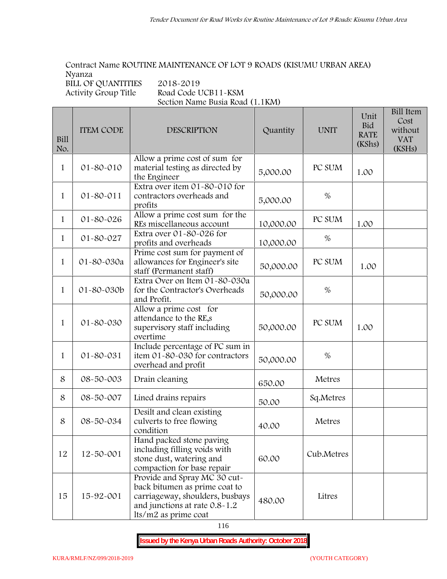# **Contract Name ROUTINE MAINTENANCE OF LOT 9 ROADS (KISUMU URBAN AREA) Nyanza**

**BILL OF QUANTITIES 2018-2019**

**Activity Group Title Road Code UCB11-KSM Section Name Busia Road (1.1KM)**

| Bill<br>No.  | <b>ITEM CODE</b> | <b>DESCRIPTION</b>                                                                                                                                        | Quantity  | <b>UNIT</b> | Unit<br>Bid<br><b>RATE</b><br>(KShs) | <b>Bill Item</b><br>Cost<br>without<br><b>VAT</b><br>(KSHs) |
|--------------|------------------|-----------------------------------------------------------------------------------------------------------------------------------------------------------|-----------|-------------|--------------------------------------|-------------------------------------------------------------|
| $\mathbf{1}$ | 01-80-010        | Allow a prime cost of sum for<br>material testing as directed by<br>the Engineer                                                                          | 5,000.00  | PC SUM      | 1.00                                 |                                                             |
| $\mathbf{1}$ | $01 - 80 - 011$  | Extra over item 01-80-010 for<br>contractors overheads and<br>profits                                                                                     | 5,000.00  | $\%$        |                                      |                                                             |
| $\mathbf{1}$ | 01-80-026        | Allow a prime cost sum for the<br>REs miscellaneous account                                                                                               | 10,000.00 | PC SUM      | 1.00                                 |                                                             |
| $\mathbf{1}$ | 01-80-027        | Extra over 01-80-026 for<br>profits and overheads                                                                                                         | 10,000.00 | %           |                                      |                                                             |
| $\mathbf{1}$ | 01-80-030a       | Prime cost sum for payment of<br>allowances for Engineer's site<br>staff (Permanent staff)                                                                | 50,000.00 | PC SUM      | 1.00                                 |                                                             |
| $\mathbf{1}$ | 01-80-030b       | Extra Over on Item 01-80-030a<br>for the Contractor's Overheads<br>and Profit.                                                                            | 50,000.00 | $\%$        |                                      |                                                             |
| $\mathbf{1}$ | 01-80-030        | Allow a prime cost for<br>attendance to the RE,s<br>supervisory staff including<br>overtime                                                               | 50,000.00 | PC SUM      | 1.00                                 |                                                             |
| $\mathbf{1}$ | 01-80-031        | Include percentage of PC sum in<br>item 01-80-030 for contractors<br>overhead and profit                                                                  | 50,000.00 | $\%$        |                                      |                                                             |
| 8            | 08-50-003        | Drain cleaning                                                                                                                                            | 650.00    | Metres      |                                      |                                                             |
| 8            | 08-50-007        | Lined drains repairs                                                                                                                                      | 50.00     | Sq.Metres   |                                      |                                                             |
| 8            | 08-50-034        | Desilt and clean existing<br>culverts to free flowing<br>condition                                                                                        | 40.00     | Metres      |                                      |                                                             |
| 12           | 12-50-001        | Hand packed stone paving<br>including filling voids with<br>stone dust, watering and<br>compaction for base repair                                        | 60.00     | Cub.Metres  |                                      |                                                             |
| 15           | 15-92-001        | Provide and Spray MC 30 cut-<br>back bitumen as prime coat to<br>carriageway, shoulders, busbays<br>and junctions at rate 0.8-1.2<br>lts/m2 as prime coat | 480.00    | Litres      |                                      |                                                             |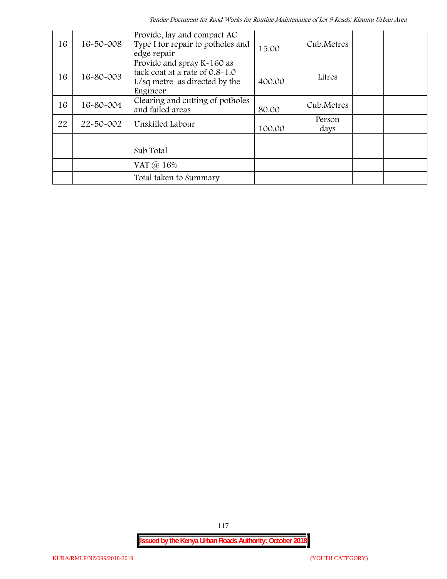*Tender Document for Road Works for Routine Maintenance of Lot 9 Roads: Kisumu Urban Area*

| 16 | $16 - 50 - 008$ | Provide, lay and compact AC<br>Type I for repair to potholes and<br>edge repair                           | 15.00  | Cub.Metres     |  |
|----|-----------------|-----------------------------------------------------------------------------------------------------------|--------|----------------|--|
| 16 | 16-80-003       | Provide and spray K-160 as<br>tack coat at a rate of 0.8-1.0<br>L/sq metre as directed by the<br>Engineer | 400.00 | Litres         |  |
| 16 | 16-80-004       | Clearing and cutting of potholes<br>and failed areas                                                      | 80.00  | Cub.Metres     |  |
| 22 | 22-50-002       | Unskilled Labour                                                                                          | 100.00 | Person<br>days |  |
|    |                 |                                                                                                           |        |                |  |
|    |                 | Sub Total                                                                                                 |        |                |  |
|    |                 | VAT @ 16%                                                                                                 |        |                |  |
|    |                 | Total taken to Summary                                                                                    |        |                |  |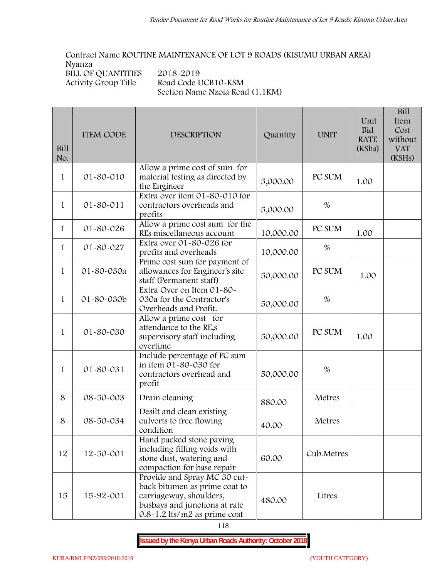**Contract Name ROUTINE MAINTENANCE OF LOT 9 ROADS (KISUMU URBAN AREA) Nyanza** BILL OF QUANTITIES 2018-2019<br>Activity Group Title Road Code U **Activity Group Title Road Code UCB10-KSM Section Name Nzoia Road (1.1KM)**

| Bill<br>No.  | <b>ITEM CODE</b> | <b>DESCRIPTION</b>                                                                                                                                            | Quantity  | <b>UNIT</b> | Unit<br><b>Bid</b><br><b>RATE</b><br>(KShs) | <b>Bill</b><br>Item<br>Cost<br>without<br><b>VAT</b><br>(KSHs) |
|--------------|------------------|---------------------------------------------------------------------------------------------------------------------------------------------------------------|-----------|-------------|---------------------------------------------|----------------------------------------------------------------|
| 1            | 01-80-010        | Allow a prime cost of sum for<br>material testing as directed by<br>the Engineer                                                                              | 5,000.00  | PC SUM      | 1.00                                        |                                                                |
| $\mathbf{1}$ | 01-80-011        | Extra over item 01-80-010 for<br>contractors overheads and<br>profits                                                                                         | 5,000.00  | $\%$        |                                             |                                                                |
| $\mathbf{1}$ | 01-80-026        | Allow a prime cost sum for the<br>REs miscellaneous account                                                                                                   | 10,000.00 | PC SUM      | 1.00                                        |                                                                |
| $\mathbf{1}$ | 01-80-027        | Extra over 01-80-026 for<br>profits and overheads                                                                                                             | 10,000.00 | %           |                                             |                                                                |
| $\mathbf{1}$ | 01-80-030a       | Prime cost sum for payment of<br>allowances for Engineer's site<br>staff (Permanent staff)                                                                    | 50,000.00 | PC SUM      | 1.00                                        |                                                                |
| 1            | 01-80-030b       | Extra Over on Item 01-80-<br>030a for the Contractor's<br>Overheads and Profit.                                                                               | 50,000.00 | %           |                                             |                                                                |
| 1            | 01-80-030        | Allow a prime cost for<br>attendance to the RE,s<br>supervisory staff including<br>overtime                                                                   | 50,000.00 | PC SUM      | 1.00                                        |                                                                |
| 1            | 01-80-031        | Include percentage of PC sum<br>in item $01 - 80 - 030$ for<br>contractors overhead and<br>profit                                                             | 50,000.00 | %           |                                             |                                                                |
| 8            | 08-50-003        | Drain cleaning                                                                                                                                                | 880.00    | Metres      |                                             |                                                                |
| 8            | 08-50-034        | Desilt and clean existing<br>culverts to free flowing<br>condition                                                                                            | 40.00     | Metres      |                                             |                                                                |
| 12           | 12-50-001        | Hand packed stone paving<br>including filling voids with<br>stone dust, watering and<br>compaction for base repair                                            | 60.00     | Cub.Metres  |                                             |                                                                |
| 15           | 15-92-001        | Provide and Spray MC 30 cut-<br>back bitumen as prime coat to<br>carriageway, shoulders,<br>busbays and junctions at rate<br>$0.8 - 1.2$ lts/m2 as prime coat | 480.00    | Litres      |                                             |                                                                |

118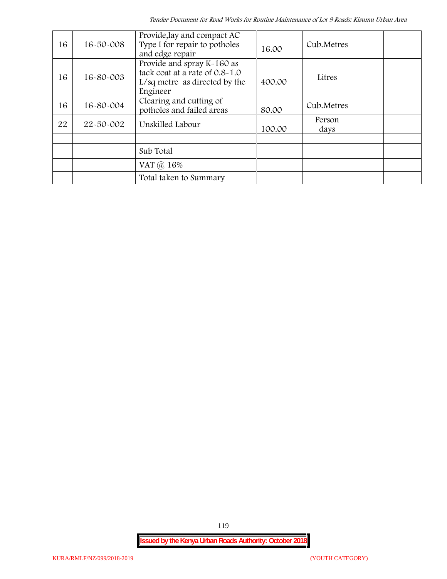| 16 | 16-50-008 | Provide, lay and compact AC<br>Type I for repair to potholes<br>and edge repair                             | 16.00  | Cub.Metres     |  |
|----|-----------|-------------------------------------------------------------------------------------------------------------|--------|----------------|--|
| 16 | 16-80-003 | Provide and spray K-160 as<br>tack coat at a rate of 0.8-1.0<br>$L/sq$ metre as directed by the<br>Engineer | 400.00 | Litres         |  |
| 16 | 16-80-004 | Clearing and cutting of<br>potholes and failed areas                                                        | 80.00  | Cub.Metres     |  |
| 22 | 22-50-002 | Unskilled Labour                                                                                            | 100.00 | Person<br>days |  |
|    |           |                                                                                                             |        |                |  |
|    |           | Sub Total                                                                                                   |        |                |  |
|    |           | VAT @ 16%                                                                                                   |        |                |  |
|    |           | Total taken to Summary                                                                                      |        |                |  |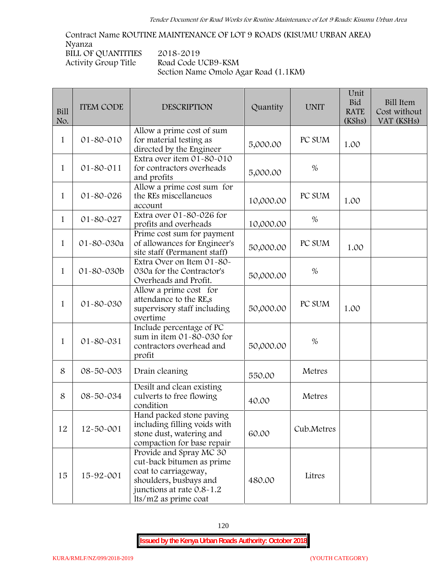**Contract Name ROUTINE MAINTENANCE OF LOT 9 ROADS (KISUMU URBAN AREA) Nyanza BILL OF QUANTITIES 2018-2019 Activity Group Title Road Code UCB9-KSM Section Name Omolo Agar Road (1.1KM)**

| Bill<br>No.  | <b>ITEM CODE</b> | <b>DESCRIPTION</b>                                                                                                                                          | Quantity  | <b>UNIT</b> | Unit<br><b>Bid</b><br><b>RATE</b><br>(KShs) | <b>Bill Item</b><br>Cost without<br>VAT (KSHs) |
|--------------|------------------|-------------------------------------------------------------------------------------------------------------------------------------------------------------|-----------|-------------|---------------------------------------------|------------------------------------------------|
| 1            | 01-80-010        | Allow a prime cost of sum<br>for material testing as<br>directed by the Engineer                                                                            | 5,000.00  | PC SUM      | 1.00                                        |                                                |
| $\mathbf{1}$ | 01-80-011        | Extra over item $01 - 80 - 010$<br>for contractors overheads<br>and profits                                                                                 | 5,000.00  | $\%$        |                                             |                                                |
| $\mathbf{1}$ | 01-80-026        | Allow a prime cost sum for<br>the REs miscellaneuos<br>account                                                                                              | 10,000.00 | PC SUM      | 1.00                                        |                                                |
| $\mathbf{1}$ | 01-80-027        | Extra over 01-80-026 for<br>profits and overheads                                                                                                           | 10,000.00 | $\%$        |                                             |                                                |
| $\mathbf{1}$ | 01-80-030a       | Prime cost sum for payment<br>of allowances for Engineer's<br>site staff (Permanent staff)                                                                  | 50,000.00 | PC SUM      | 1.00                                        |                                                |
| 1            | 01-80-030b       | Extra Over on Item 01-80-<br>030a for the Contractor's<br>Overheads and Profit.                                                                             | 50,000.00 | $\%$        |                                             |                                                |
| 1            | 01-80-030        | Allow a prime cost for<br>attendance to the RE,s<br>supervisory staff including<br>overtime                                                                 | 50,000.00 | PC SUM      | 1.00                                        |                                                |
| 1            | 01-80-031        | Include percentage of PC<br>sum in item 01-80-030 for<br>contractors overhead and<br>profit                                                                 | 50,000.00 | $\%$        |                                             |                                                |
| 8            | 08-50-003        | Drain cleaning                                                                                                                                              | 550.00    | Metres      |                                             |                                                |
| 8            | 08-50-034        | Desilt and clean existing<br>culverts to free flowing<br>condition                                                                                          | 40.00     | Metres      |                                             |                                                |
| 12           | 12-50-001        | Hand packed stone paving<br>including filling voids with<br>stone dust, watering and<br>compaction for base repair                                          | 60.00     | Cub.Metres  |                                             |                                                |
| 15           | 15-92-001        | Provide and Spray MC 30<br>cut-back bitumen as prime<br>coat to carriageway,<br>shoulders, busbays and<br>junctions at rate 0.8-1.2<br>lts/m2 as prime coat | 480.00    | Litres      |                                             |                                                |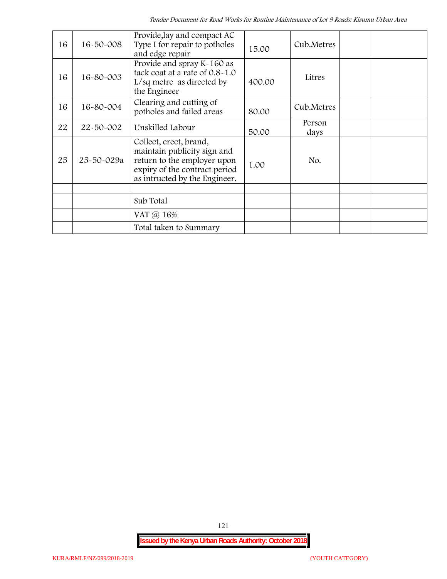| 16 | 16-50-008  | Provide, lay and compact AC<br>Type I for repair to potholes<br>and edge repair                                                                        | 15.00  | Cub.Metres     |  |
|----|------------|--------------------------------------------------------------------------------------------------------------------------------------------------------|--------|----------------|--|
| 16 | 16-80-003  | Provide and spray K-160 as<br>tack coat at a rate of 0.8-1.0<br>$L/sq$ metre as directed by<br>the Engineer                                            | 400.00 | Litres         |  |
| 16 | 16-80-004  | Clearing and cutting of<br>potholes and failed areas                                                                                                   | 80.00  | Cub.Metres     |  |
| 22 | 22-50-002  | Unskilled Labour                                                                                                                                       | 50.00  | Person<br>days |  |
| 25 | 25-50-029a | Collect, erect, brand,<br>maintain publicity sign and<br>return to the employer upon<br>expiry of the contract period<br>as intructed by the Engineer. | 1.00   | No.            |  |
|    |            |                                                                                                                                                        |        |                |  |
|    |            | Sub Total                                                                                                                                              |        |                |  |
|    |            | VAT @ 16%                                                                                                                                              |        |                |  |
|    |            | Total taken to Summary                                                                                                                                 |        |                |  |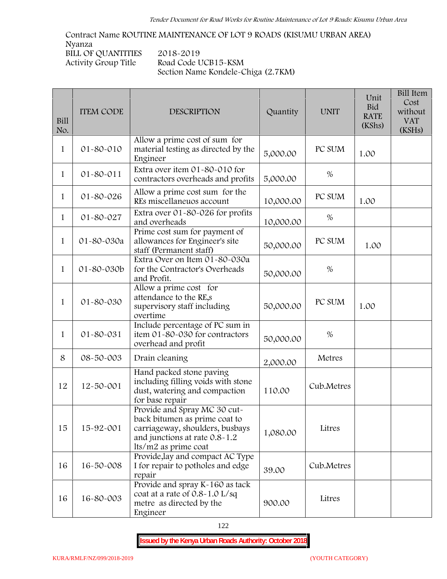**Contract Name ROUTINE MAINTENANCE OF LOT 9 ROADS (KISUMU URBAN AREA) Nyanza BILL OF QUANTITIES** 2018-2019<br>Activity Group Title Road Code U **Activity Group Title Road Code UCB15-KSM Section Name Kondele-Chiga (2.7KM)**

| <b>Bill</b><br>No. | <b>ITEM CODE</b> | <b>DESCRIPTION</b>                                                                                                                                        | Quantity  | <b>UNIT</b> | Unit<br><b>Bid</b><br><b>RATE</b><br>(KShs) | <b>Bill Item</b><br>Cost<br>without<br><b>VAT</b><br>(KSHs) |
|--------------------|------------------|-----------------------------------------------------------------------------------------------------------------------------------------------------------|-----------|-------------|---------------------------------------------|-------------------------------------------------------------|
| 1                  | 01-80-010        | Allow a prime cost of sum for<br>material testing as directed by the<br>Engineer                                                                          | 5,000.00  | PC SUM      | 1.00                                        |                                                             |
| 1                  | $01 - 80 - 011$  | Extra over item 01-80-010 for<br>contractors overheads and profits                                                                                        | 5,000.00  | %           |                                             |                                                             |
| 1                  | $01 - 80 - 026$  | Allow a prime cost sum for the<br>REs miscellaneuos account                                                                                               | 10,000.00 | PC SUM      | 1.00                                        |                                                             |
| $\mathbf{1}$       | 01-80-027        | Extra over 01-80-026 for profits<br>and overheads                                                                                                         | 10,000.00 | %           |                                             |                                                             |
| $\mathbf{1}$       | 01-80-030a       | Prime cost sum for payment of<br>allowances for Engineer's site<br>staff (Permanent staff)                                                                | 50,000.00 | PC SUM      | 1.00                                        |                                                             |
| $\mathbf{1}$       | 01-80-030b       | Extra Over on Item 01-80-030a<br>for the Contractor's Overheads<br>and Profit.                                                                            | 50,000.00 | $\%$        |                                             |                                                             |
| 1                  | 01-80-030        | Allow a prime cost for<br>attendance to the RE,s<br>supervisory staff including<br>overtime                                                               | 50,000.00 | PC SUM      | 1.00                                        |                                                             |
| $\mathbf{1}$       | 01-80-031        | Include percentage of PC sum in<br>item 01-80-030 for contractors<br>overhead and profit                                                                  | 50,000.00 | $\%$        |                                             |                                                             |
| 8                  | 08-50-003        | Drain cleaning                                                                                                                                            | 2,000.00  | Metres      |                                             |                                                             |
| 12                 | 12-50-001        | Hand packed stone paving<br>including filling voids with stone<br>dust, watering and compaction<br>for base repair                                        | 110.00    | Cub.Metres  |                                             |                                                             |
| 15                 | 15-92-001        | Provide and Spray MC 30 cut-<br>back bitumen as prime coat to<br>carriageway, shoulders, busbays<br>and junctions at rate 0.8-1.2<br>lts/m2 as prime coat | 1,080.00  | Litres      |                                             |                                                             |
| 16                 | 16-50-008        | Provide, lay and compact AC Type<br>I for repair to potholes and edge<br>repair                                                                           | 39.00     | Cub.Metres  |                                             |                                                             |
| 16                 | 16-80-003        | Provide and spray K-160 as tack<br>coat at a rate of 0.8-1.0 L/sq<br>metre as directed by the<br>Engineer                                                 | 900.00    | Litres      |                                             |                                                             |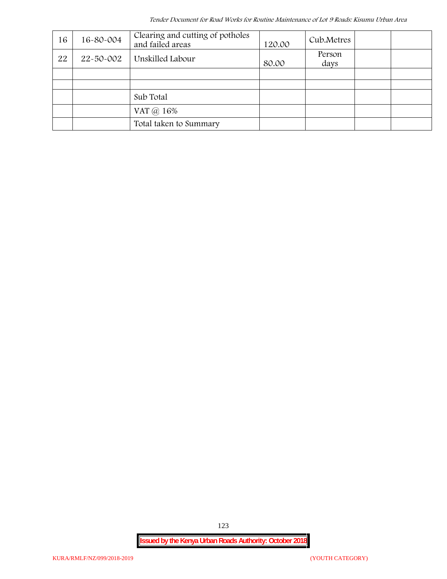*Tender Document for Road Works for Routine Maintenance of Lot 9 Roads: Kisumu Urban Area*

| 16 | 16-80-004 | Clearing and cutting of potholes<br>and failed areas | 120.00 | Cub.Metres     |  |
|----|-----------|------------------------------------------------------|--------|----------------|--|
| 22 | 22-50-002 | Unskilled Labour                                     | 80.00  | Person<br>days |  |
|    |           |                                                      |        |                |  |
|    |           |                                                      |        |                |  |
|    |           | Sub Total                                            |        |                |  |
|    |           | VAT @ 16%                                            |        |                |  |
|    |           | Total taken to Summary                               |        |                |  |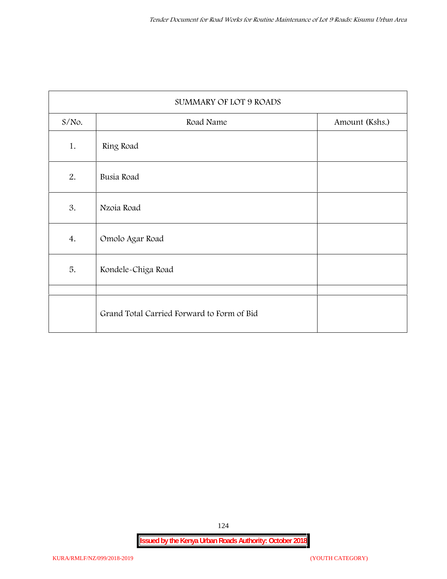|          | SUMMARY OF LOT 9 ROADS                     |                |
|----------|--------------------------------------------|----------------|
| $S/NO$ . | Road Name                                  | Amount (Kshs.) |
| 1.       | Ring Road                                  |                |
| 2.       | Busia Road                                 |                |
| 3.       | Nzoia Road                                 |                |
| 4.       | Omolo Agar Road                            |                |
| 5.       | Kondele-Chiga Road                         |                |
|          |                                            |                |
|          | Grand Total Carried Forward to Form of Bid |                |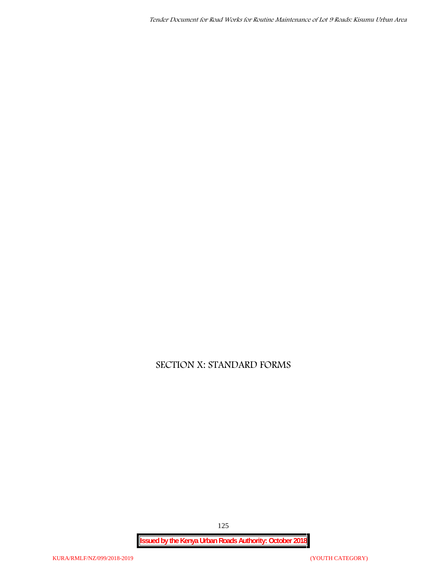*Tender Document for Road Works for Routine Maintenance of Lot 9 Roads: Kisumu Urban Area*

# **SECTION X: STANDARD FORMS**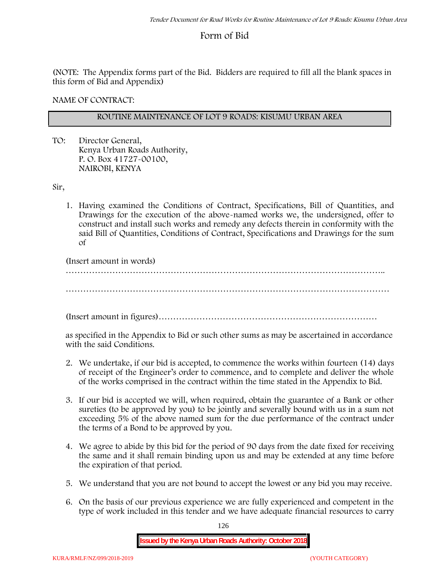# **Form of Bid**

(NOTE: The Appendix forms part of the Bid. Bidders are required to fill all the blank spaces in this form of Bid and Appendix)

**NAME OF CONTRACT:**

## **ROUTINE MAINTENANCE OF LOT 9 ROADS: KISUMU URBAN AREA**

TO: Director General, Kenya Urban Roads Authority, P. O. Box 41727-00100, **NAIROBI, KENYA**

Sir,

1. Having examined the Conditions of Contract, Specifications, Bill of Quantities, and Drawings for the execution of the above-named works we, the undersigned, offer to construct and install such works and remedy any defects therein in conformity with the said Bill of Quantities, Conditions of Contract, Specifications and Drawings for the sum of

(Insert amount in words)

………………………………………………………………………………………………..

…………………………………………………………………………………………………

(Insert amount in figures)…………………………………………………………………

as specified in the Appendix to Bid or such other sums as may be ascertained in accordance with the said Conditions.

- 2. We undertake, if our bid is accepted, to commence the works within fourteen (14) days of receipt of the Engineer's order to commence, and to complete and deliver the whole of the works comprised in the contract within the time stated in the Appendix to Bid.
- 3. If our bid is accepted we will, when required, obtain the guarantee of a Bank or other sureties (to be approved by you) to be jointly and severally bound with us in a sum not exceeding 5% of the above named sum for the due performance of the contract under the terms of a Bond to be approved by you.
- 4. We agree to abide by this bid for the period of 90 days from the date fixed for receiving the same and it shall remain binding upon us and may be extended at any time before the expiration of that period.
- 5. We understand that you are not bound to accept the lowest or any bid you may receive.
- 6. On the basis of our previous experience we are fully experienced and competent in the type of work included in this tender and we have adequate financial resources to carry

126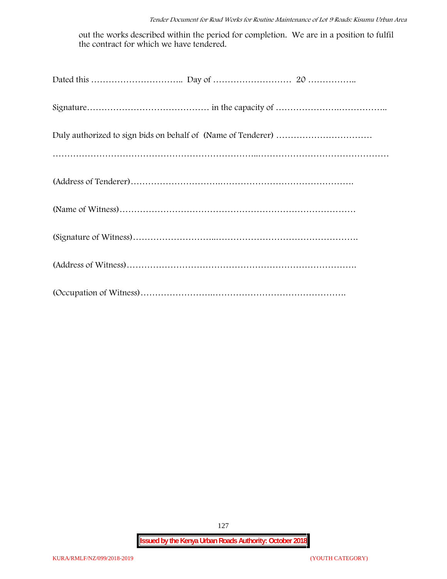out the works described within the period for completion. We are in a position to fulfil the contract for which we have tendered.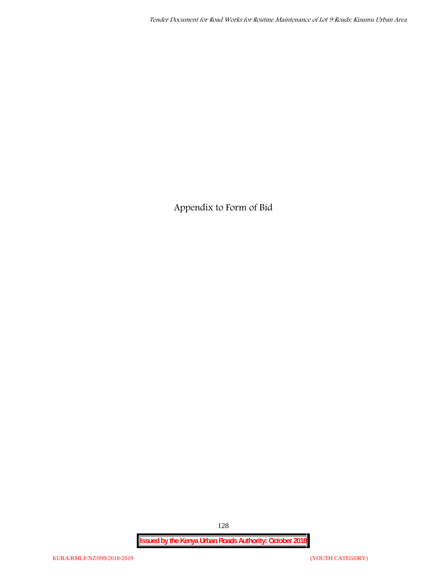**Appendix to Form of Bid**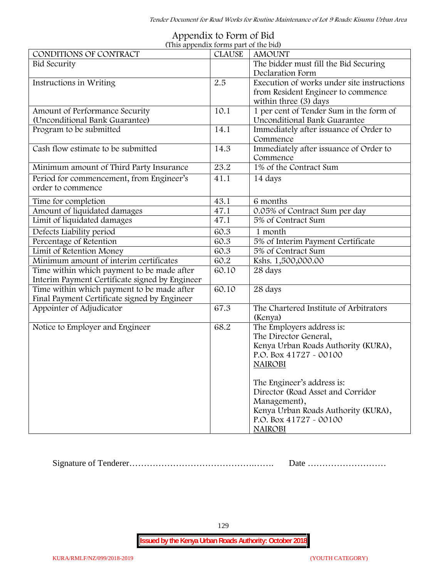| (This appendix forms part of the bid)          |               |                                            |  |  |  |
|------------------------------------------------|---------------|--------------------------------------------|--|--|--|
| CONDITIONS OF CONTRACT                         | <b>CLAUSE</b> | <b>AMOUNT</b>                              |  |  |  |
| <b>Bid Security</b>                            |               | The bidder must fill the Bid Securing      |  |  |  |
|                                                |               | Declaration Form                           |  |  |  |
| Instructions in Writing                        | 2.5           | Execution of works under site instructions |  |  |  |
|                                                |               | from Resident Engineer to commence         |  |  |  |
|                                                |               | within three (3) days                      |  |  |  |
| Amount of Performance Security                 | 10.1          | 1 per cent of Tender Sum in the form of    |  |  |  |
| (Unconditional Bank Guarantee)                 |               | Unconditional Bank Guarantee               |  |  |  |
| Program to be submitted                        | 14.1          | Immediately after issuance of Order to     |  |  |  |
|                                                |               | Commence                                   |  |  |  |
| Cash flow estimate to be submitted             | 14.3          | Immediately after issuance of Order to     |  |  |  |
|                                                |               | Commence                                   |  |  |  |
| Minimum amount of Third Party Insurance        | 23.2          | 1% of the Contract Sum                     |  |  |  |
| Period for commencement, from Engineer's       | 41.1          | 14 days                                    |  |  |  |
| order to commence                              |               |                                            |  |  |  |
| Time for completion                            | 43.1          | 6 months                                   |  |  |  |
| Amount of liquidated damages                   | 47.1          | 0.05% of Contract Sum per day              |  |  |  |
| Limit of liquidated damages                    | 47.1          | 5% of Contract Sum                         |  |  |  |
| Defects Liability period                       | 60.3          | 1 month                                    |  |  |  |
| Percentage of Retention                        | 60.3          | 5% of Interim Payment Certificate          |  |  |  |
| Limit of Retention Money                       | 60.3          | 5% of Contract Sum                         |  |  |  |
| Minimum amount of interim certificates         | 60.2          | Kshs. 1,500,000.00                         |  |  |  |
| Time within which payment to be made after     | 60.10         | 28 days                                    |  |  |  |
| Interim Payment Certificate signed by Engineer |               |                                            |  |  |  |
| Time within which payment to be made after     | 60.10         | 28 days                                    |  |  |  |
| Final Payment Certificate signed by Engineer   |               |                                            |  |  |  |
| Appointer of Adjudicator                       | 67.3          | The Chartered Institute of Arbitrators     |  |  |  |
|                                                |               | (Kenya)                                    |  |  |  |
| Notice to Employer and Engineer                | 68.2          | The Employers address is:                  |  |  |  |
|                                                |               | The Director General,                      |  |  |  |
|                                                |               | Kenya Urban Roads Authority (KURA),        |  |  |  |
|                                                |               | P.O. Box 41727 - 00100                     |  |  |  |
|                                                |               | <b>NAIROBI</b>                             |  |  |  |
|                                                |               |                                            |  |  |  |
|                                                |               | The Engineer's address is:                 |  |  |  |
|                                                |               | Director (Road Asset and Corridor          |  |  |  |
|                                                |               | Management),                               |  |  |  |
|                                                |               | Kenya Urban Roads Authority (KURA),        |  |  |  |
|                                                |               | P.O. Box 41727 - 00100                     |  |  |  |
|                                                |               | <b>NAIROBI</b>                             |  |  |  |

# **Appendix to Form of Bid**

Signature of Tenderer…………………………………….……. Date ………………………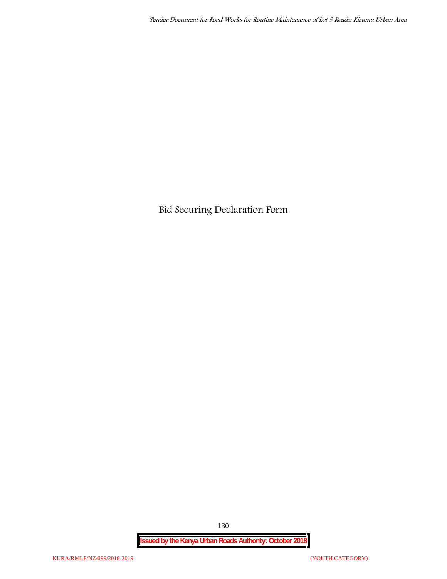**Bid Securing Declaration Form**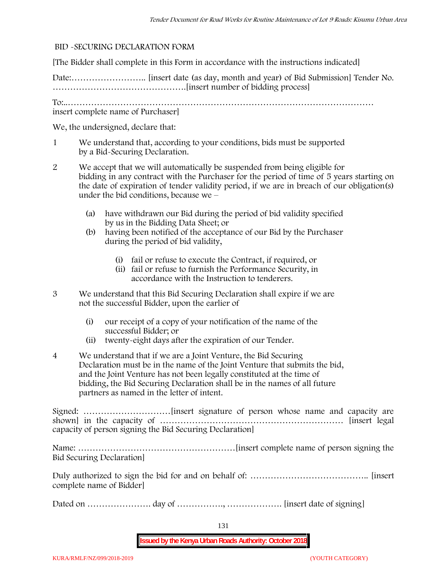### **BID -SECURING DECLARATION FORM**

[The Bidder shall complete in this Form in accordance with the instructions indicated]

Date:…………………….. [insert date (as day, month and year) of Bid Submission] Tender No. ……………………………………….[insert number of bidding process]

To:..…………………………………………………………………………………………… insert complete name of Purchaser]

We, the undersigned, declare that:

- 1 We understand that, according to your conditions, bids must be supported by a Bid-Securing Declaration.
- 2 We accept that we will automatically be suspended from being eligible for bidding in any contract with the Purchaser for the period of time of **5 years** starting on the date of expiration of tender validity period, if we are in breach of our obligation(s) under the bid conditions, because we –
	- (a) have withdrawn our Bid during the period of bid validity specified by us in the Bidding Data Sheet; or
	- (b) having been notified of the acceptance of our Bid by the Purchaser during the period of bid validity,
		- (i) fail or refuse to execute the Contract, if required, or
		- (ii) fail or refuse to furnish the Performance Security, in accordance with the Instruction to tenderers.
- 3 We understand that this Bid Securing Declaration shall expire if we are not the successful Bidder, upon the earlier of
	- (i) our receipt of a copy of your notification of the name of the successful Bidder; or
	- (ii) twenty-eight days after the expiration of our Tender.
- 4 We understand that if we are a Joint Venture, the Bid Securing Declaration must be in the name of the Joint Venture that submits the bid, and the Joint Venture has not been legally constituted at the time of bidding, the Bid Securing Declaration shall be in the names of all future partners as named in the letter of intent.

Signed: …………………………[insert signature of person whose name and capacity are shown] in the capacity of ……………………………………………………… [insert legal capacity of person signing the Bid Securing Declaration]

Name: ………………………………………………[insert complete name of person signing the Bid Securing Declaration]

Duly authorized to sign the bid for and on behalf of: ………………………………….. [insert complete name of Bidder]

Dated on …………………. day of ……………., ………………. [insert date of signing]

131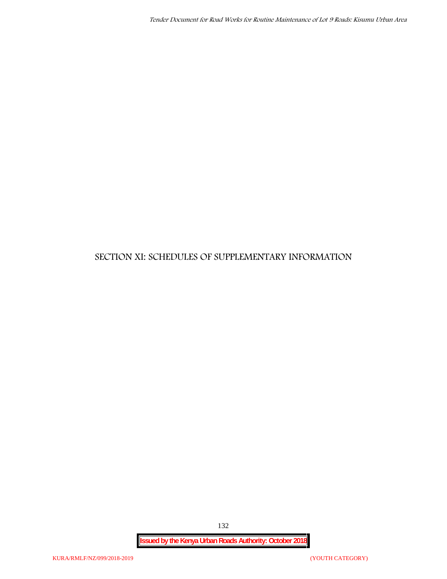# **SECTION XI: SCHEDULES OF SUPPLEMENTARY INFORMATION**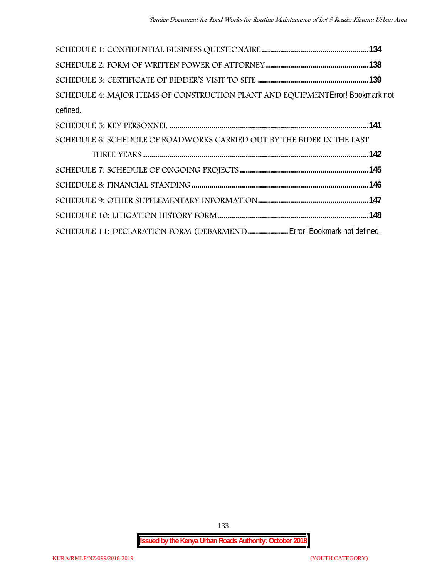| SCHEDULE 4: MAJOR ITEMS OF CONSTRUCTION PLANT AND EQUIPMENT Error! Bookmark not |  |
|---------------------------------------------------------------------------------|--|
| defined.                                                                        |  |
|                                                                                 |  |
| SCHEDULE 6: SCHEDULE OF ROADWORKS CARRIED OUT BY THE BIDER IN THE LAST          |  |
|                                                                                 |  |
|                                                                                 |  |
|                                                                                 |  |
|                                                                                 |  |
|                                                                                 |  |
| SCHEDULE 11: DECLARATION FORM (DEBARMENT)  Error! Bookmark not defined.         |  |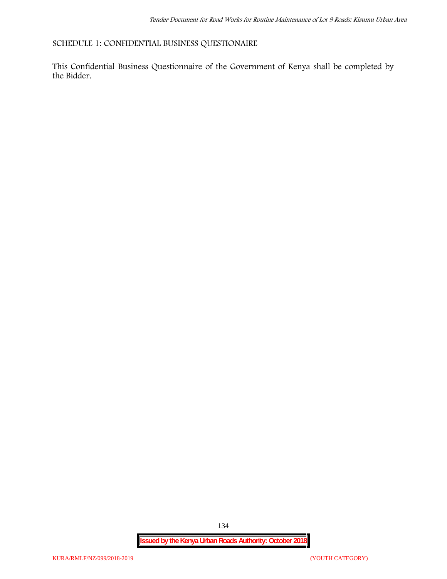**SCHEDULE 1: CONFIDENTIAL BUSINESS QUESTIONAIRE**

This Confidential Business Questionnaire of the Government of Kenya shall be completed by the Bidder.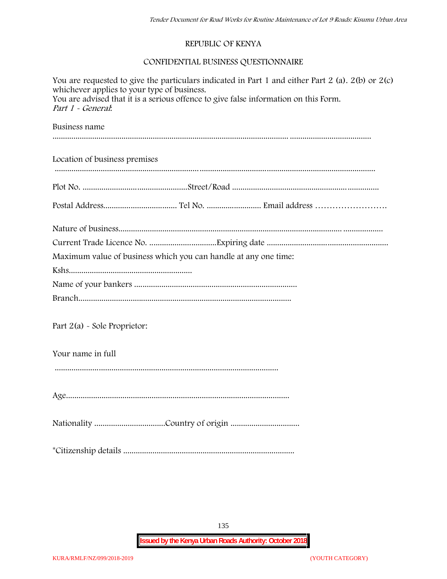### **REPUBLIC OF KENYA**

# **CONFIDENTIAL BUSINESS QUESTIONNAIRE**

| You are requested to give the particulars indicated in Part 1 and either Part 2 (a). $2(b)$ or $2(c)$<br>whichever applies to your type of business.<br>You are advised that it is a serious offence to give false information on this Form.<br>Part 1 - General. |
|-------------------------------------------------------------------------------------------------------------------------------------------------------------------------------------------------------------------------------------------------------------------|
| Business name                                                                                                                                                                                                                                                     |
| Location of business premises                                                                                                                                                                                                                                     |
|                                                                                                                                                                                                                                                                   |
|                                                                                                                                                                                                                                                                   |
|                                                                                                                                                                                                                                                                   |
|                                                                                                                                                                                                                                                                   |
| Maximum value of business which you can handle at any one time:                                                                                                                                                                                                   |
|                                                                                                                                                                                                                                                                   |
|                                                                                                                                                                                                                                                                   |
|                                                                                                                                                                                                                                                                   |
| Part 2(a) - Sole Proprietor:                                                                                                                                                                                                                                      |
| Your name in full                                                                                                                                                                                                                                                 |
|                                                                                                                                                                                                                                                                   |
|                                                                                                                                                                                                                                                                   |
|                                                                                                                                                                                                                                                                   |
|                                                                                                                                                                                                                                                                   |

135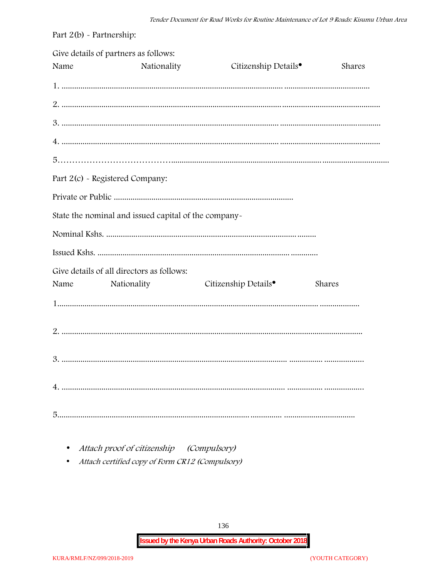| Part $2(b)$ - Partnership: |                                                      |                                  |        |
|----------------------------|------------------------------------------------------|----------------------------------|--------|
| Name                       | Give details of partners as follows:<br>Nationality  | Citizenship Details <sup>•</sup> | Shares |
|                            |                                                      |                                  |        |
|                            |                                                      |                                  |        |
|                            |                                                      |                                  |        |
|                            |                                                      |                                  |        |
|                            |                                                      |                                  |        |
|                            | Part 2(c) - Registered Company:                      |                                  |        |
|                            |                                                      |                                  |        |
|                            | State the nominal and issued capital of the company- |                                  |        |
|                            |                                                      |                                  |        |
|                            |                                                      |                                  |        |
|                            | Give details of all directors as follows:            |                                  |        |
| Name                       | Nationality                                          | Citizenship Details <sup>•</sup> | Shares |
|                            |                                                      |                                  |        |
|                            |                                                      |                                  |        |
|                            |                                                      |                                  |        |
|                            |                                                      |                                  |        |
|                            |                                                      |                                  |        |

- Attach proof of citizenship (Compulsory)
- Attach certified copy of Form CR12 (Compulsory)  $\bullet$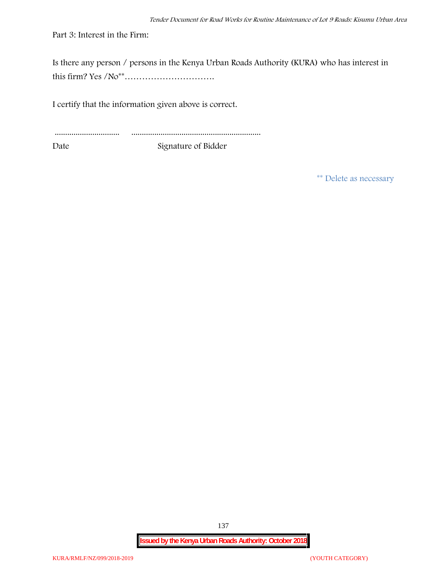Part 3: Interest in the Firm:

Is there any person / persons in the Kenya Urban Roads Authority (KURA) who has interest in this firm? Yes /No\*\*………………………….

I certify that the information given above is correct.

............................... .............................................................. Date Signature of Bidder

**\*\* Delete as necessary**

**Issued by the Kenya Urban Roads Authority: October 2018**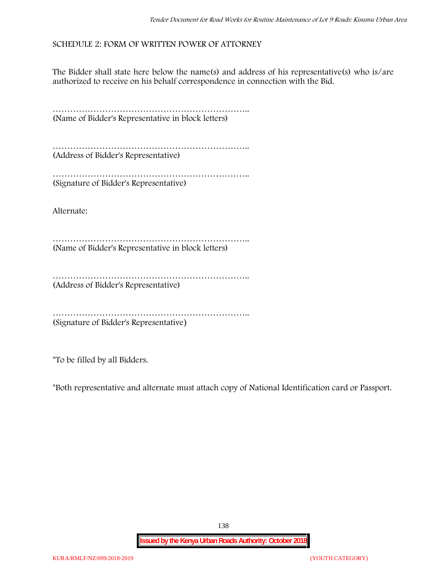## **SCHEDULE 2: FORM OF WRITTEN POWER OF ATTORNEY**

The Bidder shall state here below the name(s) and address of his representative(s) who is/are authorized to receive on his behalf correspondence in connection with the Bid.

………………………………………………………….. (Name of Bidder's Representative in block letters)

………………………………………………………….. (Address of Bidder's Representative)

………………………………………………………….. (Signature of Bidder's Representative)

Alternate:

………………………………………………………….. (Name of Bidder's Representative in block letters)

………………………………………………………………………… (Address of Bidder's Representative)

………………………………………………………….. (Signature of Bidder's Representative)

\*To be filled by all Bidders.

\*Both representative and alternate **must** attach copy of National Identification card or Passport.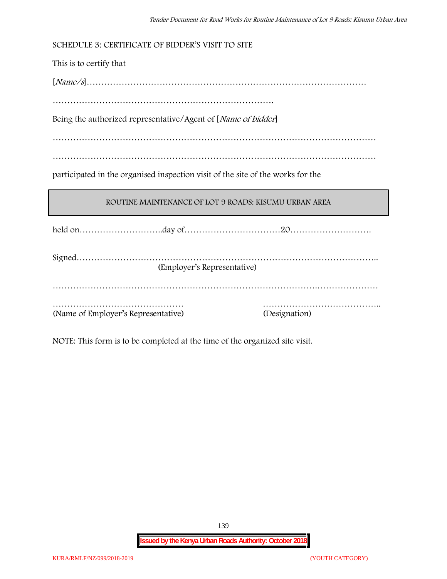**SCHEDULE 3: CERTIFICATE OF BIDDER'S VISIT TO SITE**

This is to certify that

[*Name/s*]……………………………………………………………………………………

………………………………………………………………….

Being the authorized representative/Agent of [*Name of bidder*]

…………………………………………………………………………………………………

…………………………………………………………………………………………………

participated in the organised inspection visit of the site of the works for the

### **ROUTINE MAINTENANCE OF LOT 9 ROADS: KISUMU URBAN AREA**

held on………………………..day of……………………………20……………………….

| (Employer's Representative)         |               |
|-------------------------------------|---------------|
|                                     |               |
|                                     |               |
| (Name of Employer's Representative) | (Designation) |

NOTE: This form is to be completed at the time of the organized site visit.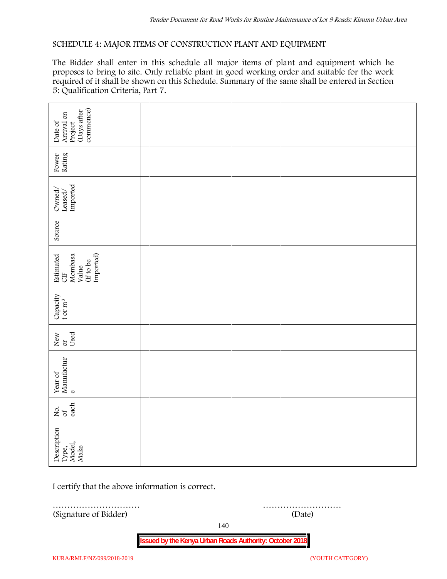### **SCHEDULE 4: MAJOR ITEMS OF CONSTRUCTION PLANT AND EQUIPMENT**

The Bidder shall enter in this schedule all major items of plant and equipment which he proposes to bring to site. Only reliable plant in good working order and suitable for the work required of it shall be shown on this Schedule. Summary of the same shall be entered in Section 5: Qualification Criteria, Part 7.

| commence)<br>(Days after<br>Arrival on<br>Date of<br>Project   |        |  |
|----------------------------------------------------------------|--------|--|
| Power<br>Rating                                                |        |  |
| Leased/<br>Imported<br>Owned/                                  |        |  |
| Source                                                         |        |  |
| Imported)<br>Estimated<br>CIF<br>Mombasa<br>(If to be<br>Value |        |  |
| Capacity t or $\mathbf{m}^3$                                   |        |  |
| Used<br>New or                                                 |        |  |
| Year of Manufactur $_{\rm e}$                                  |        |  |
| each<br>Σό.                                                    |        |  |
| Description<br>Type,<br>Model,<br>Make                         |        |  |
| I certify that the above information is correct.               |        |  |
| (Signature of Bidder)                                          | (Date) |  |

140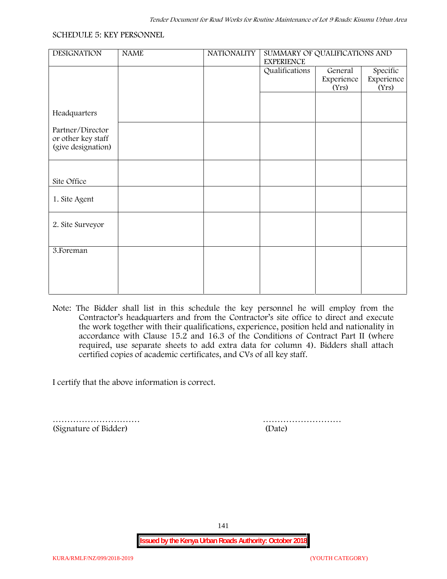#### **SCHEDULE 5: KEY PERSONNEL**

| <b>DESIGNATION</b> | <b>NAME</b> | <b>NATIONALITY</b> | SUMMARY OF QUALIFICATIONS AND |            |            |  |
|--------------------|-------------|--------------------|-------------------------------|------------|------------|--|
|                    |             |                    | <b>EXPERIENCE</b>             |            |            |  |
|                    |             |                    | Qualifications                | General    | Specific   |  |
|                    |             |                    |                               | Experience | Experience |  |
|                    |             |                    |                               | (Yrs)      | (Yrs)      |  |
|                    |             |                    |                               |            |            |  |
|                    |             |                    |                               |            |            |  |
| Headquarters       |             |                    |                               |            |            |  |
|                    |             |                    |                               |            |            |  |
| Partner/Director   |             |                    |                               |            |            |  |
| or other key staff |             |                    |                               |            |            |  |
| (give designation) |             |                    |                               |            |            |  |
|                    |             |                    |                               |            |            |  |
|                    |             |                    |                               |            |            |  |
|                    |             |                    |                               |            |            |  |
| Site Office        |             |                    |                               |            |            |  |
|                    |             |                    |                               |            |            |  |
| 1. Site Agent      |             |                    |                               |            |            |  |
|                    |             |                    |                               |            |            |  |
|                    |             |                    |                               |            |            |  |
| 2. Site Surveyor   |             |                    |                               |            |            |  |
|                    |             |                    |                               |            |            |  |
|                    |             |                    |                               |            |            |  |
| 3. Foreman         |             |                    |                               |            |            |  |
|                    |             |                    |                               |            |            |  |
|                    |             |                    |                               |            |            |  |
|                    |             |                    |                               |            |            |  |
|                    |             |                    |                               |            |            |  |
|                    |             |                    |                               |            |            |  |
|                    |             |                    |                               |            |            |  |

**Note:** The Bidder shall list in this schedule the key personnel he will employ from the Contractor's headquarters and from the Contractor's site office to direct and execute the work together with their qualifications, experience, position held and nationality in accordance with Clause 15.2 and 16.3 of the Conditions of Contract Part II (where required, use separate sheets to add extra data for column 4). Bidders shall attach certified copies of academic certificates, and CVs of all key staff.

I certify that the above information is correct.

(Signature of Bidder) (Date)

………………………… ………………………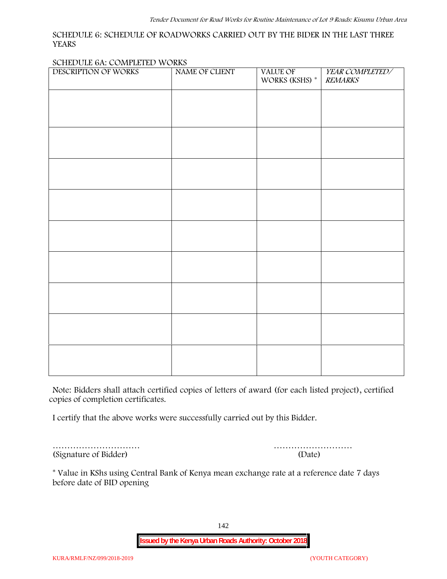### **SCHEDULE 6: SCHEDULE OF ROADWORKS CARRIED OUT BY THE BIDER IN THE LAST THREE YEARS**

#### **SCHEDULE 6A: COMPLETED WORKS**

| DESCRIPTION OF WORKS | NAME OF CLIENT | VALUE OF<br>WORKS (KSHS) $^\ast$ | YEAR COMPLETED/<br><b>REMARKS</b> |
|----------------------|----------------|----------------------------------|-----------------------------------|
|                      |                |                                  |                                   |
|                      |                |                                  |                                   |
|                      |                |                                  |                                   |
|                      |                |                                  |                                   |
|                      |                |                                  |                                   |
|                      |                |                                  |                                   |
|                      |                |                                  |                                   |
|                      |                |                                  |                                   |
|                      |                |                                  |                                   |
|                      |                |                                  |                                   |
|                      |                |                                  |                                   |
|                      |                |                                  |                                   |
|                      |                |                                  |                                   |
|                      |                |                                  |                                   |
|                      |                |                                  |                                   |

**Note:** Bidders shall attach certified copies of letters of award (for each listed project), certified copies of completion certificates.

I certify that the above works were successfully carried out by this Bidder.

(Signature of Bidder) (Date)

………………………… ………………………

\* **Value in KShs using Central Bank of Kenya mean exchange rate at a reference date 7 days before date of BID opening**

142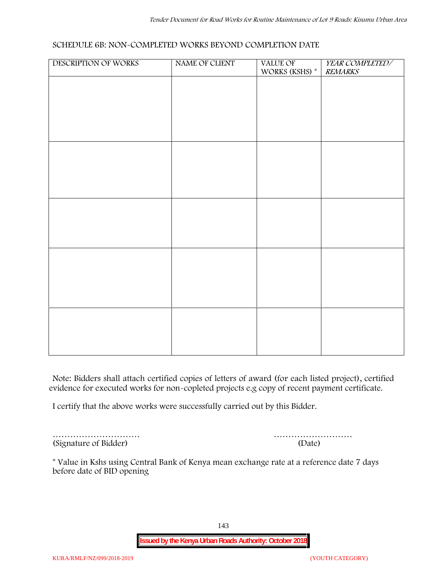### **SCHEDULE 6B: NON-COMPLETED WORKS BEYOND COMPLETION DATE**

| DESCRIPTION OF WORKS | NAME OF CLIENT | VALUE OF WORKS (KSHS) * | YEAR COMPLETED/<br><b>REMARKS</b> |
|----------------------|----------------|-------------------------|-----------------------------------|
|                      |                |                         |                                   |
|                      |                |                         |                                   |
|                      |                |                         |                                   |
|                      |                |                         |                                   |
|                      |                |                         |                                   |
|                      |                |                         |                                   |
|                      |                |                         |                                   |
|                      |                |                         |                                   |
|                      |                |                         |                                   |
|                      |                |                         |                                   |
|                      |                |                         |                                   |
|                      |                |                         |                                   |
|                      |                |                         |                                   |
|                      |                |                         |                                   |
|                      |                |                         |                                   |
|                      |                |                         |                                   |

**Note:** Bidders shall attach certified copies of letters of award (for each listed project), certified evidence for executed works for non-copleted projects e.g copy of recent payment certificate.

I certify that the above works were successfully carried out by this Bidder.

(Signature of Bidder) (Date)

………………………… ………………………

\* **Value in Kshs using Central Bank of Kenya mean exchange rate at a reference date 7 days before date of BID opening**

143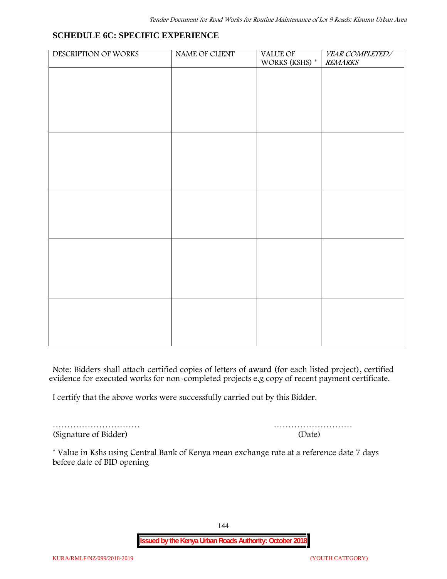### **SCHEDULE 6C: SPECIFIC EXPERIENCE**

| DESCRIPTION OF WORKS | NAME OF CLIENT | VALUE OF<br>WORKS (KSHS) * | YEAR COMPLETED/<br><b>REMARKS</b> |
|----------------------|----------------|----------------------------|-----------------------------------|
|                      |                |                            |                                   |
|                      |                |                            |                                   |
|                      |                |                            |                                   |
|                      |                |                            |                                   |
|                      |                |                            |                                   |
|                      |                |                            |                                   |
|                      |                |                            |                                   |
|                      |                |                            |                                   |
|                      |                |                            |                                   |
|                      |                |                            |                                   |
|                      |                |                            |                                   |
|                      |                |                            |                                   |
|                      |                |                            |                                   |
|                      |                |                            |                                   |
|                      |                |                            |                                   |
|                      |                |                            |                                   |
|                      |                |                            |                                   |
|                      |                |                            |                                   |
|                      |                |                            |                                   |
|                      |                |                            |                                   |

**Note:** Bidders shall attach certified copies of letters of award (for each listed project), certified evidence for executed works for non-completed projects e.g copy of recent payment certificate.

I certify that the above works were successfully carried out by this Bidder.

(Signature of Bidder) (Date)

………………………… ………………………

\* **Value in Kshs using Central Bank of Kenya mean exchange rate at a reference date 7 days before date of BID opening**

144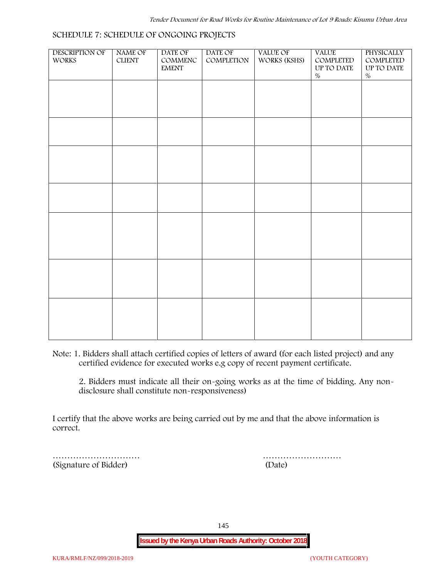# DESCRIPTION OF WORKS NAME OF CLIENT DATE OF COMMENC EMENT DATE OF COMPLETION VALUE OF WORKS (KSHS) VALUE COMPLETED UP TO DATE % **PHYSICALLY** COMPLETED UP TO DATE %

#### **SCHEDULE 7: SCHEDULE OF ONGOING PROJECTS**

**Note:** 1. Bidders shall attach certified copies of letters of award (for each listed project) and any certified evidence for executed works e.g copy of recent payment certificate.

2. Bidders must indicate all their on-going works as at the time of bidding. Any non disclosure shall constitute non-responsiveness)

I certify that the above works are being carried out by me and that the above information is correct.

(Signature of Bidder) (Date)

………………………… ………………………

145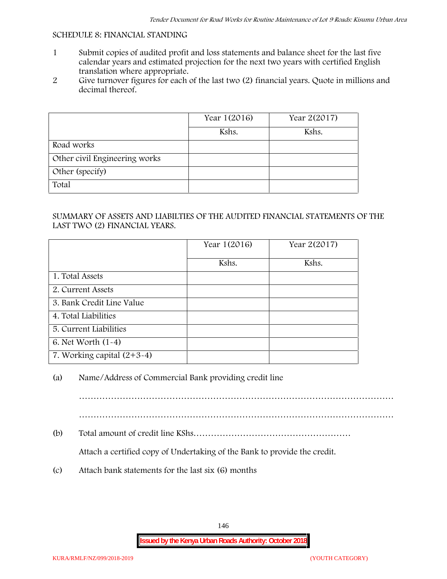#### **SCHEDULE 8: FINANCIAL STANDING**

- 1 Submit copies of audited profit and loss statements and balance sheet for the last five calendar years and estimated projection for the next two years with certified English translation where appropriate.
- 2 Give turnover figures for each of the last two (2) financial years. Quote in millions and decimal thereof.

|                               | Year 1(2016) | Year 2(2017) |
|-------------------------------|--------------|--------------|
|                               | Kshs.        | Kshs.        |
| Road works                    |              |              |
| Other civil Engineering works |              |              |
| Other (specify)               |              |              |
| Total                         |              |              |

#### SUMMARY OF ASSETS AND LIABILTIES OF THE AUDITED FINANCIAL STATEMENTS OF THE LAST TWO (2) FINANCIAL YEARS.

|                              | Year 1(2016) | Year 2(2017) |
|------------------------------|--------------|--------------|
|                              | Kshs.        | Kshs.        |
| 1. Total Assets              |              |              |
| 2. Current Assets            |              |              |
| 3. Bank Credit Line Value    |              |              |
| 4. Total Liabilities         |              |              |
| 5. Current Liabilities       |              |              |
| 6. Net Worth $(1-4)$         |              |              |
| 7. Working capital $(2+3-4)$ |              |              |

### (a) Name/Address of Commercial Bank providing credit line

………………………………………………………………………………………………

………………………………………………………………………………………………

(b) Total amount of credit line KShs………………………………………………

Attach a certified copy of Undertaking of the Bank to provide the credit.

(c) Attach bank statements for the last six (6) months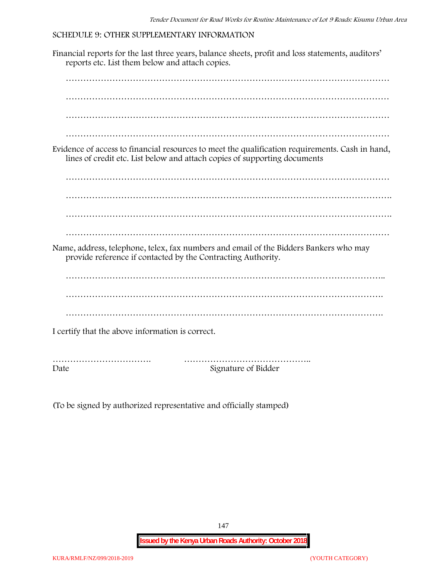#### **SCHEDULE 9: OTHER SUPPLEMENTARY INFORMATION**

Financial reports for the last three years, balance sheets, profit and loss statements, auditors' reports etc. List them below and attach copies. ………………………………………………………………………………………………… ………………………………………………………………………………………………… ………………………………………………………………………………………………… ………………………………………………………………………………………………… Evidence of access to financial resources to meet the qualification requirements. Cash in hand, lines of credit etc. List below and attach copies of supporting documents ………………………………………………………………………………………………… …………………………………………………………………………………………………. ………………………………………………………………………………………………… Name, address, telephone, telex, fax numbers and email of the Bidders Bankers who may provide reference if contacted by the Contracting Authority. ……………………………………………………………………………………………….. ………………………………………………………………………………………………. ………………………………………………………………………………………………. I certify that the above information is correct. ……………………………. …………………………………….. Date Signature of Bidder

(To be signed by authorized representative and officially stamped)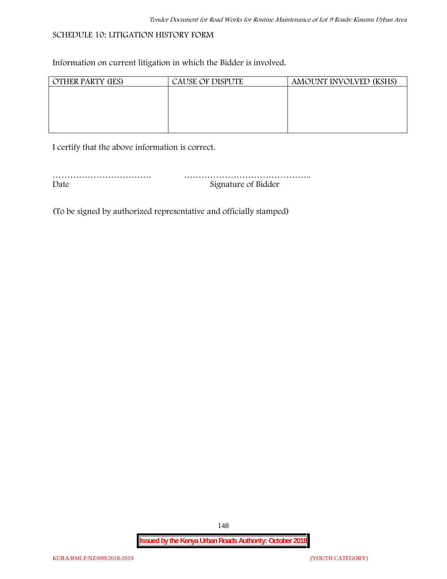# **SCHEDULE 10: LITIGATION HISTORY FORM**

Information on current litigation in which the Bidder is involved.

| <b>OTHER PARTY (IES)</b> | <b>CAUSE OF DISPUTE</b> | AMOUNT INVOLVED (KSHS) |
|--------------------------|-------------------------|------------------------|
|                          |                         |                        |
|                          |                         |                        |
|                          |                         |                        |
|                          |                         |                        |
|                          |                         |                        |

I certify that the above information is correct.

| Date | Signature of Bidder |
|------|---------------------|

(To be signed by authorized representative and officially stamped)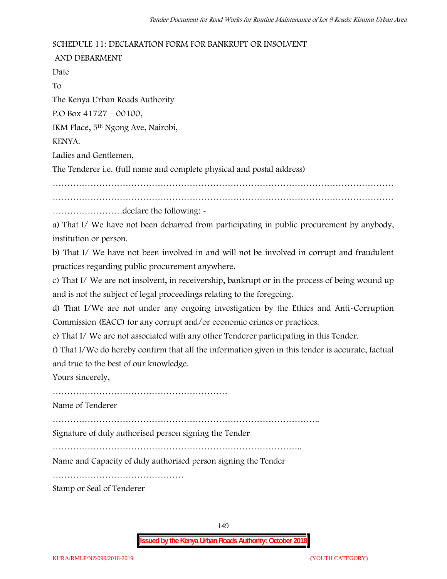#### **SCHEDULE 11: DECLARATION FORM FOR BANKRUPT OR INSOLVENT**

**AND DEBARMENT** Date To The Kenya Urban Roads Authority P.O Box 41727 – 00100, IKM Place, 5th Ngong Ave, Nairobi, KENYA. Ladies and Gentlemen, The Tenderer i.e. (full name and complete physical and postal address) ……………………………………………………………………………………………………… ……………………declare the following: a) That I/ We have not been debarred from participating in public procurement by anybody,

institution or person.

b) That I/ We have not been involved in and will not be involved in corrupt and fraudulent practices regarding public procurement anywhere.

c) That I/ We are not insolvent, in receivership, bankrupt or in the process of being wound up and is not the subject of legal proceedings relating to the foregoing.

d) That I/We are not under any ongoing investigation by the Ethics and Anti-Corruption Commission (EACC) for any corrupt and/or economic crimes or practices.

e) That I/ We are not associated with any other Tenderer participating in this Tender.

f) That I/We do hereby confirm that all the information given in this tender is accurate, factual and true to the best of our knowledge.

Yours sincerely,

……………………………………………………

Name of Tenderer

………………………………………………………………………………..

Signature of duly authorised person signing the Tender

…………………………………………………………………………..

Name and Capacity of duly authorised person signing the Tender

………………………………………

Stamp or Seal of Tenderer

149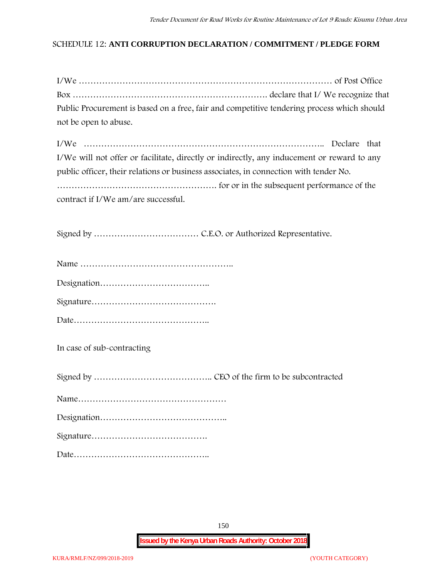### **SCHEDULE 12: ANTI CORRUPTION DECLARATION / COMMITMENT / PLEDGE FORM**

| Public Procurement is based on a free, fair and competitive tendering process which should |  |
|--------------------------------------------------------------------------------------------|--|
| not be open to abuse.                                                                      |  |

| I/We will not offer or facilitate, directly or indirectly, any inducement or reward to any |
|--------------------------------------------------------------------------------------------|
| public officer, their relations or business associates, in connection with tender No.      |
|                                                                                            |
| contract if I/We am/are successful.                                                        |

Signed by ……………………………… C.E.O. or Authorized Representative.

Date………………………………………..

**In case of sub-contracting**

Signed by ………………………………….. CEO of the firm to be subcontracted

Name……………………………………………

Designation……………………………………..

Signature………………………………….

Date………………………………………..

150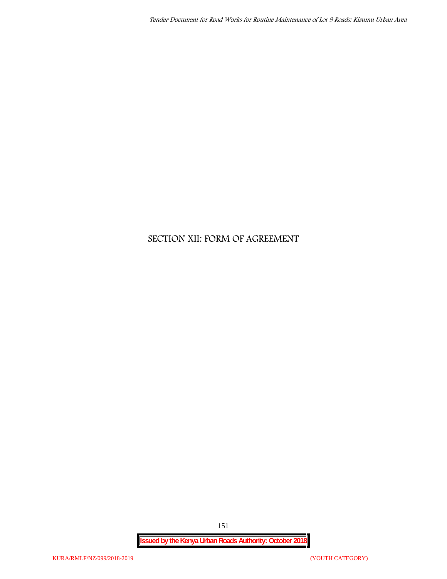# **SECTION XII: FORM OF AGREEMENT**

151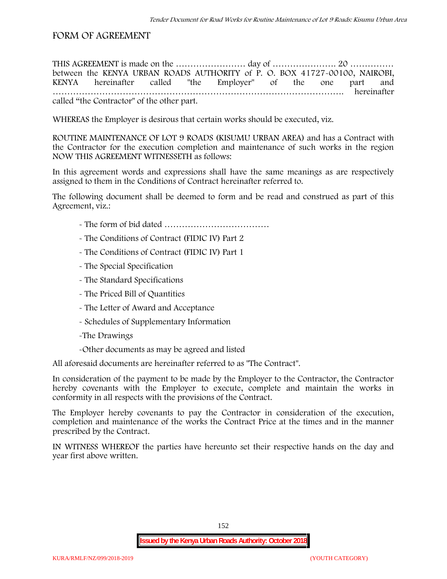# **FORM OF AGREEMENT**

THIS AGREEMENT is made on the ………………………… day of ……………………………………………………………………………………… between the **KENYA URBAN ROADS AUTHORITY** of **P. O. BOX 41727-00100, NAIROBI, KENYA** hereinafter called "the Employer" of the one part and **……………………………………………………………………………………….** hereinafter called "the Contractor" of the other part.

WHEREAS the Employer is desirous that certain works should be executed, viz.

**ROUTINE MAINTENANCE OF LOT 9 ROADS (KISUMU URBAN AREA)** and has a Contract with the Contractor for the execution completion and maintenance of such works in the region NOW THIS AGREEMENT WITNESSETH as follows:

In this agreement words and expressions shall have the same meanings as are respectively assigned to them in the Conditions of Contract hereinafter referred to.

The following document shall be deemed to form and be read and construed as part of this Agreement, viz.:

- The form of bid dated **………………………………**
- The Conditions of Contract (FIDIC IV) Part 2
- The Conditions of Contract (FIDIC IV) Part 1
- The Special Specification
- The Standard Specifications
- The Priced Bill of Quantities
- The Letter of Award and Acceptance
- Schedules of Supplementary Information
- -The Drawings
- -Other documents as may be agreed and listed

All aforesaid documents are hereinafter referred to as "The Contract".

In consideration of the payment to be made by the Employer to the Contractor, the Contractor hereby covenants with the Employer to execute, complete and maintain the works in conformity in all respects with the provisions of the Contract.

The Employer hereby covenants to pay the Contractor in consideration of the execution, completion and maintenance of the works the Contract Price at the times and in the manner prescribed by the Contract.

IN WITNESS WHEREOF the parties have hereunto set their respective hands on the day and year first above written.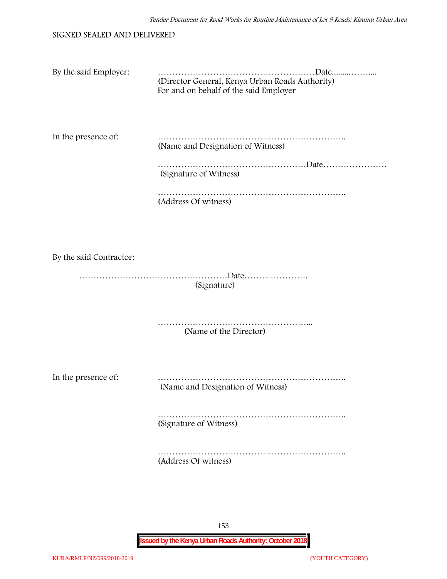#### SIGNED SEALED AND DELIVERED

| By the said Employer: |                                                 |
|-----------------------|-------------------------------------------------|
|                       | (Director General, Kenya Urban Roads Authority) |
|                       | For and on behalf of the said Employer          |
|                       |                                                 |

In the presence of: ……………………………………………………….. (Name and Designation of Witness)

> ……………………………………………Date…………………. (Signature of Witness)

……………………………………………………………………… (Address Of witness)

By the said Contractor:

……………………………………………Date…………………. (Signature)

> ……………………………………………... (Name of the Director)

In the presence of: ……………………………………………………….. (Name and Designation of Witness)

> ……………………………………………………….. (Signature of Witness)

> ……………………………………………………….. (Address Of witness)

> > 153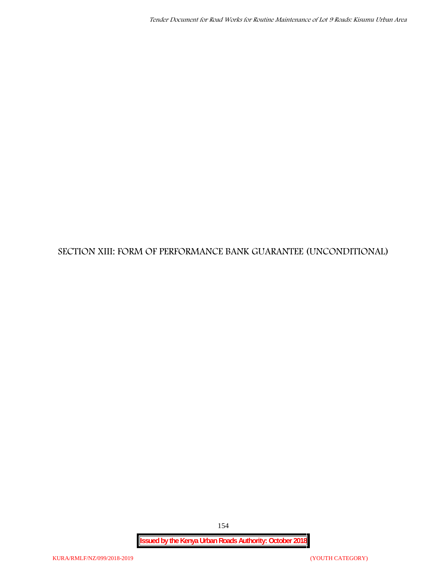# **SECTION XIII: FORM OF PERFORMANCE BANK GUARANTEE (UNCONDITIONAL)**